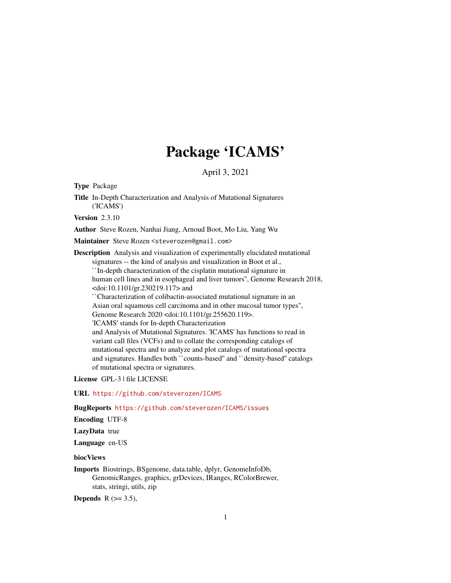# Package 'ICAMS'

April 3, 2021

<span id="page-0-0"></span>Type Package

Title In-Depth Characterization and Analysis of Mutational Signatures ('ICAMS')

Version 2.3.10

Author Steve Rozen, Nanhai Jiang, Arnoud Boot, Mo Liu, Yang Wu

Maintainer Steve Rozen <steverozen@gmail.com>

Description Analysis and visualization of experimentally elucidated mutational signatures -- the kind of analysis and visualization in Boot et al., ``In-depth characterization of the cisplatin mutational signature in human cell lines and in esophageal and liver tumors'', Genome Research 2018, <doi:10.1101/gr.230219.117> and ``Characterization of colibactin-associated mutational signature in an Asian oral squamous cell carcinoma and in other mucosal tumor types'', Genome Research 2020 <doi:10.1101/gr.255620.119>. 'ICAMS' stands for In-depth Characterization and Analysis of Mutational Signatures. 'ICAMS' has functions to read in variant call files (VCFs) and to collate the corresponding catalogs of mutational spectra and to analyze and plot catalogs of mutational spectra and signatures. Handles both ``counts-based'' and ``density-based'' catalogs

of mutational spectra or signatures.

License GPL-3 | file LICENSE

URL <https://github.com/steverozen/ICAMS>

BugReports <https://github.com/steverozen/ICAMS/issues>

Encoding UTF-8

LazyData true

Language en-US

biocViews

Imports Biostrings, BSgenome, data.table, dplyr, GenomeInfoDb, GenomicRanges, graphics, grDevices, IRanges, RColorBrewer, stats, stringi, utils, zip

Depends  $R$  ( $> = 3.5$ ),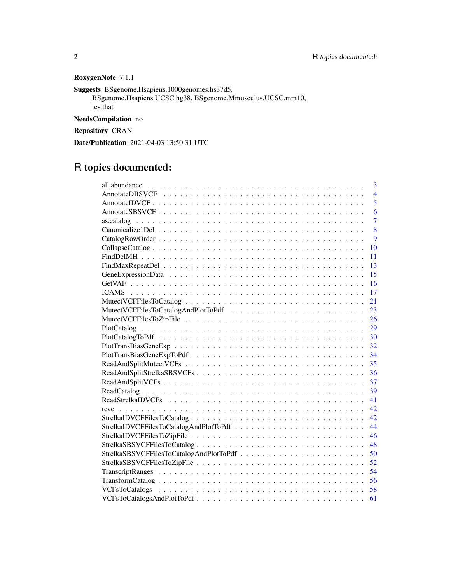# RoxygenNote 7.1.1

Suggests BSgenome.Hsapiens.1000genomes.hs37d5,

BSgenome.Hsapiens.UCSC.hg38, BSgenome.Mmusculus.UCSC.mm10, testthat

NeedsCompilation no

Repository CRAN

Date/Publication 2021-04-03 13:50:31 UTC

# R topics documented:

|                                         | 3              |
|-----------------------------------------|----------------|
|                                         | $\overline{4}$ |
|                                         | 5              |
|                                         | 6              |
|                                         | $\overline{7}$ |
|                                         | 8              |
|                                         | $\overline{9}$ |
|                                         | 10             |
|                                         | 11             |
|                                         | 13             |
|                                         | 15             |
|                                         | 16             |
|                                         | 17             |
|                                         | 21             |
|                                         | 23             |
|                                         | 26             |
|                                         | 29             |
|                                         | 30             |
|                                         | 32             |
|                                         | 34             |
|                                         | 35             |
| ReadAndSplitStrelkaSBSVCFs              | 36             |
|                                         | 37             |
|                                         | 39             |
|                                         | 41             |
|                                         | 42             |
|                                         | 42             |
|                                         | 44             |
|                                         | 46             |
| StrelkaSBSVCFFilesToCatalog             | 48             |
| StrelkaSBSVCFFilesToCatalogAndPlotToPdf | 50             |
|                                         | 52             |
|                                         | 54             |
|                                         | 56             |
|                                         |                |
| VCFsToCatalogsAndPlotToPdf              | 61             |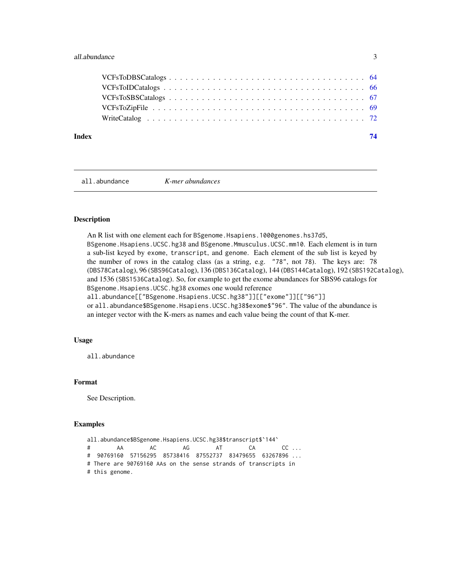# <span id="page-2-0"></span>all.abundance 3

# **Index** [74](#page-73-0)

<span id="page-2-1"></span>all.abundance *K-mer abundances*

#### Description

An R list with one element each for BSgenome.Hsapiens.1000genomes.hs37d5, BSgenome.Hsapiens.UCSC.hg38 and BSgenome.Mmusculus.UCSC.mm10. Each element is in turn a sub-list keyed by exome, transcript, and genome. Each element of the sub list is keyed by the number of rows in the catalog class (as a string, e.g. "78", not 78). The keys are: 78 (DBS78Catalog), 96 (SBS96Catalog), 136 (DBS136Catalog), 144 (DBS144Catalog), 192 (SBS192Catalog), and 1536 (SBS1536Catalog). So, for example to get the exome abundances for SBS96 catalogs for BSgenome.Hsapiens.UCSC.hg38 exomes one would reference all.abundance[["BSgenome.Hsapiens.UCSC.hg38"]][["exome"]][["96"]]

or all.abundance\$BSgenome.Hsapiens.UCSC.hg38\$exome\$"96". The value of the abundance is an integer vector with the K-mers as names and each value being the count of that K-mer.

# Usage

all.abundance

#### Format

See Description.

```
all.abundance$BSgenome.Hsapiens.UCSC.hg38$transcript$`144`
# AA AC AG AT CA CC ...
# 90769160 57156295 85738416 87552737 83479655 63267896 ...
# There are 90769160 AAs on the sense strands of transcripts in
# this genome.
```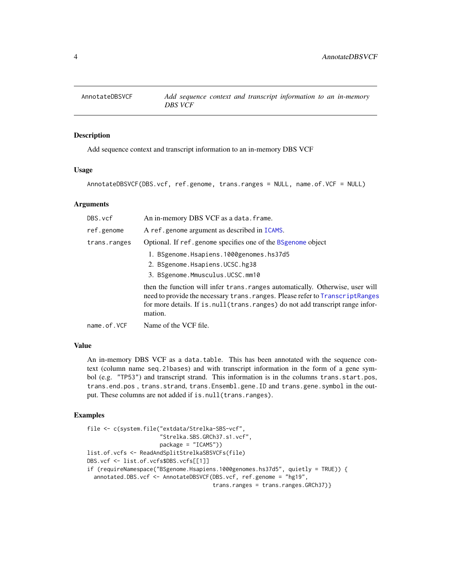<span id="page-3-1"></span><span id="page-3-0"></span>

#### Description

Add sequence context and transcript information to an in-memory DBS VCF

#### Usage

AnnotateDBSVCF(DBS.vcf, ref.genome, trans.ranges = NULL, name.of.VCF = NULL)

#### Arguments

| DBS.vcf      | An in-memory DBS VCF as a data. frame.                                                                                                                                                                                                                         |
|--------------|----------------------------------------------------------------------------------------------------------------------------------------------------------------------------------------------------------------------------------------------------------------|
| ref.genome   | A ref.genome argument as described in ICAMS.                                                                                                                                                                                                                   |
| trans.ranges | Optional. If ref.genome specifies one of the BSgenome object                                                                                                                                                                                                   |
|              | 1. BSgenome.Hsapiens.1000genomes.hs37d5                                                                                                                                                                                                                        |
|              | 2. BSgenome.Hsapiens.UCSC.hg38                                                                                                                                                                                                                                 |
|              | 3. BSgenome.Mmusculus.UCSC.mm10                                                                                                                                                                                                                                |
|              | then the function will infer trans. ranges automatically. Otherwise, user will<br>need to provide the necessary trans. ranges. Please refer to Transcript Ranges<br>for more details. If is null (trans. ranges) do not add transcript range infor-<br>mation. |

name.of.VCF Name of the VCF file.

# Value

An in-memory DBS VCF as a data.table. This has been annotated with the sequence context (column name seq.21bases) and with transcript information in the form of a gene symbol (e.g. "TP53") and transcript strand. This information is in the columns trans.start.pos, trans.end.pos , trans.strand, trans.Ensembl.gene.ID and trans.gene.symbol in the output. These columns are not added if is.null(trans.ranges).

```
file <- c(system.file("extdata/Strelka-SBS-vcf",
                      "Strelka.SBS.GRCh37.s1.vcf",
                     package = "ICAMS"))
list.of.vcfs <- ReadAndSplitStrelkaSBSVCFs(file)
DBS.vcf <- list.of.vcfs$DBS.vcfs[[1]]
if (requireNamespace("BSgenome.Hsapiens.1000genomes.hs37d5", quietly = TRUE)) {
 annotated.DBS.vcf <- AnnotateDBSVCF(DBS.vcf, ref.genome = "hg19",
                                      trans.ranges = trans.ranges.GRCh37)}
```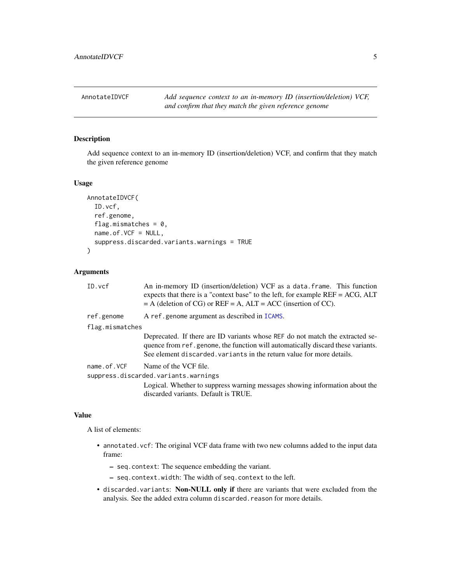<span id="page-4-1"></span><span id="page-4-0"></span>AnnotateIDVCF *Add sequence context to an in-memory ID (insertion/deletion) VCF, and confirm that they match the given reference genome*

# Description

Add sequence context to an in-memory ID (insertion/deletion) VCF, and confirm that they match the given reference genome

#### Usage

```
AnnotateIDVCF(
  ID.vcf,
  ref.genome,
  flag.mismatches = 0,
  name.of.VCF = NULL,
  suppress.discarded.variants.warnings = TRUE
\lambda
```
# Arguments

| An in-memory ID (insertion/deletion) VCF as a data. frame. This function<br>expects that there is a "context base" to the left, for example $REF = ACC, ALT$<br>$=$ A (deletion of CG) or REF $=$ A, ALT $=$ ACC (insertion of CC).       |
|-------------------------------------------------------------------------------------------------------------------------------------------------------------------------------------------------------------------------------------------|
| A ref.genome argument as described in ICAMS.                                                                                                                                                                                              |
| flag.mismatches                                                                                                                                                                                                                           |
| Deprecated. If there are ID variants whose REF do not match the extracted se-<br>quence from ref.genome, the function will automatically discard these variants.<br>See element discarded, variants in the return value for more details. |
| Name of the VCF file.<br>suppress.discarded.variants.warnings<br>Logical. Whether to suppress warning messages showing information about the<br>discarded variants. Default is TRUE.                                                      |
|                                                                                                                                                                                                                                           |

# Value

A list of elements:

- annotated.vcf: The original VCF data frame with two new columns added to the input data frame:
	- seq.context: The sequence embedding the variant.
	- seq.context.width: The width of seq.context to the left.
- discarded.variants: Non-NULL only if there are variants that were excluded from the analysis. See the added extra column discarded.reason for more details.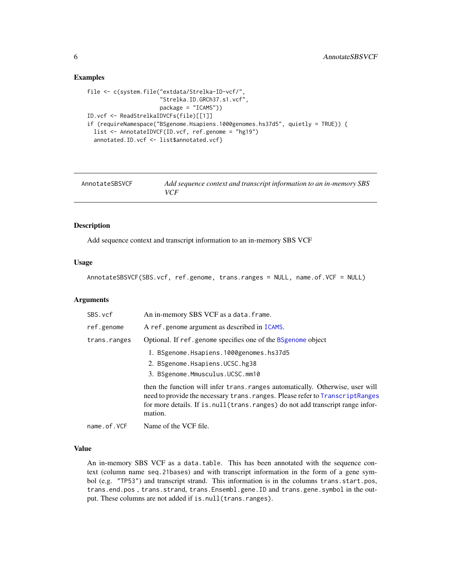### Examples

```
file <- c(system.file("extdata/Strelka-ID-vcf/",
                      "Strelka.ID.GRCh37.s1.vcf",
                      package = "ICAMS"))
ID.vcf <- ReadStrelkaIDVCFs(file)[[1]]
if (requireNamespace("BSgenome.Hsapiens.1000genomes.hs37d5", quietly = TRUE)) {
  list <- AnnotateIDVCF(ID.vcf, ref.genome = "hg19")
  annotated.ID.vcf <- list$annotated.vcf}
```
<span id="page-5-1"></span>

| AnnotateSBSVCF | Add sequence context and transcript information to an in-memory SBS<br><b>VCF</b> |
|----------------|-----------------------------------------------------------------------------------|
|                |                                                                                   |

#### Description

Add sequence context and transcript information to an in-memory SBS VCF

# Usage

```
AnnotateSBSVCF(SBS.vcf, ref.genome, trans.ranges = NULL, name.of.VCF = NULL)
```
## Arguments

| SBS.vcf      | An in-memory SBS VCF as a data. frame.                                                                                                                                                                                                                        |
|--------------|---------------------------------------------------------------------------------------------------------------------------------------------------------------------------------------------------------------------------------------------------------------|
| ref.genome   | A ref.genome argument as described in ICAMS.                                                                                                                                                                                                                  |
| trans.ranges | Optional. If ref.genome specifies one of the BSgenome object                                                                                                                                                                                                  |
|              | 1. BSgenome.Hsapiens.1000genomes.hs37d5                                                                                                                                                                                                                       |
|              | 2. BSgenome.Hsapiens.UCSC.hg38                                                                                                                                                                                                                                |
|              | 3. BSgenome.Mmusculus.UCSC.mm10                                                                                                                                                                                                                               |
|              | then the function will infer trans. ranges automatically. Otherwise, user will<br>need to provide the necessary trans. ranges. Please refer to TranscriptRanges<br>for more details. If is null (trans. ranges) do not add transcript range infor-<br>mation. |

name.of.VCF Name of the VCF file.

# Value

An in-memory SBS VCF as a data.table. This has been annotated with the sequence context (column name seq.21bases) and with transcript information in the form of a gene symbol (e.g. "TP53") and transcript strand. This information is in the columns trans.start.pos, trans.end.pos , trans.strand, trans.Ensembl.gene.ID and trans.gene.symbol in the output. These columns are not added if is.null(trans.ranges).

<span id="page-5-0"></span>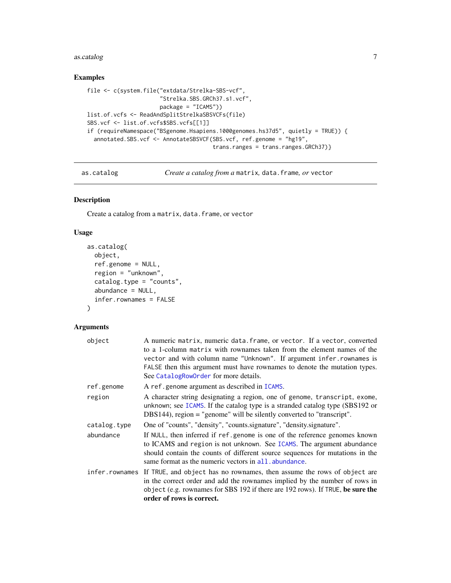#### <span id="page-6-0"></span>as.catalog 7 associated 1 and 2 and 2 and 2 and 2 and 2 and 2 and 2 and 2 and 2 and 2 and 2 and 2 and 2 and 2 and 2 and 2 and 2 and 2 and 2 and 2 and 2 and 2 and 2 and 2 and 2 and 2 and 2 and 2 and 2 and 2 and 2 and 2 and

# Examples

```
file <- c(system.file("extdata/Strelka-SBS-vcf",
                      "Strelka.SBS.GRCh37.s1.vcf",
                     package = "ICAMS"))
list.of.vcfs <- ReadAndSplitStrelkaSBSVCFs(file)
SBS.vcf <- list.of.vcfs$SBS.vcfs[[1]]
if (requireNamespace("BSgenome.Hsapiens.1000genomes.hs37d5", quietly = TRUE)) {
  annotated.SBS.vcf <- AnnotateSBSVCF(SBS.vcf, ref.genome = "hg19",
                                      trans.ranges = trans.ranges.GRCh37)}
```
<span id="page-6-1"></span>as.catalog *Create a catalog from a* matrix*,* data.frame*, or* vector

# Description

Create a catalog from a matrix, data.frame, or vector

# Usage

```
as.catalog(
  object,
  ref.genome = NULL,
  region = "unknown",
  catalog.type = "counts",
  abundance = NULL,
  infer.rownames = FALSE
\mathcal{L}
```
# Arguments

| object         | A numeric matrix, numeric data. frame, or vector. If a vector, converted<br>to a 1-column matrix with rownames taken from the element names of the<br>vector and with column name "Unknown". If argument infer.rownames is<br>FALSE then this argument must have rownames to denote the mutation types.<br>See CatalogRowOrder for more details. |
|----------------|--------------------------------------------------------------------------------------------------------------------------------------------------------------------------------------------------------------------------------------------------------------------------------------------------------------------------------------------------|
| ref.genome     | A ref.genome argument as described in ICAMS.                                                                                                                                                                                                                                                                                                     |
| region         | A character string designating a region, one of genome, transcript, exome,<br>unknown; see ICAMS. If the catalog type is a stranded catalog type (SBS192 or<br>DBS144), region = "genome" will be silently converted to "transcript".                                                                                                            |
| catalog.type   | One of "counts", "density", "counts.signature", "density.signature".                                                                                                                                                                                                                                                                             |
| abundance      | If NULL, then inferred if ref.genome is one of the reference genomes known<br>to ICAMS and region is not unknown. See ICAMS. The argument abundance<br>should contain the counts of different source sequences for mutations in the<br>same format as the numeric vectors in all, abundance.                                                     |
| infer.rownames | If TRUE, and object has no rownames, then assume the rows of object are<br>in the correct order and add the rownames implied by the number of rows in<br>object (e.g. rownames for SBS 192 if there are 192 rows). If TRUE, be sure the<br>order of rows is correct.                                                                             |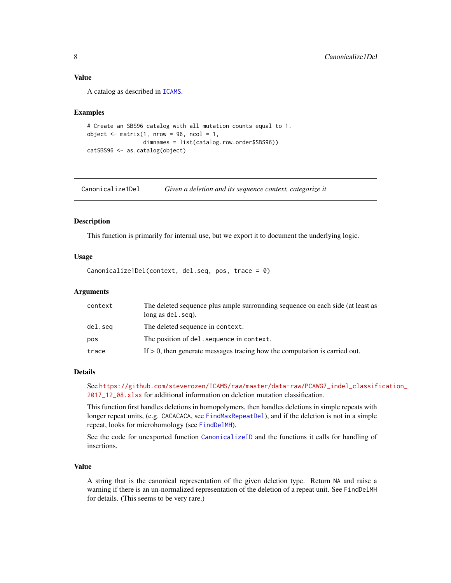# <span id="page-7-0"></span>Value

A catalog as described in [ICAMS](#page-16-1).

#### Examples

```
# Create an SBS96 catalog with all mutation counts equal to 1.
object \leq matrix(1, nrow = 96, ncol = 1,
                 dimnames = list(catalog.row.order$SBS96))
catSBS96 <- as.catalog(object)
```
<span id="page-7-1"></span>Canonicalize1Del *Given a deletion and its sequence context, categorize it*

#### Description

This function is primarily for internal use, but we export it to document the underlying logic.

#### Usage

Canonicalize1Del(context, del.seq, pos, trace = 0)

# Arguments

| context | The deleted sequence plus ample surrounding sequence on each side (at least as<br>long as del. seg). |
|---------|------------------------------------------------------------------------------------------------------|
| del.seq | The deleted sequence in context.                                                                     |
| pos     | The position of del. sequence in context.                                                            |
| trace   | If $> 0$ , then generate messages tracing how the computation is carried out.                        |

#### Details

See [https://github.com/steverozen/ICAMS/raw/master/data-raw/PCAWG7\\_indel\\_classif](https://github.com/steverozen/ICAMS/raw/master/data-raw/PCAWG7_indel_classification_2017_12_08.xlsx)ication\_ [2017\\_12\\_08.xlsx](https://github.com/steverozen/ICAMS/raw/master/data-raw/PCAWG7_indel_classification_2017_12_08.xlsx) for additional information on deletion mutation classification.

This function first handles deletions in homopolymers, then handles deletions in simple repeats with longer repeat units, (e.g. CACACACA, see [FindMaxRepeatDel](#page-12-1)), and if the deletion is not in a simple repeat, looks for microhomology (see [FindDelMH](#page-10-1)).

See the code for unexported function [CanonicalizeID](#page-0-0) and the functions it calls for handling of insertions.

# Value

A string that is the canonical representation of the given deletion type. Return NA and raise a warning if there is an un-normalized representation of the deletion of a repeat unit. See FindDelMH for details. (This seems to be very rare.)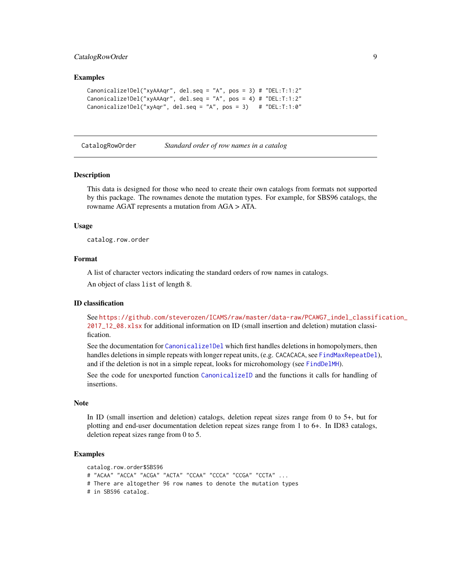# <span id="page-8-0"></span>CatalogRowOrder 9

#### Examples

```
Canonicalize1Del("xyAAAqr", del.seq = "A", pos = 3) # "DEL:T:1:2"
Canonicalize1Del("xyAAAqr", del.seq = "A", pos = 4) # "DEL:T:1:2"
Canonicalize1Del("xyAqr", del.seq = "A", pos = 3) # "DEL:T:1:0"
```
<span id="page-8-1"></span>

CatalogRowOrder *Standard order of row names in a catalog*

#### Description

This data is designed for those who need to create their own catalogs from formats not supported by this package. The rownames denote the mutation types. For example, for SBS96 catalogs, the rowname AGAT represents a mutation from AGA > ATA.

#### Usage

catalog.row.order

# Format

A list of character vectors indicating the standard orders of row names in catalogs.

An object of class list of length 8.

#### ID classification

See [https://github.com/steverozen/ICAMS/raw/master/data-raw/PCAWG7\\_indel\\_classif](https://github.com/steverozen/ICAMS/raw/master/data-raw/PCAWG7_indel_classification_2017_12_08.xlsx)ication\_ [2017\\_12\\_08.xlsx](https://github.com/steverozen/ICAMS/raw/master/data-raw/PCAWG7_indel_classification_2017_12_08.xlsx) for additional information on ID (small insertion and deletion) mutation classification.

See the documentation for [Canonicalize1Del](#page-7-1) which first handles deletions in homopolymers, then handles deletions in simple repeats with longer repeat units, (e.g. CACACACA, see [FindMaxRepeatDel](#page-12-1)), and if the deletion is not in a simple repeat, looks for microhomology (see [FindDelMH](#page-10-1)).

See the code for unexported function [CanonicalizeID](#page-0-0) and the functions it calls for handling of insertions.

#### Note

In ID (small insertion and deletion) catalogs, deletion repeat sizes range from 0 to 5+, but for plotting and end-user documentation deletion repeat sizes range from 1 to 6+. In ID83 catalogs, deletion repeat sizes range from 0 to 5.

```
catalog.row.order$SBS96
# "ACAA" "ACCA" "ACGA" "ACTA" "CCAA" "CCCA" "CCGA" "CCTA" ...
# There are altogether 96 row names to denote the mutation types
# in SBS96 catalog.
```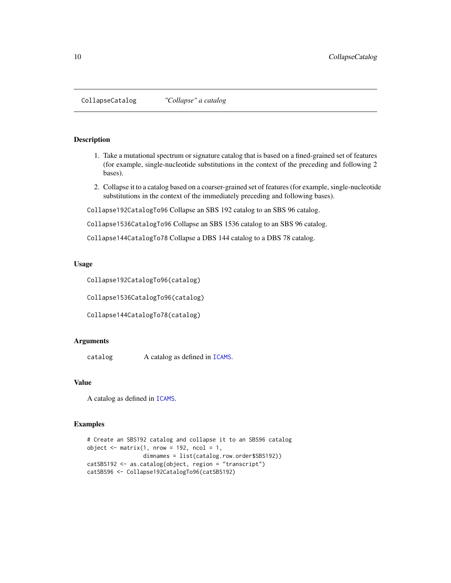<span id="page-9-1"></span><span id="page-9-0"></span>CollapseCatalog *"Collapse" a catalog*

#### Description

- 1. Take a mutational spectrum or signature catalog that is based on a fined-grained set of features (for example, single-nucleotide substitutions in the context of the preceding and following 2 bases).
- 2. Collapse it to a catalog based on a coarser-grained set of features (for example, single-nucleotide substitutions in the context of the immediately preceding and following bases).

Collapse192CatalogTo96 Collapse an SBS 192 catalog to an SBS 96 catalog.

Collapse1536CatalogTo96 Collapse an SBS 1536 catalog to an SBS 96 catalog.

Collapse144CatalogTo78 Collapse a DBS 144 catalog to a DBS 78 catalog.

#### Usage

Collapse192CatalogTo96(catalog)

Collapse1536CatalogTo96(catalog)

Collapse144CatalogTo78(catalog)

#### Arguments

catalog A catalog as defined in [ICAMS](#page-16-1).

# Value

A catalog as defined in [ICAMS](#page-16-1).

```
# Create an SBS192 catalog and collapse it to an SBS96 catalog
object \leq matrix(1, nrow = 192, ncol = 1,
                 dimnames = list(catalog.row.order$SBS192))
catSBS192 <- as.catalog(object, region = "transcript")
catSBS96 <- Collapse192CatalogTo96(catSBS192)
```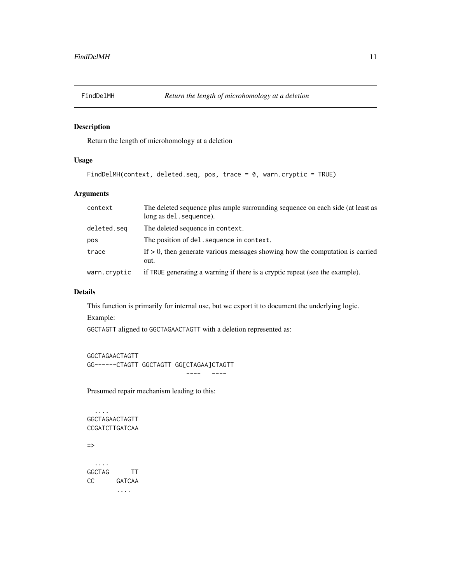<span id="page-10-1"></span><span id="page-10-0"></span>

# Description

Return the length of microhomology at a deletion

# Usage

FindDelMH(context, deleted.seq, pos, trace = 0, warn.cryptic = TRUE)

# Arguments

| context      | The deleted sequence plus ample surrounding sequence on each side (at least as<br>long as del. sequence). |
|--------------|-----------------------------------------------------------------------------------------------------------|
| deleted.seg  | The deleted sequence in context.                                                                          |
| pos          | The position of del. sequence in context.                                                                 |
| trace        | If $> 0$ , then generate various messages showing how the computation is carried<br>out.                  |
| warn.cryptic | if TRUE generating a warning if there is a cryptic repeat (see the example).                              |

# Details

This function is primarily for internal use, but we export it to document the underlying logic.

Example:

GGCTAGTT aligned to GGCTAGAACTAGTT with a deletion represented as:

```
GGCTAGAACTAGTT
GG------CTAGTT GGCTAGTT GG[CTAGAA]CTAGTT
                          ---- ----
```
Presumed repair mechanism leading to this:

.... GGCTAGAACTAGTT CCGATCTTGATCAA => .... GGCTAG TT CC GATCAA ....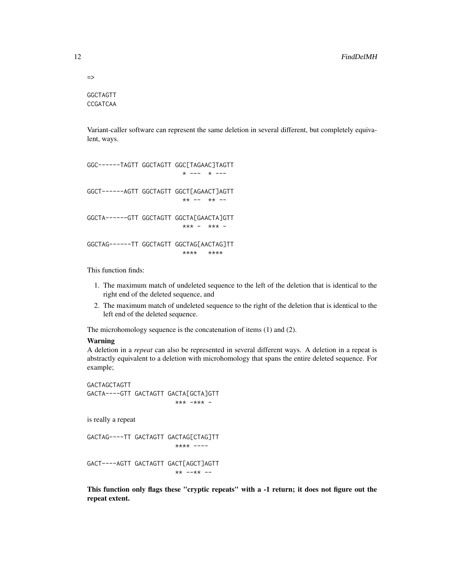=>

GGCTAGTT CCGATCAA

Variant-caller software can represent the same deletion in several different, but completely equivalent, ways.

```
GGC------TAGTT GGCTAGTT GGC[TAGAAC]TAGTT
                         * --- * ---
GGCT------AGTT GGCTAGTT GGCT[AGAACT]AGTT
                         ** -- ** --
GGCTA------GTT GGCTAGTT GGCTA[GAACTA]GTT
                         *** - *** -
GGCTAG------TT GGCTAGTT GGCTAG[AACTAG]TT
                         **** ****
```
This function finds:

- 1. The maximum match of undeleted sequence to the left of the deletion that is identical to the right end of the deleted sequence, and
- 2. The maximum match of undeleted sequence to the right of the deletion that is identical to the left end of the deleted sequence.

The microhomology sequence is the concatenation of items (1) and (2).

#### Warning

A deletion in a *repeat* can also be represented in several different ways. A deletion in a repeat is abstractly equivalent to a deletion with microhomology that spans the entire deleted sequence. For example;

GACTAGCTAGTT GACTA----GTT GACTAGTT GACTA[GCTA]GTT \*\*\* -\*\*\* -

is really a repeat

GACTAG----TT GACTAGTT GACTAG[CTAG]TT \*\*\*\* ----

GACT----AGTT GACTAGTT GACT[AGCT]AGTT \*\* --\*\* --

This function only flags these "cryptic repeats" with a -1 return; it does not figure out the repeat extent.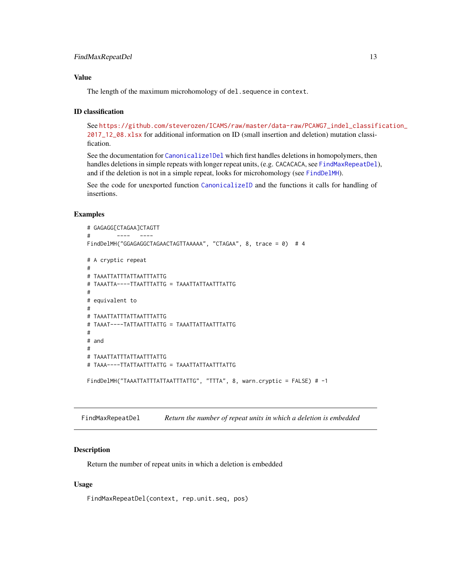# <span id="page-12-0"></span>FindMaxRepeatDel 13

# Value

The length of the maximum microhomology of del. sequence in context.

# ID classification

See [https://github.com/steverozen/ICAMS/raw/master/data-raw/PCAWG7\\_indel\\_classif](https://github.com/steverozen/ICAMS/raw/master/data-raw/PCAWG7_indel_classification_2017_12_08.xlsx)ication\_ [2017\\_12\\_08.xlsx](https://github.com/steverozen/ICAMS/raw/master/data-raw/PCAWG7_indel_classification_2017_12_08.xlsx) for additional information on ID (small insertion and deletion) mutation classification.

See the documentation for [Canonicalize1Del](#page-7-1) which first handles deletions in homopolymers, then handles deletions in simple repeats with longer repeat units, (e.g. CACACACA, see [FindMaxRepeatDel](#page-12-1)), and if the deletion is not in a simple repeat, looks for microhomology (see [FindDelMH](#page-10-1)).

See the code for unexported function [CanonicalizeID](#page-0-0) and the functions it calls for handling of insertions.

# Examples

```
# GAGAGG[CTAGAA]CTAGTT
# ---- ----
FindDelMH("GGAGAGGCTAGAACTAGTTAAAAA", "CTAGAA", 8, trace = 0) # 4
# A cryptic repeat
#
# TAAATTATTTATTAATTTATTG
# TAAATTA----TTAATTTATTG = TAAATTATTAATTTATTG
#
# equivalent to
#
# TAAATTATTTATTAATTTATTG
# TAAAT----TATTAATTTATTG = TAAATTATTAATTTATTG
#
# and
#
# TAAATTATTTATTAATTTATTG
# TAAA----TTATTAATTTATTG = TAAATTATTAATTTATTG
FindDelMH("TAAATTATTTATTAATTTATTG", "TTTA", 8, warn.cryptic = FALSE) # -1
```
<span id="page-12-1"></span>FindMaxRepeatDel *Return the number of repeat units in which a deletion is embedded*

#### Description

Return the number of repeat units in which a deletion is embedded

#### Usage

FindMaxRepeatDel(context, rep.unit.seq, pos)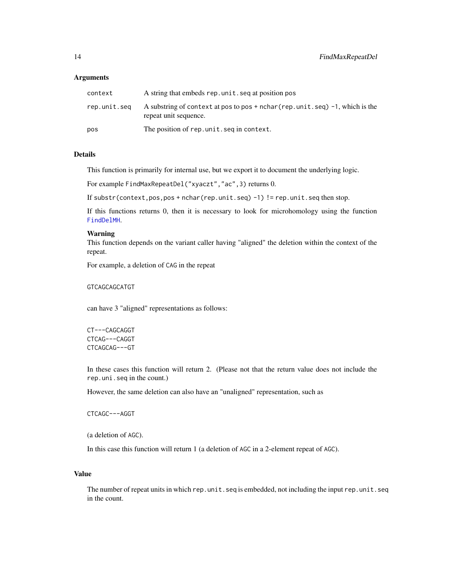#### **Arguments**

| context      | A string that embeds rep. unit, seq at position pos                                                          |
|--------------|--------------------------------------------------------------------------------------------------------------|
| rep.unit.seq | A substring of context at pos to pos $+$ nchar (rep. unit. seq) $-1$ , which is the<br>repeat unit sequence. |
| pos          | The position of rep. unit. seg in context.                                                                   |

# Details

This function is primarily for internal use, but we export it to document the underlying logic.

For example FindMaxRepeatDel("xyaczt","ac",3) returns 0.

If substr(context,pos,pos + nchar(rep.unit.seq) -1) != rep.unit.seq then stop.

If this functions returns 0, then it is necessary to look for microhomology using the function [FindDelMH](#page-10-1).

#### Warning

This function depends on the variant caller having "aligned" the deletion within the context of the repeat.

For example, a deletion of CAG in the repeat

GTCAGCAGCATGT

can have 3 "aligned" representations as follows:

CT---CAGCAGGT CTCAG---CAGGT CTCAGCAG---GT

In these cases this function will return 2. (Please not that the return value does not include the rep.uni.seq in the count.)

However, the same deletion can also have an "unaligned" representation, such as

CTCAGC---AGGT

(a deletion of AGC).

In this case this function will return 1 (a deletion of AGC in a 2-element repeat of AGC).

#### Value

The number of repeat units in which rep.unit.seq is embedded, not including the input rep.unit.seq in the count.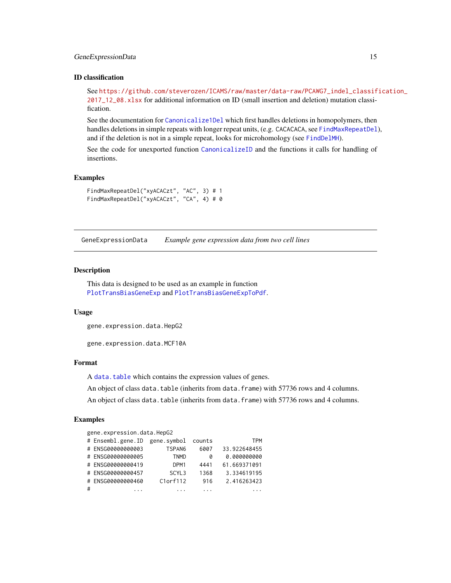# <span id="page-14-0"></span>GeneExpressionData 15

# ID classification

See [https://github.com/steverozen/ICAMS/raw/master/data-raw/PCAWG7\\_indel\\_classif](https://github.com/steverozen/ICAMS/raw/master/data-raw/PCAWG7_indel_classification_2017_12_08.xlsx)ication\_ [2017\\_12\\_08.xlsx](https://github.com/steverozen/ICAMS/raw/master/data-raw/PCAWG7_indel_classification_2017_12_08.xlsx) for additional information on ID (small insertion and deletion) mutation classification.

See the documentation for [Canonicalize1Del](#page-7-1) which first handles deletions in homopolymers, then handles deletions in simple repeats with longer repeat units, (e.g. CACACACA, see [FindMaxRepeatDel](#page-12-1)), and if the deletion is not in a simple repeat, looks for microhomology (see [FindDelMH](#page-10-1)).

See the code for unexported function [CanonicalizeID](#page-0-0) and the functions it calls for handling of insertions.

# Examples

FindMaxRepeatDel("xyACACzt", "AC", 3) # 1 FindMaxRepeatDel("xyACACzt", "CA", 4) # 0

<span id="page-14-1"></span>GeneExpressionData *Example gene expression data from two cell lines*

#### Description

This data is designed to be used as an example in function [PlotTransBiasGeneExp](#page-31-1) and [PlotTransBiasGeneExpToPdf](#page-33-1).

#### Usage

gene.expression.data.HepG2

gene.expression.data.MCF10A

#### Format

A [data.table](#page-0-0) which contains the expression values of genes.

An object of class data.table (inherits from data.frame) with 57736 rows and 4 columns.

An object of class data.table (inherits from data.frame) with 57736 rows and 4 columns.

|   | gene.expression.data.HepG2    |                   |        |              |
|---|-------------------------------|-------------------|--------|--------------|
|   | # Ensembl.gene.ID gene.symbol |                   | counts | TPM          |
|   | # ENSG00000000003             | TSPAN6            | 6007   | 33.922648455 |
|   | # ENSG00000000005             | <b>TNMD</b>       | 0      | 0.000000000  |
|   | # ENSG00000000419             | DPM1              | 4441   | 61.669371091 |
|   | # ENSG0000000457              | SCYL <sub>3</sub> | 1368   | 3.334619195  |
|   | # ENSG00000000460             | $C1$ orf $112$    | 916    | 2.416263423  |
| # |                               |                   |        |              |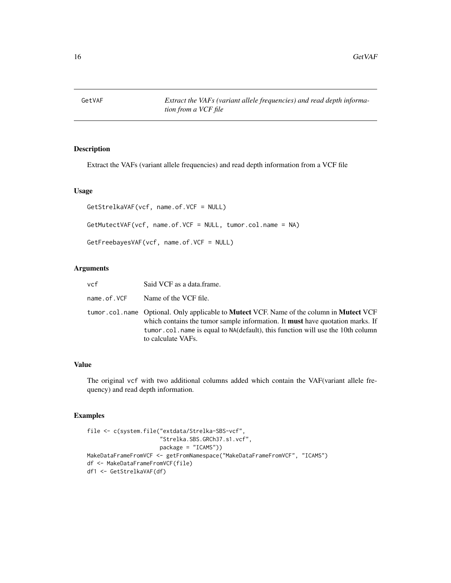<span id="page-15-0"></span>GetVAF *Extract the VAFs (variant allele frequencies) and read depth information from a VCF file*

# <span id="page-15-1"></span>Description

Extract the VAFs (variant allele frequencies) and read depth information from a VCF file

# Usage

```
GetStrelkaVAF(vcf, name.of.VCF = NULL)
GetMutectVAF(vcf, name.of.VCF = NULL, tumor.col.name = NA)
GetFreebayesVAF(vcf, name.of.VCF = NULL)
```
# Arguments

| vcf         | Said VCF as a data.frame.                                                                                                                                                                                                                                                                              |
|-------------|--------------------------------------------------------------------------------------------------------------------------------------------------------------------------------------------------------------------------------------------------------------------------------------------------------|
| name.of.VCF | Name of the VCF file.                                                                                                                                                                                                                                                                                  |
|             | tumor.col.name Optional. Only applicable to <b>Mutect</b> VCF. Name of the column in <b>Mutect</b> VCF<br>which contains the tumor sample information. It <b>must</b> have quotation marks. If<br>tumor.col.name is equal to NA(default), this function will use the 10th column<br>to calculate VAFs. |

# Value

The original vcf with two additional columns added which contain the VAF(variant allele frequency) and read depth information.

```
file <- c(system.file("extdata/Strelka-SBS-vcf",
                      "Strelka.SBS.GRCh37.s1.vcf",
                     package = "ICAMS"))
MakeDataFrameFromVCF <- getFromNamespace("MakeDataFrameFromVCF", "ICAMS")
df <- MakeDataFrameFromVCF(file)
df1 <- GetStrelkaVAF(df)
```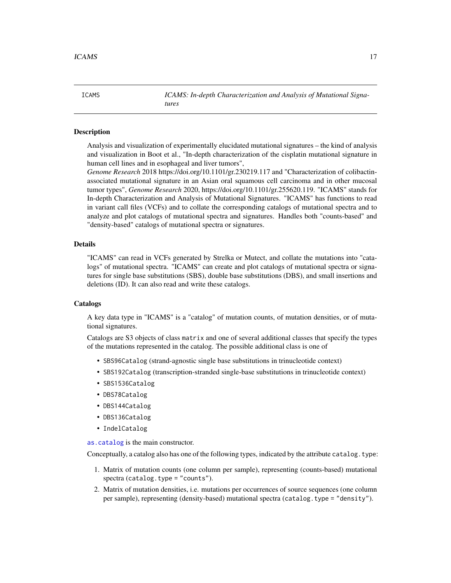<span id="page-16-1"></span>

<span id="page-16-0"></span>ICAMS *ICAMS: In-depth Characterization and Analysis of Mutational Signatures*

#### **Description**

Analysis and visualization of experimentally elucidated mutational signatures – the kind of analysis and visualization in Boot et al., "In-depth characterization of the cisplatin mutational signature in human cell lines and in esophageal and liver tumors",

*Genome Research* 2018 https://doi.org/10.1101/gr.230219.117 and "Characterization of colibactinassociated mutational signature in an Asian oral squamous cell carcinoma and in other mucosal tumor types", *Genome Research* 2020, https://doi.org/10.1101/gr.255620.119. "ICAMS" stands for In-depth Characterization and Analysis of Mutational Signatures. "ICAMS" has functions to read in variant call files (VCFs) and to collate the corresponding catalogs of mutational spectra and to analyze and plot catalogs of mutational spectra and signatures. Handles both "counts-based" and "density-based" catalogs of mutational spectra or signatures.

#### Details

"ICAMS" can read in VCFs generated by Strelka or Mutect, and collate the mutations into "catalogs" of mutational spectra. "ICAMS" can create and plot catalogs of mutational spectra or signatures for single base substitutions (SBS), double base substitutions (DBS), and small insertions and deletions (ID). It can also read and write these catalogs.

#### Catalogs

A key data type in "ICAMS" is a "catalog" of mutation counts, of mutation densities, or of mutational signatures.

Catalogs are S3 objects of class matrix and one of several additional classes that specify the types of the mutations represented in the catalog. The possible additional class is one of

- SBS96Catalog (strand-agnostic single base substitutions in trinucleotide context)
- SBS192Catalog (transcription-stranded single-base substitutions in trinucleotide context)
- SBS1536Catalog
- DBS78Catalog
- DBS144Catalog
- DBS136Catalog
- IndelCatalog

[as.catalog](#page-6-1) is the main constructor.

Conceptually, a catalog also has one of the following types, indicated by the attribute catalog.type:

- 1. Matrix of mutation counts (one column per sample), representing (counts-based) mutational  $spectra (catalog.type = "counts").$
- 2. Matrix of mutation densities, i.e. mutations per occurrences of source sequences (one column per sample), representing (density-based) mutational spectra (catalog.type = "density").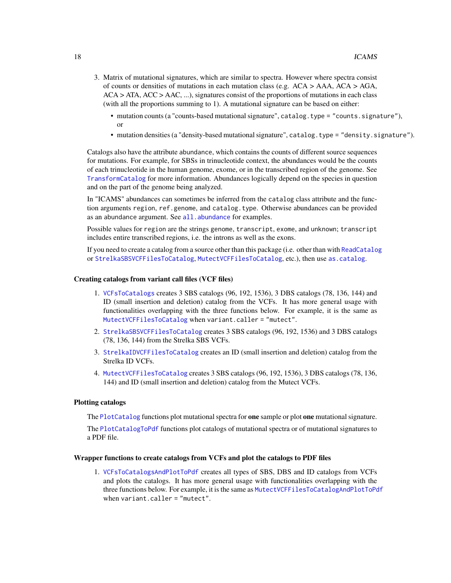- 3. Matrix of mutational signatures, which are similar to spectra. However where spectra consist of counts or densities of mutations in each mutation class (e.g.  $ACA > AAA$ ,  $ACA > AGA$ ,  $ACA > ATA$ ,  $ACC > AAC$ , ...), signatures consist of the proportions of mutations in each class (with all the proportions summing to 1). A mutational signature can be based on either:
	- mutation counts (a "counts-based mutational signature", catalog.type = "counts.signature"), or
	- mutation densities (a "density-based mutational signature", catalog.type = "density.signature").

Catalogs also have the attribute abundance, which contains the counts of different source sequences for mutations. For example, for SBSs in trinucleotide context, the abundances would be the counts of each trinucleotide in the human genome, exome, or in the transcribed region of the genome. See [TransformCatalog](#page-55-1) for more information. Abundances logically depend on the species in question and on the part of the genome being analyzed.

In "ICAMS" abundances can sometimes be inferred from the catalog class attribute and the function arguments region, ref.genome, and catalog.type. Otherwise abundances can be provided as an abundance argument. See [all.abundance](#page-2-1) for examples.

Possible values for region are the strings genome, transcript, exome, and unknown; transcript includes entire transcribed regions, i.e. the introns as well as the exons.

If you need to create a catalog from a source other than this package (i.e. other than with [ReadCatalog](#page-38-1) or [StrelkaSBSVCFFilesToCatalog](#page-47-1), [MutectVCFFilesToCatalog](#page-20-1), etc.), then use [as.catalog](#page-6-1).

#### Creating catalogs from variant call files (VCF files)

- 1. [VCFsToCatalogs](#page-57-1) creates 3 SBS catalogs (96, 192, 1536), 3 DBS catalogs (78, 136, 144) and ID (small insertion and deletion) catalog from the VCFs. It has more general usage with functionalities overlapping with the three functions below. For example, it is the same as [MutectVCFFilesToCatalog](#page-20-1) when variant.caller = "mutect".
- 2. [StrelkaSBSVCFFilesToCatalog](#page-47-1) creates 3 SBS catalogs (96, 192, 1536) and 3 DBS catalogs (78, 136, 144) from the Strelka SBS VCFs.
- 3. [StrelkaIDVCFFilesToCatalog](#page-41-1) creates an ID (small insertion and deletion) catalog from the Strelka ID VCFs.
- 4. [MutectVCFFilesToCatalog](#page-20-1) creates 3 SBS catalogs (96, 192, 1536), 3 DBS catalogs (78, 136, 144) and ID (small insertion and deletion) catalog from the Mutect VCFs.

#### Plotting catalogs

The [PlotCatalog](#page-28-1) functions plot mutational spectra for **one** sample or plot **one** mutational signature.

The [PlotCatalogToPdf](#page-29-1) functions plot catalogs of mutational spectra or of mutational signatures to a PDF file.

#### Wrapper functions to create catalogs from VCFs and plot the catalogs to PDF files

1. [VCFsToCatalogsAndPlotToPdf](#page-60-1) creates all types of SBS, DBS and ID catalogs from VCFs and plots the catalogs. It has more general usage with functionalities overlapping with the three functions below. For example, it is the same as [MutectVCFFilesToCatalogAndPlotToPdf](#page-22-1) when variant.caller = "mutect".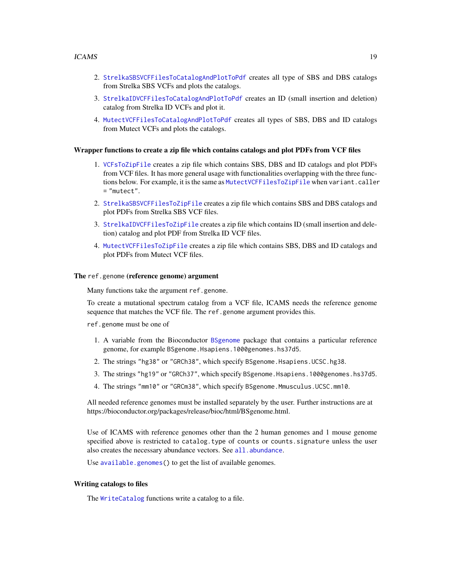- 2. [StrelkaSBSVCFFilesToCatalogAndPlotToPdf](#page-49-1) creates all type of SBS and DBS catalogs from Strelka SBS VCFs and plots the catalogs.
- 3. [StrelkaIDVCFFilesToCatalogAndPlotToPdf](#page-43-1) creates an ID (small insertion and deletion) catalog from Strelka ID VCFs and plot it.
- 4. [MutectVCFFilesToCatalogAndPlotToPdf](#page-22-1) creates all types of SBS, DBS and ID catalogs from Mutect VCFs and plots the catalogs.

#### Wrapper functions to create a zip file which contains catalogs and plot PDFs from VCF files

- 1. [VCFsToZipFile](#page-68-1) creates a zip file which contains SBS, DBS and ID catalogs and plot PDFs from VCF files. It has more general usage with functionalities overlapping with the three functions below. For example, it is the same as [MutectVCFFilesToZipFile](#page-25-1) when variant.caller = "mutect".
- 2. [StrelkaSBSVCFFilesToZipFile](#page-51-1) creates a zip file which contains SBS and DBS catalogs and plot PDFs from Strelka SBS VCF files.
- 3. [StrelkaIDVCFFilesToZipFile](#page-45-1) creates a zip file which contains ID (small insertion and deletion) catalog and plot PDF from Strelka ID VCF files.
- 4. [MutectVCFFilesToZipFile](#page-25-1) creates a zip file which contains SBS, DBS and ID catalogs and plot PDFs from Mutect VCF files.

#### The ref.genome (reference genome) argument

Many functions take the argument ref.genome.

To create a mutational spectrum catalog from a VCF file, ICAMS needs the reference genome sequence that matches the VCF file. The ref.genome argument provides this.

ref.genome must be one of

- 1. A variable from the Bioconductor [BSgenome](#page-0-0) package that contains a particular reference genome, for example BSgenome.Hsapiens.1000genomes.hs37d5.
- 2. The strings "hg38" or "GRCh38", which specify BSgenome.Hsapiens.UCSC.hg38.
- 3. The strings "hg19" or "GRCh37", which specify BSgenome.Hsapiens.1000genomes.hs37d5.
- 4. The strings "mm10" or "GRCm38", which specify BSgenome.Mmusculus.UCSC.mm10.

All needed reference genomes must be installed separately by the user. Further instructions are at https://bioconductor.org/packages/release/bioc/html/BSgenome.html.

Use of ICAMS with reference genomes other than the 2 human genomes and 1 mouse genome specified above is restricted to catalog.type of counts or counts.signature unless the user also creates the necessary abundance vectors. See [all.abundance](#page-2-1).

Use [available.genomes\(](#page-0-0)) to get the list of available genomes.

#### Writing catalogs to files

The [WriteCatalog](#page-71-1) functions write a catalog to a file.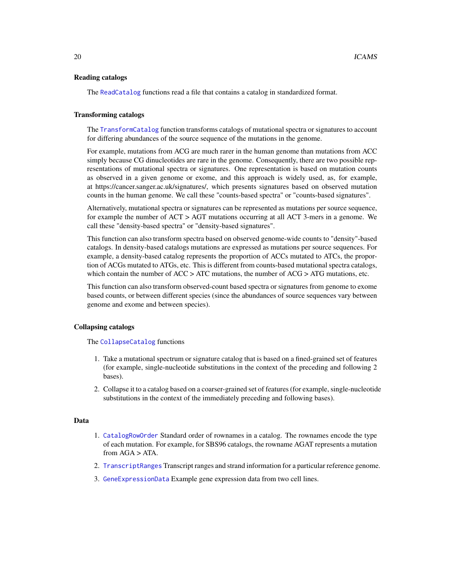#### Reading catalogs

The [ReadCatalog](#page-38-1) functions read a file that contains a catalog in standardized format.

#### Transforming catalogs

The [TransformCatalog](#page-55-1) function transforms catalogs of mutational spectra or signatures to account for differing abundances of the source sequence of the mutations in the genome.

For example, mutations from ACG are much rarer in the human genome than mutations from ACC simply because CG dinucleotides are rare in the genome. Consequently, there are two possible representations of mutational spectra or signatures. One representation is based on mutation counts as observed in a given genome or exome, and this approach is widely used, as, for example, at https://cancer.sanger.ac.uk/signatures/, which presents signatures based on observed mutation counts in the human genome. We call these "counts-based spectra" or "counts-based signatures".

Alternatively, mutational spectra or signatures can be represented as mutations per source sequence, for example the number of ACT > AGT mutations occurring at all ACT 3-mers in a genome. We call these "density-based spectra" or "density-based signatures".

This function can also transform spectra based on observed genome-wide counts to "density"-based catalogs. In density-based catalogs mutations are expressed as mutations per source sequences. For example, a density-based catalog represents the proportion of ACCs mutated to ATCs, the proportion of ACGs mutated to ATGs, etc. This is different from counts-based mutational spectra catalogs, which contain the number of  $ACC > ATC$  mutations, the number of  $ACG > ATG$  mutations, etc.

This function can also transform observed-count based spectra or signatures from genome to exome based counts, or between different species (since the abundances of source sequences vary between genome and exome and between species).

#### Collapsing catalogs

#### The [CollapseCatalog](#page-9-1) functions

- 1. Take a mutational spectrum or signature catalog that is based on a fined-grained set of features (for example, single-nucleotide substitutions in the context of the preceding and following 2 bases).
- 2. Collapse it to a catalog based on a coarser-grained set of features (for example, single-nucleotide substitutions in the context of the immediately preceding and following bases).

# Data

- 1. [CatalogRowOrder](#page-8-1) Standard order of rownames in a catalog. The rownames encode the type of each mutation. For example, for SBS96 catalogs, the rowname AGAT represents a mutation from  $AGA > ATA$ .
- 2. [TranscriptRanges](#page-53-1) Transcript ranges and strand information for a particular reference genome.
- 3. [GeneExpressionData](#page-14-1) Example gene expression data from two cell lines.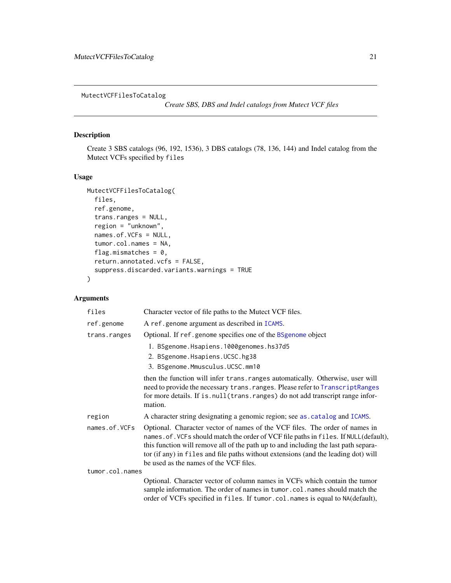<span id="page-20-1"></span><span id="page-20-0"></span>MutectVCFFilesToCatalog

*Create SBS, DBS and Indel catalogs from Mutect VCF files*

# Description

Create 3 SBS catalogs (96, 192, 1536), 3 DBS catalogs (78, 136, 144) and Indel catalog from the Mutect VCFs specified by files

#### Usage

```
MutectVCFFilesToCatalog(
  files,
  ref.genome,
  trans.ranges = NULL,
  region = "unknown",
  names.of.VCFs = NULL,
  tumor.col.names = NA,
  flag.mismatches = 0,
  return.annotated.vcfs = FALSE,
  suppress.discarded.variants.warnings = TRUE
)
```
# Arguments

| files           | Character vector of file paths to the Mutect VCF files.                                                                                                                                                                                                                                                                                                                                    |
|-----------------|--------------------------------------------------------------------------------------------------------------------------------------------------------------------------------------------------------------------------------------------------------------------------------------------------------------------------------------------------------------------------------------------|
| ref.genome      | A ref.genome argument as described in ICAMS.                                                                                                                                                                                                                                                                                                                                               |
| trans.ranges    | Optional. If ref.genome specifies one of the BSgenome object                                                                                                                                                                                                                                                                                                                               |
|                 | 1. BSgenome.Hsapiens.1000genomes.hs37d5                                                                                                                                                                                                                                                                                                                                                    |
|                 | 2. BSgenome.Hsapiens.UCSC.hg38                                                                                                                                                                                                                                                                                                                                                             |
|                 | 3. BSgenome.Mmusculus.UCSC.mm10                                                                                                                                                                                                                                                                                                                                                            |
|                 | then the function will infer trans. ranges automatically. Otherwise, user will<br>need to provide the necessary trans. ranges. Please refer to TranscriptRanges<br>for more details. If is . null (trans. ranges) do not add transcript range infor-<br>mation.                                                                                                                            |
| region          | A character string designating a genomic region; see as . catalog and ICAMS.                                                                                                                                                                                                                                                                                                               |
| names.of.VCFs   | Optional. Character vector of names of the VCF files. The order of names in<br>names. of. VCFs should match the order of VCF file paths in files. If NULL(default),<br>this function will remove all of the path up to and including the last path separa-<br>tor (if any) in files and file paths without extensions (and the leading dot) will<br>be used as the names of the VCF files. |
| tumor.col.names |                                                                                                                                                                                                                                                                                                                                                                                            |
|                 | Optional. Character vector of column names in VCFs which contain the tumor<br>sample information. The order of names in tumor.col.names should match the<br>order of VCFs specified in files. If tumor.col.names is equal to NA(default),                                                                                                                                                  |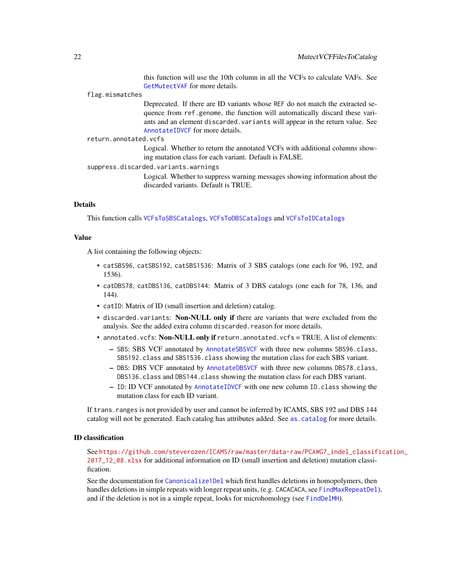this function will use the 10th column in all the VCFs to calculate VAFs. See [GetMutectVAF](#page-15-1) for more details.

#### flag.mismatches

Deprecated. If there are ID variants whose REF do not match the extracted sequence from ref.genome, the function will automatically discard these variants and an element discarded.variants will appear in the return value. See [AnnotateIDVCF](#page-4-1) for more details.

return.annotated.vcfs

Logical. Whether to return the annotated VCFs with additional columns showing mutation class for each variant. Default is FALSE.

suppress.discarded.variants.warnings

Logical. Whether to suppress warning messages showing information about the discarded variants. Default is TRUE.

#### Details

This function calls [VCFsToSBSCatalogs](#page-66-1), [VCFsToDBSCatalogs](#page-63-1) and [VCFsToIDCatalogs](#page-65-1)

#### Value

A list containing the following objects:

- catSBS96, catSBS192, catSBS1536: Matrix of 3 SBS catalogs (one each for 96, 192, and 1536).
- catDBS78, catDBS136, catDBS144: Matrix of 3 DBS catalogs (one each for 78, 136, and 144).
- catID: Matrix of ID (small insertion and deletion) catalog.
- discarded.variants: Non-NULL only if there are variants that were excluded from the analysis. See the added extra column discarded.reason for more details.
- annotated.vcfs: Non-NULL only if return.annotated.vcfs = TRUE. A list of elements:
	- SBS: SBS VCF annotated by [AnnotateSBSVCF](#page-5-1) with three new columns SBS96.class, SBS192.class and SBS1536.class showing the mutation class for each SBS variant.
	- DBS: DBS VCF annotated by [AnnotateDBSVCF](#page-3-1) with three new columns DBS78.class, DBS136.class and DBS144.class showing the mutation class for each DBS variant.
	- ID: ID VCF annotated by [AnnotateIDVCF](#page-4-1) with one new column ID.class showing the mutation class for each ID variant.

If trans.ranges is not provided by user and cannot be inferred by ICAMS, SBS 192 and DBS 144 catalog will not be generated. Each catalog has attributes added. See [as.catalog](#page-6-1) for more details.

#### ID classification

See [https://github.com/steverozen/ICAMS/raw/master/data-raw/PCAWG7\\_indel\\_classif](https://github.com/steverozen/ICAMS/raw/master/data-raw/PCAWG7_indel_classification_2017_12_08.xlsx)ication\_ [2017\\_12\\_08.xlsx](https://github.com/steverozen/ICAMS/raw/master/data-raw/PCAWG7_indel_classification_2017_12_08.xlsx) for additional information on ID (small insertion and deletion) mutation classification.

See the documentation for [Canonicalize1Del](#page-7-1) which first handles deletions in homopolymers, then handles deletions in simple repeats with longer repeat units, (e.g. CACACACA, see [FindMaxRepeatDel](#page-12-1)), and if the deletion is not in a simple repeat, looks for microhomology (see [FindDelMH](#page-10-1)).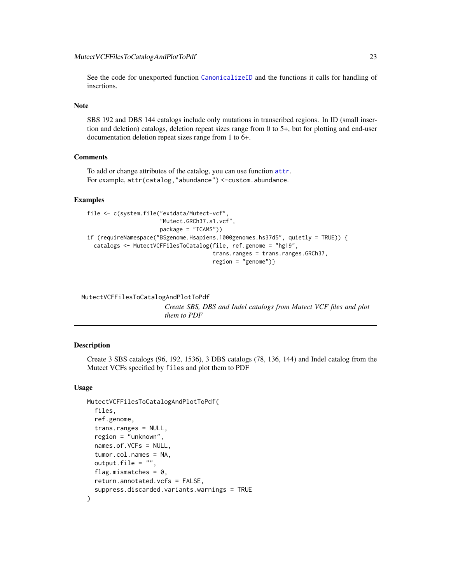<span id="page-22-0"></span>See the code for unexported function [CanonicalizeID](#page-0-0) and the functions it calls for handling of insertions.

#### Note

SBS 192 and DBS 144 catalogs include only mutations in transcribed regions. In ID (small insertion and deletion) catalogs, deletion repeat sizes range from 0 to 5+, but for plotting and end-user documentation deletion repeat sizes range from 1 to 6+.

#### **Comments**

To add or change attributes of the catalog, you can use function [attr](#page-0-0). For example, attr(catalog,"abundance") <-custom.abundance.

#### Examples

```
file <- c(system.file("extdata/Mutect-vcf",
                      "Mutect.GRCh37.s1.vcf",
                      package = "ICAMS"))
if (requireNamespace("BSgenome.Hsapiens.1000genomes.hs37d5", quietly = TRUE)) {
 catalogs <- MutectVCFFilesToCatalog(file, ref.genome = "hg19",
                                      trans.ranges = trans.ranges.GRCh37,
                                      region = "genome")}
```

```
MutectVCFFilesToCatalogAndPlotToPdf
```
*Create SBS, DBS and Indel catalogs from Mutect VCF files and plot them to PDF*

#### Description

Create 3 SBS catalogs (96, 192, 1536), 3 DBS catalogs (78, 136, 144) and Indel catalog from the Mutect VCFs specified by files and plot them to PDF

#### Usage

```
MutectVCFFilesToCatalogAndPlotToPdf(
  files,
  ref.genome,
  trans.ranges = NULL,
  region = "unknown",
  names.of.VCFs = NULL,
  tumor.col.names = NA,
  output.file = "",flag.mismatches = 0.
  return.annotated.vcfs = FALSE,
  suppress.discarded.variants.warnings = TRUE
)
```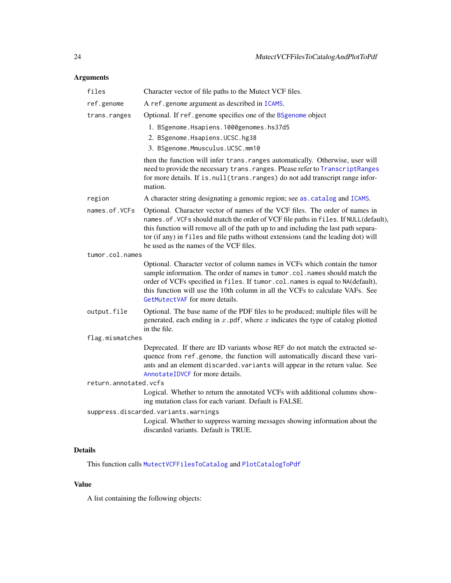# Arguments

| files                 | Character vector of file paths to the Mutect VCF files.                                                                                                                                                                                                                                                                                                                                   |
|-----------------------|-------------------------------------------------------------------------------------------------------------------------------------------------------------------------------------------------------------------------------------------------------------------------------------------------------------------------------------------------------------------------------------------|
| ref.genome            | A ref.genome argument as described in ICAMS.                                                                                                                                                                                                                                                                                                                                              |
| trans.ranges          | Optional. If ref.genome specifies one of the BSgenome object                                                                                                                                                                                                                                                                                                                              |
|                       | 1. BSgenome.Hsapiens.1000genomes.hs37d5<br>2. BSgenome.Hsapiens.UCSC.hg38<br>3. BSgenome.Mmusculus.UCSC.mm10                                                                                                                                                                                                                                                                              |
|                       | then the function will infer trans. ranges automatically. Otherwise, user will<br>need to provide the necessary trans. ranges. Please refer to TranscriptRanges<br>for more details. If is.null(trans.ranges) do not add transcript range infor-<br>mation.                                                                                                                               |
| region                | A character string designating a genomic region; see as . catalog and ICAMS.                                                                                                                                                                                                                                                                                                              |
| names.of.VCFs         | Optional. Character vector of names of the VCF files. The order of names in<br>names.of. VCFs should match the order of VCF file paths in files. If NULL(default),<br>this function will remove all of the path up to and including the last path separa-<br>tor (if any) in files and file paths without extensions (and the leading dot) will<br>be used as the names of the VCF files. |
| tumor.col.names       |                                                                                                                                                                                                                                                                                                                                                                                           |
|                       | Optional. Character vector of column names in VCFs which contain the tumor<br>sample information. The order of names in tumor.col.names should match the<br>order of VCFs specified in files. If tumor.col.names is equal to NA(default),<br>this function will use the 10th column in all the VCFs to calculate VAFs. See<br>GetMutectVAF for more details.                              |
| output.file           | Optional. The base name of the PDF files to be produced; multiple files will be<br>generated, each ending in $x$ . pdf, where $x$ indicates the type of catalog plotted<br>in the file.                                                                                                                                                                                                   |
| flag.mismatches       |                                                                                                                                                                                                                                                                                                                                                                                           |
|                       | Deprecated. If there are ID variants whose REF do not match the extracted se-<br>quence from ref.genome, the function will automatically discard these vari-<br>ants and an element discarded. variants will appear in the return value. See<br>AnnotateIDVCF for more details.                                                                                                           |
| return.annotated.vcfs |                                                                                                                                                                                                                                                                                                                                                                                           |
|                       | Logical. Whether to return the annotated VCFs with additional columns show-<br>ing mutation class for each variant. Default is FALSE.                                                                                                                                                                                                                                                     |
|                       | suppress.discarded.variants.warnings                                                                                                                                                                                                                                                                                                                                                      |
|                       | Logical. Whether to suppress warning messages showing information about the<br>discarded variants. Default is TRUE.                                                                                                                                                                                                                                                                       |
| <b>Details</b>        |                                                                                                                                                                                                                                                                                                                                                                                           |

This function calls [MutectVCFFilesToCatalog](#page-20-1) and [PlotCatalogToPdf](#page-29-1)

# Value

A list containing the following objects: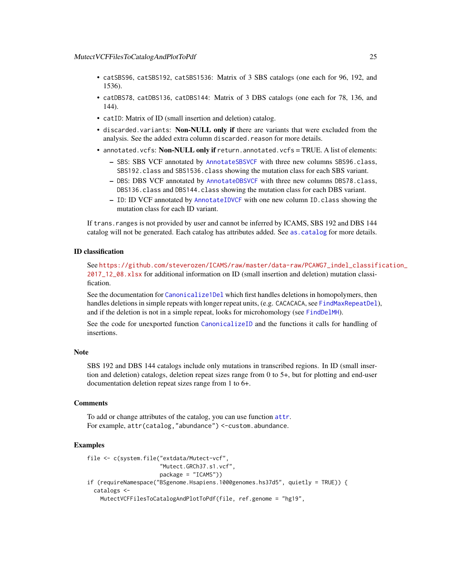- catSBS96, catSBS192, catSBS1536: Matrix of 3 SBS catalogs (one each for 96, 192, and 1536).
- catDBS78, catDBS136, catDBS144: Matrix of 3 DBS catalogs (one each for 78, 136, and 144).
- catID: Matrix of ID (small insertion and deletion) catalog.
- discarded.variants: Non-NULL only if there are variants that were excluded from the analysis. See the added extra column discarded.reason for more details.
- annotated.vcfs: Non-NULL only if return.annotated.vcfs = TRUE. A list of elements:
	- SBS: SBS VCF annotated by [AnnotateSBSVCF](#page-5-1) with three new columns SBS96.class, SBS192.class and SBS1536.class showing the mutation class for each SBS variant.
	- DBS: DBS VCF annotated by [AnnotateDBSVCF](#page-3-1) with three new columns DBS78.class, DBS136.class and DBS144.class showing the mutation class for each DBS variant.
	- ID: ID VCF annotated by [AnnotateIDVCF](#page-4-1) with one new column ID.class showing the mutation class for each ID variant.

If trans.ranges is not provided by user and cannot be inferred by ICAMS, SBS 192 and DBS 144 catalog will not be generated. Each catalog has attributes added. See [as.catalog](#page-6-1) for more details.

# ID classification

See [https://github.com/steverozen/ICAMS/raw/master/data-raw/PCAWG7\\_indel\\_classif](https://github.com/steverozen/ICAMS/raw/master/data-raw/PCAWG7_indel_classification_2017_12_08.xlsx)ication\_ [2017\\_12\\_08.xlsx](https://github.com/steverozen/ICAMS/raw/master/data-raw/PCAWG7_indel_classification_2017_12_08.xlsx) for additional information on ID (small insertion and deletion) mutation classification.

See the documentation for [Canonicalize1Del](#page-7-1) which first handles deletions in homopolymers, then handles deletions in simple repeats with longer repeat units, (e.g. CACACACA, see [FindMaxRepeatDel](#page-12-1)), and if the deletion is not in a simple repeat, looks for microhomology (see [FindDelMH](#page-10-1)).

See the code for unexported function [CanonicalizeID](#page-0-0) and the functions it calls for handling of insertions.

#### Note

SBS 192 and DBS 144 catalogs include only mutations in transcribed regions. In ID (small insertion and deletion) catalogs, deletion repeat sizes range from 0 to 5+, but for plotting and end-user documentation deletion repeat sizes range from 1 to 6+.

#### **Comments**

To add or change attributes of the catalog, you can use function [attr](#page-0-0). For example, attr(catalog,"abundance") <-custom.abundance.

```
file <- c(system.file("extdata/Mutect-vcf",
                      "Mutect.GRCh37.s1.vcf",
                     package = "ICAMS"))
if (requireNamespace("BSgenome.Hsapiens.1000genomes.hs37d5", quietly = TRUE)) {
 catalogs <-
   MutectVCFFilesToCatalogAndPlotToPdf(file, ref.genome = "hg19",
```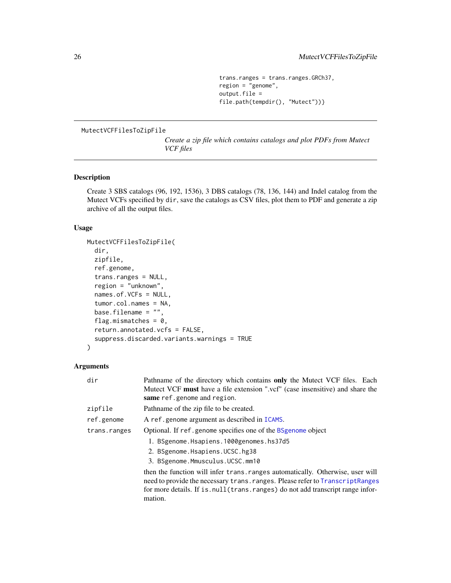```
trans.ranges = trans.ranges.GRCh37,
region = "genome",
output.file =
file.path(tempdir(), "Mutect"))}
```
# <span id="page-25-1"></span><span id="page-25-0"></span>MutectVCFFilesToZipFile

*Create a zip file which contains catalogs and plot PDFs from Mutect VCF files*

# Description

Create 3 SBS catalogs (96, 192, 1536), 3 DBS catalogs (78, 136, 144) and Indel catalog from the Mutect VCFs specified by dir, save the catalogs as CSV files, plot them to PDF and generate a zip archive of all the output files.

# Usage

```
MutectVCFFilesToZipFile(
  dir,
  zipfile,
  ref.genome,
  trans.ranges = NULL,
  region = "unknown",
  names.of.VCFs = NULL,
  tumor.col.names = NA,
 base.filename = ",
  flag.mismatches = 0,
  return.annotated.vcfs = FALSE,
  suppress.discarded.variants.warnings = TRUE
)
```
# Arguments

| dir          | Pathname of the directory which contains only the Mutect VCF files. Each<br>Mutect VCF must have a file extension ".vcf" (case insensitive) and share the<br>same ref.genome and region.                                                                       |
|--------------|----------------------------------------------------------------------------------------------------------------------------------------------------------------------------------------------------------------------------------------------------------------|
| zipfile      | Pathname of the zip file to be created.                                                                                                                                                                                                                        |
| ref.genome   | A ref.genome argument as described in ICAMS.                                                                                                                                                                                                                   |
| trans.ranges | Optional. If ref.genome specifies one of the BSgenome object                                                                                                                                                                                                   |
|              | 1. BSgenome.Hsapiens.1000genomes.hs37d5<br>2. BSgenome.Hsapiens.UCSC.hg38<br>3. BSgenome.Mmusculus.UCSC.mm10                                                                                                                                                   |
|              | then the function will infer trans. ranges automatically. Otherwise, user will<br>need to provide the necessary trans. ranges. Please refer to Transcript Ranges<br>for more details. If is null (trans. ranges) do not add transcript range infor-<br>mation. |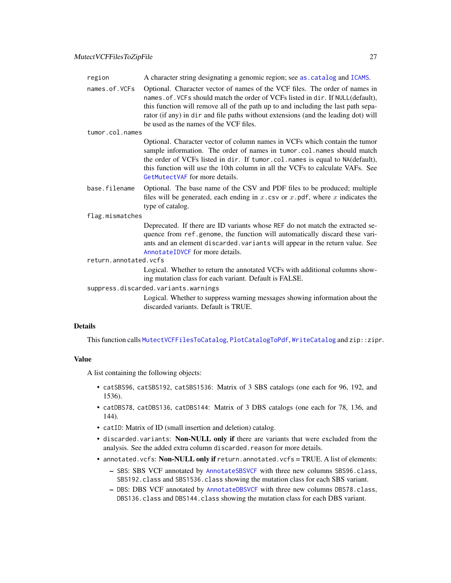| region                               | A character string designating a genomic region; see as . catalog and ICAMS.                                                                                                                                                                                                                                                                                                        |
|--------------------------------------|-------------------------------------------------------------------------------------------------------------------------------------------------------------------------------------------------------------------------------------------------------------------------------------------------------------------------------------------------------------------------------------|
| names.of.VCFs                        | Optional. Character vector of names of the VCF files. The order of names in<br>names. of. VCFs should match the order of VCFs listed in dir. If NULL(default),<br>this function will remove all of the path up to and including the last path sepa-<br>rator (if any) in dir and file paths without extensions (and the leading dot) will<br>be used as the names of the VCF files. |
| tumor.col.names                      |                                                                                                                                                                                                                                                                                                                                                                                     |
|                                      | Optional. Character vector of column names in VCFs which contain the tumor<br>sample information. The order of names in tumor.col.names should match<br>the order of VCFs listed in dir. If tumor.col.names is equal to NA(default),<br>this function will use the 10th column in all the VCFs to calculate VAFs. See<br>GetMutectVAF for more details.                             |
| base.filename                        | Optional. The base name of the CSV and PDF files to be produced; multiple<br>files will be generated, each ending in $x$ . csv or $x$ . pdf, where $x$ indicates the<br>type of catalog.                                                                                                                                                                                            |
| flag.mismatches                      |                                                                                                                                                                                                                                                                                                                                                                                     |
|                                      | Deprecated. If there are ID variants whose REF do not match the extracted se-<br>quence from ref.genome, the function will automatically discard these vari-<br>ants and an element discarded. variants will appear in the return value. See<br>AnnotateIDVCF for more details.                                                                                                     |
| return.annotated.vcfs                |                                                                                                                                                                                                                                                                                                                                                                                     |
|                                      | Logical. Whether to return the annotated VCFs with additional columns show-<br>ing mutation class for each variant. Default is FALSE.                                                                                                                                                                                                                                               |
| suppress.discarded.variants.warnings |                                                                                                                                                                                                                                                                                                                                                                                     |
|                                      | $\mathbf{I}$ and a $\mathbf{I}$ $\mathbf{M}$ $\mathbf{R}$ and $\mathbf{A}$ are compared to the continuous and continuous formulation of the state $\mathbf{A}$                                                                                                                                                                                                                      |

Logical. Whether to suppress warning messages showing information about the discarded variants. Default is TRUE.

# Details

This function calls [MutectVCFFilesToCatalog](#page-20-1), [PlotCatalogToPdf](#page-29-1), [WriteCatalog](#page-71-1) and zip::zipr.

#### Value

A list containing the following objects:

- catSBS96, catSBS192, catSBS1536: Matrix of 3 SBS catalogs (one each for 96, 192, and 1536).
- catDBS78, catDBS136, catDBS144: Matrix of 3 DBS catalogs (one each for 78, 136, and 144).
- catID: Matrix of ID (small insertion and deletion) catalog.
- discarded.variants: Non-NULL only if there are variants that were excluded from the analysis. See the added extra column discarded.reason for more details.
- annotated.vcfs: Non-NULL only if return.annotated.vcfs = TRUE. A list of elements:
	- SBS: SBS VCF annotated by [AnnotateSBSVCF](#page-5-1) with three new columns SBS96.class, SBS192.class and SBS1536.class showing the mutation class for each SBS variant.
	- DBS: DBS VCF annotated by [AnnotateDBSVCF](#page-3-1) with three new columns DBS78.class, DBS136.class and DBS144.class showing the mutation class for each DBS variant.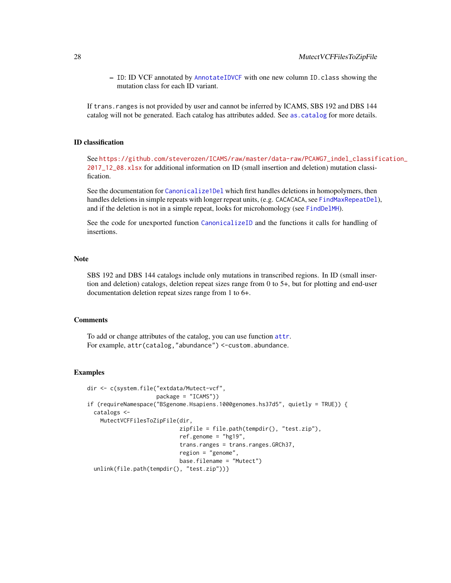– ID: ID VCF annotated by [AnnotateIDVCF](#page-4-1) with one new column ID.class showing the mutation class for each ID variant.

If trans.ranges is not provided by user and cannot be inferred by ICAMS, SBS 192 and DBS 144 catalog will not be generated. Each catalog has attributes added. See [as.catalog](#page-6-1) for more details.

# ID classification

See [https://github.com/steverozen/ICAMS/raw/master/data-raw/PCAWG7\\_indel\\_classif](https://github.com/steverozen/ICAMS/raw/master/data-raw/PCAWG7_indel_classification_2017_12_08.xlsx)ication\_ [2017\\_12\\_08.xlsx](https://github.com/steverozen/ICAMS/raw/master/data-raw/PCAWG7_indel_classification_2017_12_08.xlsx) for additional information on ID (small insertion and deletion) mutation classification.

See the documentation for [Canonicalize1Del](#page-7-1) which first handles deletions in homopolymers, then handles deletions in simple repeats with longer repeat units, (e.g. CACACACA, see [FindMaxRepeatDel](#page-12-1)), and if the deletion is not in a simple repeat, looks for microhomology (see [FindDelMH](#page-10-1)).

See the code for unexported function [CanonicalizeID](#page-0-0) and the functions it calls for handling of insertions.

## Note

SBS 192 and DBS 144 catalogs include only mutations in transcribed regions. In ID (small insertion and deletion) catalogs, deletion repeat sizes range from 0 to 5+, but for plotting and end-user documentation deletion repeat sizes range from 1 to 6+.

#### Comments

To add or change attributes of the catalog, you can use function [attr](#page-0-0). For example, attr(catalog,"abundance") <-custom.abundance.

```
dir <- c(system.file("extdata/Mutect-vcf",
                     package = "ICAMS"))
if (requireNamespace("BSgenome.Hsapiens.1000genomes.hs37d5", quietly = TRUE)) {
 catalogs <-
   MutectVCFFilesToZipFile(dir,
                            zipfile = file.path(tempdir(), "test.zip"),
                            ref.genome = "hg19",
                            trans.ranges = trans.ranges.GRCh37,
                            region = "genome",
                            base.filename = "Mutect")
 unlink(file.path(tempdir(), "test.zip"))}
```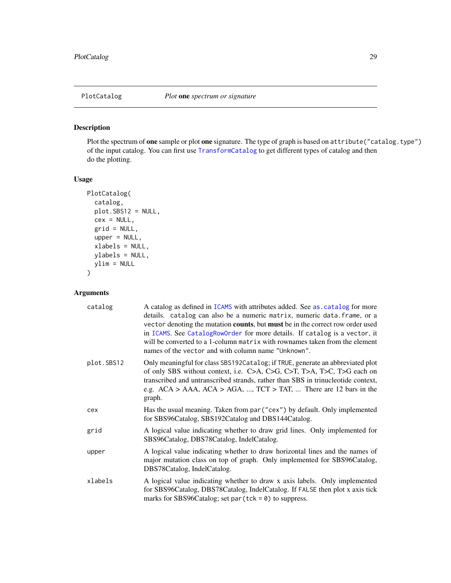# <span id="page-28-1"></span><span id="page-28-0"></span>Description

Plot the spectrum of one sample or plot one signature. The type of graph is based on attribute("catalog.type") of the input catalog. You can first use [TransformCatalog](#page-55-1) to get different types of catalog and then do the plotting.

# Usage

```
PlotCatalog(
 catalog,
 plot.SBS12 = NULL,
 cex = NULL,grid = NULL,upper = NULL,
 xlabels = NULL,
 ylabels = NULL,
 ylim = NULL
\mathcal{E}
```
# Arguments

| catalog    | A catalog as defined in ICAMS with attributes added. See as catalog for more<br>details. catalog can also be a numeric matrix, numeric data. frame, or a<br>vector denoting the mutation counts, but must be in the correct row order used<br>in ICAMS. See CatalogRowOrder for more details. If catalog is a vector, it<br>will be converted to a 1-column matrix with rownames taken from the element<br>names of the vector and with column name "Unknown". |
|------------|----------------------------------------------------------------------------------------------------------------------------------------------------------------------------------------------------------------------------------------------------------------------------------------------------------------------------------------------------------------------------------------------------------------------------------------------------------------|
| plot.SBS12 | Only meaningful for class SBS192Catalog; if TRUE, generate an abbreviated plot<br>of only SBS without context, i.e. C>A, C>G, C>T, T>A, T>C, T>G each on<br>transcribed and untranscribed strands, rather than SBS in trinucleotide context,<br>e.g. $ACA$ > AAA, $ACA$ > AGA, , $TCT$ > TAT,  There are 12 bars in the<br>graph.                                                                                                                              |
| cex        | Has the usual meaning. Taken from par ("cex") by default. Only implemented<br>for SBS96Catalog, SBS192Catalog and DBS144Catalog.                                                                                                                                                                                                                                                                                                                               |
| grid       | A logical value indicating whether to draw grid lines. Only implemented for<br>SBS96Catalog, DBS78Catalog, IndelCatalog.                                                                                                                                                                                                                                                                                                                                       |
| upper      | A logical value indicating whether to draw horizontal lines and the names of<br>major mutation class on top of graph. Only implemented for SBS96Catalog,<br>DBS78Catalog, IndelCatalog.                                                                                                                                                                                                                                                                        |
| xlabels    | A logical value indicating whether to draw x axis labels. Only implemented<br>for SBS96Catalog, DBS78Catalog, IndelCatalog. If FALSE then plot x axis tick<br>marks for SBS96Catalog; set par $(tck = 0)$ to suppress.                                                                                                                                                                                                                                         |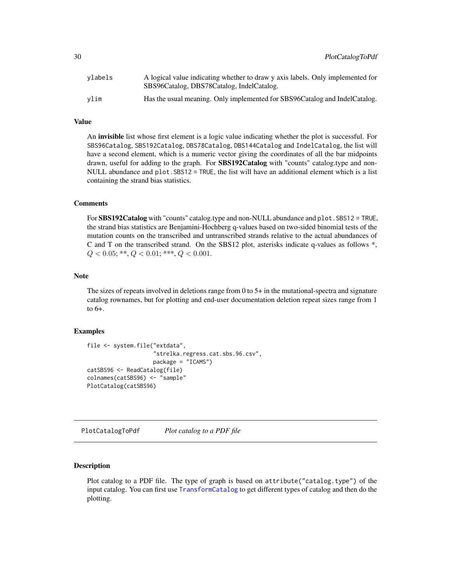<span id="page-29-0"></span>

| vlabels | A logical value indicating whether to draw y axis labels. Only implemented for<br>SBS96Catalog, DBS78Catalog, IndelCatalog. |
|---------|-----------------------------------------------------------------------------------------------------------------------------|
| vlim    | Has the usual meaning. Only implemented for SBS96Catalog and IndelCatalog.                                                  |

#### Value

An invisible list whose first element is a logic value indicating whether the plot is successful. For SBS96Catalog, SBS192Catalog, DBS78Catalog, DBS144Catalog and IndelCatalog, the list will have a second element, which is a numeric vector giving the coordinates of all the bar midpoints drawn, useful for adding to the graph. For **SBS192Catalog** with "counts" catalog.type and non-NULL abundance and plot.SBS12 = TRUE, the list will have an additional element which is a list containing the strand bias statistics.

#### Comments

For SBS192Catalog with "counts" catalog.type and non-NULL abundance and plot. SBS12 = TRUE, the strand bias statistics are Benjamini-Hochberg q-values based on two-sided binomial tests of the mutation counts on the transcribed and untranscribed strands relative to the actual abundances of C and T on the transcribed strand. On the SBS12 plot, asterisks indicate q-values as follows \*,  $Q < 0.05; **$ ,  $Q < 0.01;***$ ,  $Q < 0.001$ .

#### **Note**

The sizes of repeats involved in deletions range from 0 to 5+ in the mutational-spectra and signature catalog rownames, but for plotting and end-user documentation deletion repeat sizes range from 1 to 6+.

# Examples

```
file <- system.file("extdata",
                    "strelka.regress.cat.sbs.96.csv",
                    package = "ICAMS")
catSBS96 <- ReadCatalog(file)
colnames(catSBS96) <- "sample"
PlotCatalog(catSBS96)
```
<span id="page-29-1"></span>PlotCatalogToPdf *Plot catalog to a PDF file*

# Description

Plot catalog to a PDF file. The type of graph is based on attribute("catalog.type") of the input catalog. You can first use [TransformCatalog](#page-55-1) to get different types of catalog and then do the plotting.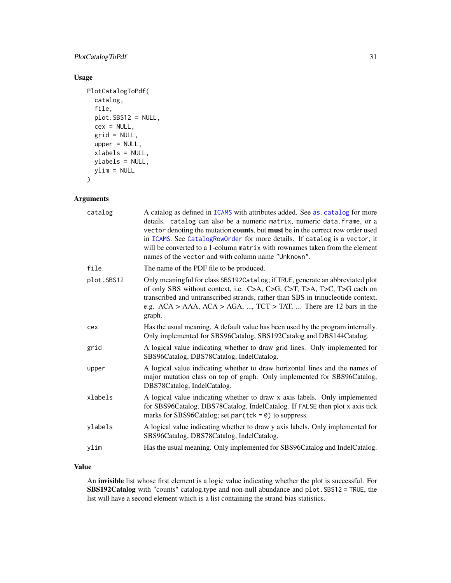# PlotCatalogToPdf 31

# Usage

```
PlotCatalogToPdf(
  catalog,
  file,
 plot.SBS12 = NULL,
  cex = NULL,grid = NULL,upper = NULL,
  xlabels = NULL,
 ylabels = NULL,
 ylim = NULL
\mathcal{E}
```
# Arguments

| catalog    | A catalog as defined in ICAMS with attributes added. See as catalog for more<br>details. catalog can also be a numeric matrix, numeric data. frame, or a<br>vector denoting the mutation counts, but must be in the correct row order used<br>in ICAMS. See CatalogRowOrder for more details. If catalog is a vector, it<br>will be converted to a 1-column matrix with rownames taken from the element<br>names of the vector and with column name "Unknown". |
|------------|----------------------------------------------------------------------------------------------------------------------------------------------------------------------------------------------------------------------------------------------------------------------------------------------------------------------------------------------------------------------------------------------------------------------------------------------------------------|
| file       | The name of the PDF file to be produced.                                                                                                                                                                                                                                                                                                                                                                                                                       |
| plot.SBS12 | Only meaningful for class SBS192Catalog; if TRUE, generate an abbreviated plot<br>of only SBS without context, i.e. C>A, C>G, C>T, T>A, T>C, T>G each on<br>transcribed and untranscribed strands, rather than SBS in trinucleotide context,<br>e.g. $ACA$ > AAA, $ACA$ > AGA, , $TCT$ > TAT,  There are 12 bars in the<br>graph.                                                                                                                              |
| cex        | Has the usual meaning. A default value has been used by the program internally.<br>Only implemented for SBS96Catalog, SBS192Catalog and DBS144Catalog.                                                                                                                                                                                                                                                                                                         |
| grid       | A logical value indicating whether to draw grid lines. Only implemented for<br>SBS96Catalog, DBS78Catalog, IndelCatalog.                                                                                                                                                                                                                                                                                                                                       |
| upper      | A logical value indicating whether to draw horizontal lines and the names of<br>major mutation class on top of graph. Only implemented for SBS96Catalog,<br>DBS78Catalog, IndelCatalog.                                                                                                                                                                                                                                                                        |
| xlabels    | A logical value indicating whether to draw x axis labels. Only implemented<br>for SBS96Catalog, DBS78Catalog, IndelCatalog. If FALSE then plot x axis tick<br>marks for SBS96Catalog; set par $(tck = 0)$ to suppress.                                                                                                                                                                                                                                         |
| vlabels    | A logical value indicating whether to draw y axis labels. Only implemented for<br>SBS96Catalog, DBS78Catalog, IndelCatalog.                                                                                                                                                                                                                                                                                                                                    |
| ylim       | Has the usual meaning. Only implemented for SBS96Catalog and IndelCatalog.                                                                                                                                                                                                                                                                                                                                                                                     |
|            |                                                                                                                                                                                                                                                                                                                                                                                                                                                                |

# Value

An invisible list whose first element is a logic value indicating whether the plot is successful. For SBS192Catalog with "counts" catalog.type and non-null abundance and plot.SBS12 = TRUE, the list will have a second element which is a list containing the strand bias statistics.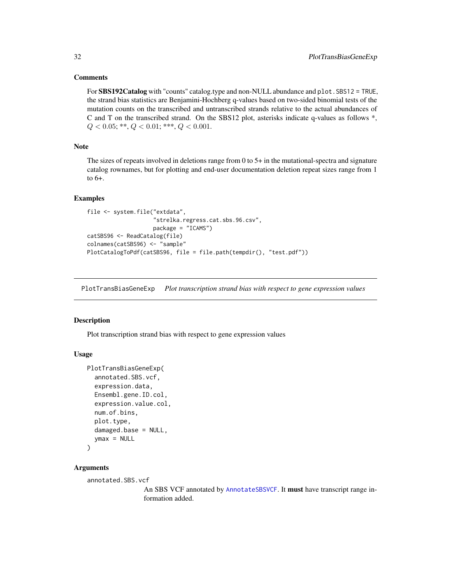#### <span id="page-31-0"></span>**Comments**

For SBS192Catalog with "counts" catalog.type and non-NULL abundance and plot. SBS12 = TRUE, the strand bias statistics are Benjamini-Hochberg q-values based on two-sided binomial tests of the mutation counts on the transcribed and untranscribed strands relative to the actual abundances of C and T on the transcribed strand. On the SBS12 plot, asterisks indicate q-values as follows \*,  $Q < 0.05; **$ ,  $Q < 0.01;***$ ,  $Q < 0.001$ .

# Note

The sizes of repeats involved in deletions range from 0 to 5+ in the mutational-spectra and signature catalog rownames, but for plotting and end-user documentation deletion repeat sizes range from 1 to 6+.

# Examples

```
file <- system.file("extdata",
                    "strelka.regress.cat.sbs.96.csv",
                    package = "ICAMS")
catSBS96 <- ReadCatalog(file)
colnames(catSBS96) <- "sample"
PlotCatalogToPdf(catSBS96, file = file.path(tempdir(), "test.pdf"))
```
<span id="page-31-1"></span>PlotTransBiasGeneExp *Plot transcription strand bias with respect to gene expression values*

#### Description

Plot transcription strand bias with respect to gene expression values

# Usage

```
PlotTransBiasGeneExp(
  annotated.SBS.vcf,
  expression.data,
  Ensembl.gene.ID.col,
  expression.value.col,
  num.of.bins,
  plot.type,
  damaged.base = NULL,
  ymax = NULL)
```
# Arguments

```
annotated.SBS.vcf
```
An SBS VCF annotated by [AnnotateSBSVCF](#page-5-1). It must have transcript range information added.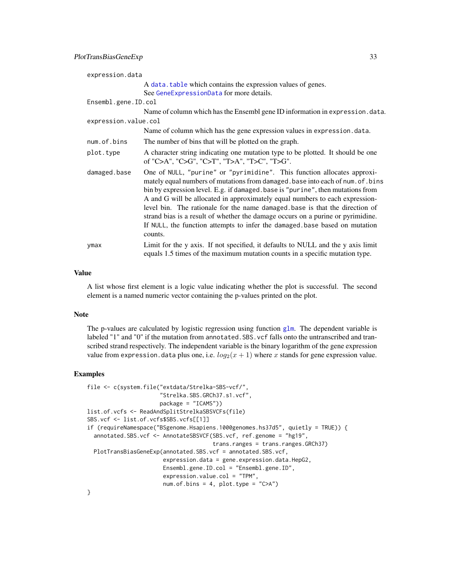| expression.data      |                                                                                                                                                                                                                                                                                                                                                                                                                                                                                                                                                                                          |
|----------------------|------------------------------------------------------------------------------------------------------------------------------------------------------------------------------------------------------------------------------------------------------------------------------------------------------------------------------------------------------------------------------------------------------------------------------------------------------------------------------------------------------------------------------------------------------------------------------------------|
|                      | A data, table which contains the expression values of genes.                                                                                                                                                                                                                                                                                                                                                                                                                                                                                                                             |
|                      | See GeneExpressionData for more details.                                                                                                                                                                                                                                                                                                                                                                                                                                                                                                                                                 |
| Ensembl.gene.ID.col  |                                                                                                                                                                                                                                                                                                                                                                                                                                                                                                                                                                                          |
|                      | Name of column which has the Ensembl gene ID information in expression. data.                                                                                                                                                                                                                                                                                                                                                                                                                                                                                                            |
| expression.value.col |                                                                                                                                                                                                                                                                                                                                                                                                                                                                                                                                                                                          |
|                      | Name of column which has the gene expression values in expression. data.                                                                                                                                                                                                                                                                                                                                                                                                                                                                                                                 |
| num.of.bins          | The number of bins that will be plotted on the graph.                                                                                                                                                                                                                                                                                                                                                                                                                                                                                                                                    |
| plot.type            | A character string indicating one mutation type to be plotted. It should be one<br>of "C>A", "C>G", "C>T", "T>A", "T>C", "T>G".                                                                                                                                                                                                                                                                                                                                                                                                                                                          |
| damaged.base         | One of NULL, "purine" or "pyrimidine". This function allocates approxi-<br>mately equal numbers of mutations from damaged. base into each of num. of. bins<br>bin by expression level. E.g. if damaged. base is "purine", then mutations from<br>A and G will be allocated in approximately equal numbers to each expression-<br>level bin. The rationale for the name damaged base is that the direction of<br>strand bias is a result of whether the damage occurs on a purine or pyrimidine.<br>If NULL, the function attempts to infer the damaged base based on mutation<br>counts. |
| ymax                 | Limit for the y axis. If not specified, it defaults to NULL and the y axis limit<br>equals 1.5 times of the maximum mutation counts in a specific mutation type.                                                                                                                                                                                                                                                                                                                                                                                                                         |

# Value

A list whose first element is a logic value indicating whether the plot is successful. The second element is a named numeric vector containing the p-values printed on the plot.

#### Note

The p-values are calculated by logistic regression using function [glm](#page-0-0). The dependent variable is labeled "1" and "0" if the mutation from annotated. SBS. vcf falls onto the untranscribed and transcribed strand respectively. The independent variable is the binary logarithm of the gene expression value from expression. data plus one, i.e.  $log_2(x + 1)$  where x stands for gene expression value.

#### Examples

```
file <- c(system.file("extdata/Strelka-SBS-vcf/",
                     "Strelka.SBS.GRCh37.s1.vcf",
                     package = "ICAMS"))
list.of.vcfs <- ReadAndSplitStrelkaSBSVCFs(file)
SBS.vcf <- list.of.vcfs$SBS.vcfs[[1]]
if (requireNamespace("BSgenome.Hsapiens.1000genomes.hs37d5", quietly = TRUE)) {
 annotated.SBS.vcf <- AnnotateSBSVCF(SBS.vcf, ref.genome = "hg19",
                                     trans.ranges = trans.ranges.GRCh37)
 PlotTransBiasGeneExp(annotated.SBS.vcf = annotated.SBS.vcf,
                       expression.data = gene.expression.data.HepG2,
                       Ensembl.gene.ID.col = "Ensembl.gene.ID",
                       expression.value.col = "TPM",
                       num.of.bins = 4, plot.type = "C>A")
```
}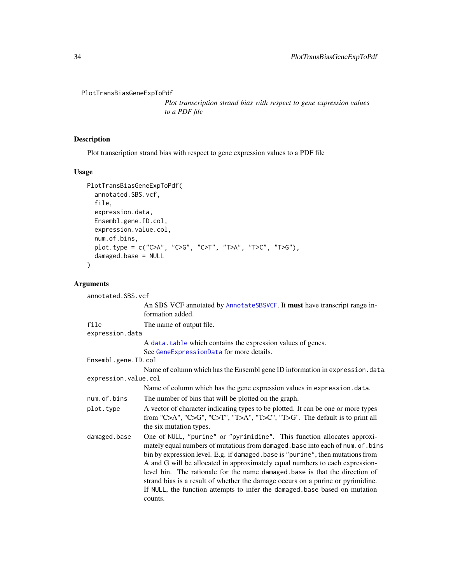```
PlotTransBiasGeneExpToPdf
```
*Plot transcription strand bias with respect to gene expression values to a PDF file*

#### **Description**

Plot transcription strand bias with respect to gene expression values to a PDF file

#### Usage

```
PlotTransBiasGeneExpToPdf(
  annotated.SBS.vcf,
  file,
  expression.data,
  Ensembl.gene.ID.col,
  expression.value.col,
  num.of.bins,
  plot.type = c("C>A", "C>G", "C>T", "T>A", "T>C", "T>G"),
  damaged.base = NULL
)
```
# Arguments

```
annotated.SBS.vcf
                 An SBS VCF annotated by AnnotateSBSVCF. It must have transcript range in-
                 formation added.
file The name of output file.
expression.data
                 A data.table which contains the expression values of genes.
                 See GeneExpressionData for more details.
Ensembl.gene.ID.col
                 Name of column which has the Ensembl gene ID information in expression.data.
expression.value.col
                 Name of column which has the gene expression values in expression.data.
num. of bins The number of bins that will be plotted on the graph.
plot.type A vector of character indicating types to be plotted. It can be one or more types
                 from "C>A", "C>G", "C>T", "T>A", "T>C", "T>G". The default is to print all
                 the six mutation types.
damaged.base One of NULL, "purine" or "pyrimidine". This function allocates approxi-
                 mately equal numbers of mutations from damaged.base into each of num.of.bins
                 bin by expression level. E.g. if damaged.base is "purine", then mutations from
                 A and G will be allocated in approximately equal numbers to each expression-
                 level bin. The rationale for the name damaged.base is that the direction of
                 strand bias is a result of whether the damage occurs on a purine or pyrimidine.
                 If NULL, the function attempts to infer the damaged.base based on mutation
                 counts.
```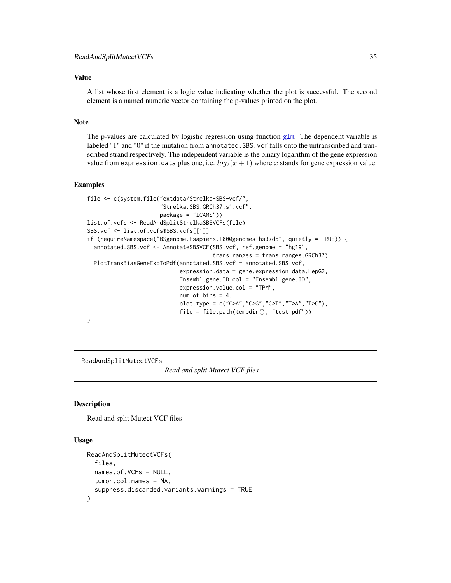# <span id="page-34-0"></span>Value

A list whose first element is a logic value indicating whether the plot is successful. The second element is a named numeric vector containing the p-values printed on the plot.

#### Note

The p-values are calculated by logistic regression using function [glm](#page-0-0). The dependent variable is labeled "1" and "0" if the mutation from annotated. SBS. vcf falls onto the untranscribed and transcribed strand respectively. The independent variable is the binary logarithm of the gene expression value from expression. data plus one, i.e.  $log_2(x + 1)$  where x stands for gene expression value.

#### Examples

```
file <- c(system.file("extdata/Strelka-SBS-vcf/",
                      "Strelka.SBS.GRCh37.s1.vcf",
                      package = "ICAMS"))
list.of.vcfs <- ReadAndSplitStrelkaSBSVCFs(file)
SBS.vcf <- list.of.vcfs$SBS.vcfs[[1]]
if (requireNamespace("BSgenome.Hsapiens.1000genomes.hs37d5", quietly = TRUE)) {
 annotated.SBS.vcf <- AnnotateSBSVCF(SBS.vcf, ref.genome = "hg19",
                                      trans.ranges = trans.ranges.GRCh37)
 PlotTransBiasGeneExpToPdf(annotated.SBS.vcf = annotated.SBS.vcf,
                            expression.data = gene.expression.data.HepG2,
                            Ensembl.gene.ID.col = "Ensembl.gene.ID",
                            expression.value.col = "TPM",
                            num. of. bins = 4,plot.type = c("C>A","C>G","C>T","T>A","T>C"),
                            file = file.path(tempdir(), "test.pdf"))
}
```
#### ReadAndSplitMutectVCFs

*Read and split Mutect VCF files*

#### Description

Read and split Mutect VCF files

#### Usage

```
ReadAndSplitMutectVCFs(
  files,
  names.of.VCFs = NULL,
  tumor.col.names = NA,
  suppress.discarded.variants.warnings = TRUE
)
```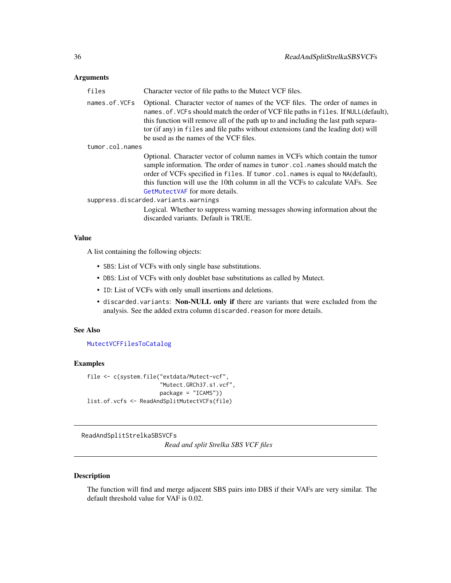# <span id="page-35-0"></span>Arguments

| files           | Character vector of file paths to the Mutect VCF files.                                                                                                                                                                                                                                                                                                                                    |
|-----------------|--------------------------------------------------------------------------------------------------------------------------------------------------------------------------------------------------------------------------------------------------------------------------------------------------------------------------------------------------------------------------------------------|
| names.of.VCFs   | Optional. Character vector of names of the VCF files. The order of names in<br>names. of. VCFs should match the order of VCF file paths in files. If NULL(default),<br>this function will remove all of the path up to and including the last path separa-<br>tor (if any) in files and file paths without extensions (and the leading dot) will<br>be used as the names of the VCF files. |
| tumor.col.names |                                                                                                                                                                                                                                                                                                                                                                                            |
|                 | Optional. Character vector of column names in VCFs which contain the tumor<br>sample information. The order of names in tumor.col.names should match the<br>order of VCFs specified in files. If tumor.col.names is equal to NA(default),<br>this function will use the 10th column in all the VCFs to calculate VAFs. See<br>GetMutectVAF for more details.                               |
|                 | suppress.discarded.variants.warnings                                                                                                                                                                                                                                                                                                                                                       |
|                 | Logical. Whether to suppress warning messages showing information about the<br>discarded variants. Default is TRUE.                                                                                                                                                                                                                                                                        |

# Value

A list containing the following objects:

- SBS: List of VCFs with only single base substitutions.
- DBS: List of VCFs with only doublet base substitutions as called by Mutect.
- ID: List of VCFs with only small insertions and deletions.
- discarded.variants: Non-NULL only if there are variants that were excluded from the analysis. See the added extra column discarded.reason for more details.

#### See Also

[MutectVCFFilesToCatalog](#page-20-1)

# Examples

```
file <- c(system.file("extdata/Mutect-vcf",
                      "Mutect.GRCh37.s1.vcf",
                      package = "ICAMS"))
list.of.vcfs <- ReadAndSplitMutectVCFs(file)
```
ReadAndSplitStrelkaSBSVCFs

*Read and split Strelka SBS VCF files*

# Description

The function will find and merge adjacent SBS pairs into DBS if their VAFs are very similar. The default threshold value for VAF is 0.02.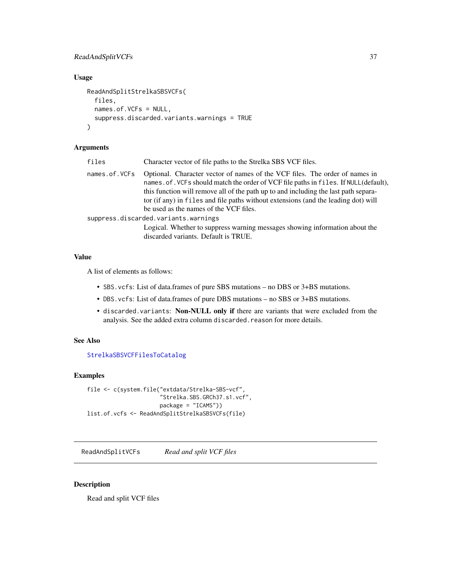# ReadAndSplitVCFs 37

# Usage

```
ReadAndSplitStrelkaSBSVCFs(
  files,
 names.of.VCFs = NULL,
  suppress.discarded.variants.warnings = TRUE
)
```
# Arguments

| files         | Character vector of file paths to the Strelka SBS VCF files.                                                                                                                                                                                                                                                                                                                              |
|---------------|-------------------------------------------------------------------------------------------------------------------------------------------------------------------------------------------------------------------------------------------------------------------------------------------------------------------------------------------------------------------------------------------|
| names.of.VCFs | Optional. Character vector of names of the VCF files. The order of names in<br>names.of. VCFs should match the order of VCF file paths in files. If NULL(default),<br>this function will remove all of the path up to and including the last path separa-<br>tor (if any) in files and file paths without extensions (and the leading dot) will<br>be used as the names of the VCF files. |
|               | suppress.discarded.variants.warnings                                                                                                                                                                                                                                                                                                                                                      |
|               | Logical. Whether to suppress warning messages showing information about the<br>discarded variants. Default is TRUE.                                                                                                                                                                                                                                                                       |

# Value

A list of elements as follows:

- SBS.vcfs: List of data.frames of pure SBS mutations no DBS or 3+BS mutations.
- DBS.vcfs: List of data.frames of pure DBS mutations no SBS or 3+BS mutations.
- discarded.variants: Non-NULL only if there are variants that were excluded from the analysis. See the added extra column discarded.reason for more details.

# See Also

[StrelkaSBSVCFFilesToCatalog](#page-47-0)

# Examples

```
file <- c(system.file("extdata/Strelka-SBS-vcf",
                      "Strelka.SBS.GRCh37.s1.vcf",
                      package = "ICAMS"))
list.of.vcfs <- ReadAndSplitStrelkaSBSVCFs(file)
```
ReadAndSplitVCFs *Read and split VCF files*

### Description

Read and split VCF files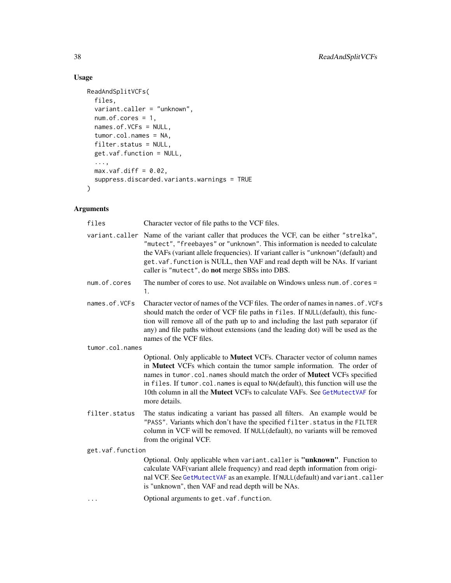# Usage

```
ReadAndSplitVCFs(
 files,
 variant.caller = "unknown",
 num.of.cores = 1,
 names.of.VCFs = NULL,
  tumor.col.names = NA,
 filter.status = NULL,
 get.vaf.function = NULL,
  ...,
 max.vaf.diff = 0.02,
 suppress.discarded.variants.warnings = TRUE
\mathcal{L}
```
# Arguments

| files                                                                                                                                                                                                                                                                                                                                                                                    | Character vector of file paths to the VCF files.                                                                                                                                                                                                                                                                                                                                                                            |  |  |  |
|------------------------------------------------------------------------------------------------------------------------------------------------------------------------------------------------------------------------------------------------------------------------------------------------------------------------------------------------------------------------------------------|-----------------------------------------------------------------------------------------------------------------------------------------------------------------------------------------------------------------------------------------------------------------------------------------------------------------------------------------------------------------------------------------------------------------------------|--|--|--|
|                                                                                                                                                                                                                                                                                                                                                                                          | variant.caller Name of the variant caller that produces the VCF, can be either "strelka",<br>"mutect", "freebayes" or "unknown". This information is needed to calculate<br>the VAFs (variant allele frequencies). If variant caller is "unknown" (default) and<br>get. vaf. function is NULL, then VAF and read depth will be NAs. If variant<br>caller is "mutect", do not merge SBSs into DBS.                           |  |  |  |
| num.of.cores                                                                                                                                                                                                                                                                                                                                                                             | The number of cores to use. Not available on Windows unless num. of . cores =<br>1.                                                                                                                                                                                                                                                                                                                                         |  |  |  |
| Character vector of names of the VCF files. The order of names in names. of. VCFs<br>names.of.VCFs<br>should match the order of VCF file paths in files. If NULL(default), this func-<br>tion will remove all of the path up to and including the last path separator (if<br>any) and file paths without extensions (and the leading dot) will be used as the<br>names of the VCF files. |                                                                                                                                                                                                                                                                                                                                                                                                                             |  |  |  |
| tumor.col.names                                                                                                                                                                                                                                                                                                                                                                          |                                                                                                                                                                                                                                                                                                                                                                                                                             |  |  |  |
|                                                                                                                                                                                                                                                                                                                                                                                          | Optional. Only applicable to Mutect VCFs. Character vector of column names<br>in Mutect VCFs which contain the tumor sample information. The order of<br>names in tumor.col.names should match the order of Mutect VCFs specified<br>in files. If tumor.col.names is equal to NA(default), this function will use the<br>10th column in all the <b>Mutect</b> VCFs to calculate VAFs. See GetMutectVAF for<br>more details. |  |  |  |
| filter.status                                                                                                                                                                                                                                                                                                                                                                            | The status indicating a variant has passed all filters. An example would be<br>"PASS". Variants which don't have the specified filter. status in the FILTER<br>column in VCF will be removed. If NULL(default), no variants will be removed<br>from the original VCF.                                                                                                                                                       |  |  |  |
| get.vaf.function                                                                                                                                                                                                                                                                                                                                                                         |                                                                                                                                                                                                                                                                                                                                                                                                                             |  |  |  |
|                                                                                                                                                                                                                                                                                                                                                                                          | Optional. Only applicable when variant.caller is "unknown". Function to<br>calculate VAF(variant allele frequency) and read depth information from origi-<br>nal VCF. See GetMutectVAF as an example. If NULL(default) and variant.caller<br>is "unknown", then VAF and read depth will be NAs.                                                                                                                             |  |  |  |
| .                                                                                                                                                                                                                                                                                                                                                                                        | Optional arguments to get. vaf. function.                                                                                                                                                                                                                                                                                                                                                                                   |  |  |  |
|                                                                                                                                                                                                                                                                                                                                                                                          |                                                                                                                                                                                                                                                                                                                                                                                                                             |  |  |  |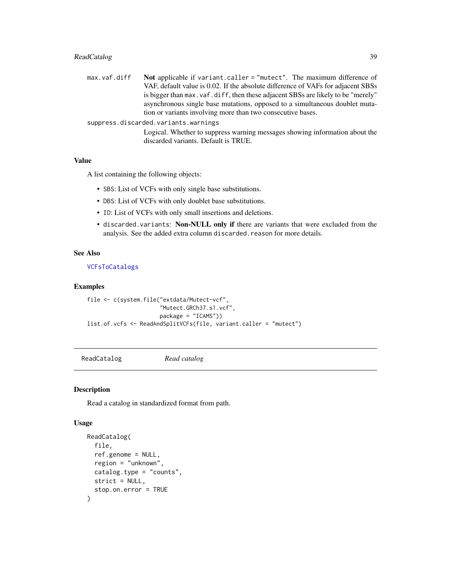# ReadCatalog 39

| max.vaf.diff | Not applicable if variant.caller = "mutect". The maximum difference of            |
|--------------|-----------------------------------------------------------------------------------|
|              | VAF, default value is 0.02. If the absolute difference of VAFs for adjacent SBSs  |
|              | is bigger than max. vaf. diff, then these adjacent SBSs are likely to be "merely" |
|              | asynchronous single base mutations, opposed to a simultaneous doublet muta-       |
|              | tion or variants involving more than two consecutive bases.                       |
|              | suppress.discarded.variants.warnings                                              |
|              | Logical. Whether to suppress warning messages showing information about the       |
|              | discarded variants. Default is TRUE.                                              |

# Value

A list containing the following objects:

- SBS: List of VCFs with only single base substitutions.
- DBS: List of VCFs with only doublet base substitutions.
- ID: List of VCFs with only small insertions and deletions.
- discarded.variants: Non-NULL only if there are variants that were excluded from the analysis. See the added extra column discarded.reason for more details.

# See Also

# [VCFsToCatalogs](#page-57-0)

### Examples

```
file <- c(system.file("extdata/Mutect-vcf",
                      "Mutect.GRCh37.s1.vcf",
                      package = "ICAMS"))
list.of.vcfs <- ReadAndSplitVCFs(file, variant.caller = "mutect")
```
ReadCatalog *Read catalog*

# Description

Read a catalog in standardized format from path.

```
ReadCatalog(
  file,
  ref.genome = NULL,
  region = "unknown",
  catalog.type = "counts",
  strict = NULL,
  stop.on.error = TRUE
\mathcal{E}
```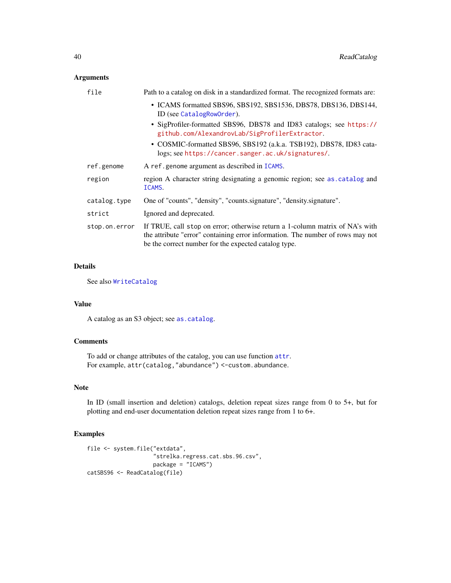# Arguments

| file          | Path to a catalog on disk in a standardized format. The recognized formats are:                                                                                                                                        |  |  |  |  |
|---------------|------------------------------------------------------------------------------------------------------------------------------------------------------------------------------------------------------------------------|--|--|--|--|
|               | • ICAMS formatted SBS96, SBS192, SBS1536, DBS78, DBS136, DBS144,<br>ID (see CatalogRowOrder).                                                                                                                          |  |  |  |  |
|               | • SigProfiler-formatted SBS96, DBS78 and ID83 catalogs; see https://<br>github.com/AlexandrovLab/SigProfilerExtractor.                                                                                                 |  |  |  |  |
|               | • COSMIC-formatted SBS96, SBS192 (a.k.a. TSB192), DBS78, ID83 cata-<br>logs; see https://cancer.sanger.ac.uk/signatures/.                                                                                              |  |  |  |  |
| ref.genome    | A ref.genome argument as described in ICAMS.                                                                                                                                                                           |  |  |  |  |
| region        | region A character string designating a genomic region; see as catalog and<br>ICAMS.                                                                                                                                   |  |  |  |  |
| catalog.type  | One of "counts", "density", "counts.signature", "density.signature".                                                                                                                                                   |  |  |  |  |
| strict        | Ignored and deprecated.                                                                                                                                                                                                |  |  |  |  |
| stop.on.error | If TRUE, call stop on error; otherwise return a 1-column matrix of NA's with<br>the attribute "error" containing error information. The number of rows may not<br>be the correct number for the expected catalog type. |  |  |  |  |

# Details

See also [WriteCatalog](#page-71-0)

# Value

A catalog as an S3 object; see [as.catalog](#page-6-0).

### **Comments**

To add or change attributes of the catalog, you can use function [attr](#page-0-0). For example, attr(catalog,"abundance") <-custom.abundance.

# Note

In ID (small insertion and deletion) catalogs, deletion repeat sizes range from 0 to 5+, but for plotting and end-user documentation deletion repeat sizes range from 1 to 6+.

# Examples

```
file <- system.file("extdata",
                    "strelka.regress.cat.sbs.96.csv",
                    package = "ICAMS")
catSBS96 <- ReadCatalog(file)
```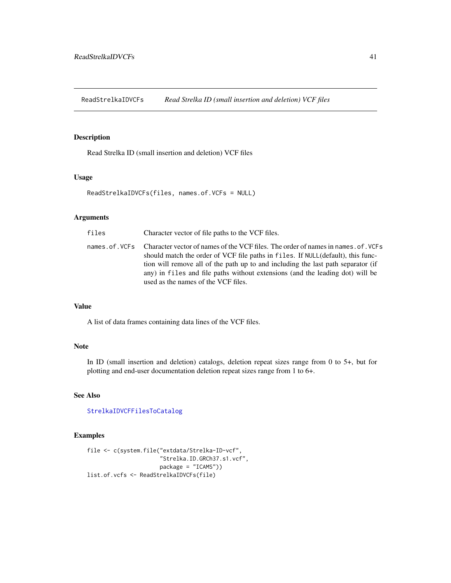ReadStrelkaIDVCFs *Read Strelka ID (small insertion and deletion) VCF files*

# Description

Read Strelka ID (small insertion and deletion) VCF files

# Usage

ReadStrelkaIDVCFs(files, names.of.VCFs = NULL)

### Arguments

| files | Character vector of file paths to the VCF files.                                                                                                                                                                                                                                                                                                                                               |
|-------|------------------------------------------------------------------------------------------------------------------------------------------------------------------------------------------------------------------------------------------------------------------------------------------------------------------------------------------------------------------------------------------------|
|       | names.of. VCFs Character vector of names of the VCF files. The order of names in names.of. VCFs<br>should match the order of VCF file paths in files. If NULL(default), this func-<br>tion will remove all of the path up to and including the last path separator (if<br>any) in files and file paths without extensions (and the leading dot) will be<br>used as the names of the VCF files. |

# Value

A list of data frames containing data lines of the VCF files.

# Note

In ID (small insertion and deletion) catalogs, deletion repeat sizes range from 0 to 5+, but for plotting and end-user documentation deletion repeat sizes range from 1 to 6+.

# See Also

### [StrelkaIDVCFFilesToCatalog](#page-41-0)

# Examples

```
file <- c(system.file("extdata/Strelka-ID-vcf",
                      "Strelka.ID.GRCh37.s1.vcf",
                      package = "ICAMS"))
list.of.vcfs <- ReadStrelkaIDVCFs(file)
```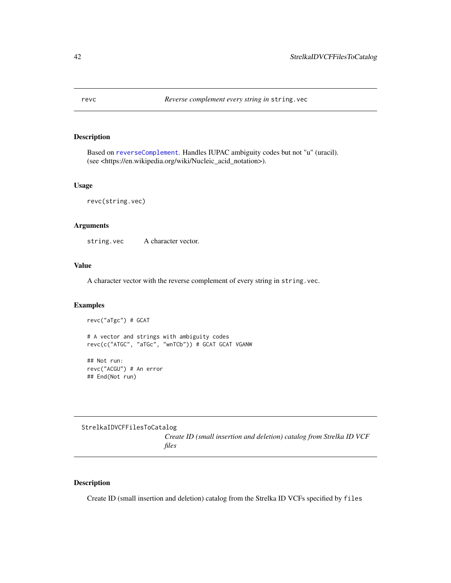# Description

Based on [reverseComplement](#page-0-0). Handles IUPAC ambiguity codes but not "u" (uracil). (see <https://en.wikipedia.org/wiki/Nucleic\_acid\_notation>).

# Usage

revc(string.vec)

### Arguments

string.vec A character vector.

# Value

A character vector with the reverse complement of every string in string.vec.

#### Examples

revc("aTgc") # GCAT

# A vector and strings with ambiguity codes revc(c("ATGC", "aTGc", "wnTCb")) # GCAT GCAT VGANW

## Not run: revc("ACGU") # An error ## End(Not run)

<span id="page-41-0"></span>StrelkaIDVCFFilesToCatalog *Create ID (small insertion and deletion) catalog from Strelka ID VCF files*

### Description

Create ID (small insertion and deletion) catalog from the Strelka ID VCFs specified by files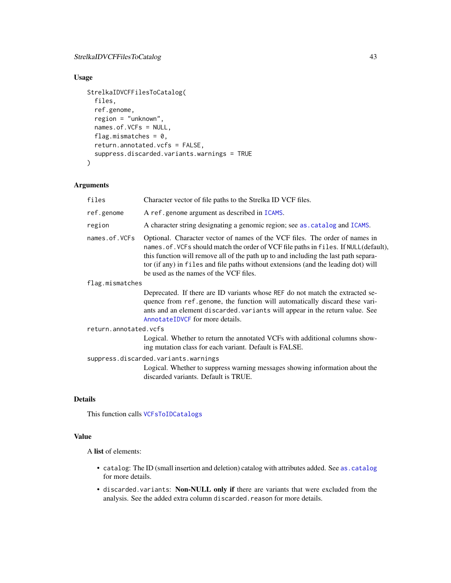# StrelkaIDVCFFilesToCatalog 43

# Usage

```
StrelkaIDVCFFilesToCatalog(
  files,
  ref.genome,
  region = "unknown",
  names.of.VCFs = NULL,
  flag.mismatches = 0,
  return.annotated.vcfs = FALSE,
  suppress.discarded.variants.warnings = TRUE
)
```
# Arguments

| files                                | Character vector of file paths to the Strelka ID VCF files.                                                                                                                                                                                                                                                                                                                               |  |  |  |
|--------------------------------------|-------------------------------------------------------------------------------------------------------------------------------------------------------------------------------------------------------------------------------------------------------------------------------------------------------------------------------------------------------------------------------------------|--|--|--|
| ref.genome                           | A ref.genome argument as described in ICAMS.                                                                                                                                                                                                                                                                                                                                              |  |  |  |
| region                               | A character string designating a genomic region; see as catalog and ICAMS.                                                                                                                                                                                                                                                                                                                |  |  |  |
| names.of.VCFs                        | Optional. Character vector of names of the VCF files. The order of names in<br>names.of. VCFs should match the order of VCF file paths in files. If NULL(default),<br>this function will remove all of the path up to and including the last path separa-<br>tor (if any) in files and file paths without extensions (and the leading dot) will<br>be used as the names of the VCF files. |  |  |  |
| flag.mismatches                      |                                                                                                                                                                                                                                                                                                                                                                                           |  |  |  |
|                                      | Deprecated. If there are ID variants whose REF do not match the extracted se-<br>quence from ref.genome, the function will automatically discard these vari-<br>ants and an element discarded. variants will appear in the return value. See<br>AnnotateIDVCF for more details.                                                                                                           |  |  |  |
| return.annotated.vcfs                |                                                                                                                                                                                                                                                                                                                                                                                           |  |  |  |
|                                      | Logical. Whether to return the annotated VCFs with additional columns show-<br>ing mutation class for each variant. Default is FALSE.                                                                                                                                                                                                                                                     |  |  |  |
| suppress.discarded.variants.warnings |                                                                                                                                                                                                                                                                                                                                                                                           |  |  |  |
|                                      | Logical. Whether to suppress warning messages showing information about the<br>discarded variants. Default is TRUE.                                                                                                                                                                                                                                                                       |  |  |  |
|                                      |                                                                                                                                                                                                                                                                                                                                                                                           |  |  |  |

# Details

This function calls [VCFsToIDCatalogs](#page-65-0)

# Value

A list of elements:

- catalog: The ID (small insertion and deletion) catalog with attributes added. See [as.catalog](#page-6-0) for more details.
- discarded.variants: Non-NULL only if there are variants that were excluded from the analysis. See the added extra column discarded.reason for more details.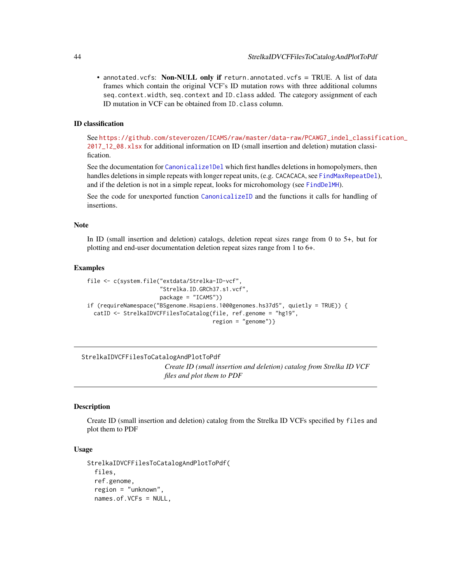• annotated.vcfs: Non-NULL only if return.annotated.vcfs = TRUE. A list of data frames which contain the original VCF's ID mutation rows with three additional columns seq.context.width, seq.context and ID.class added. The category assignment of each ID mutation in VCF can be obtained from ID.class column.

# ID classification

See [https://github.com/steverozen/ICAMS/raw/master/data-raw/PCAWG7\\_indel\\_classif](https://github.com/steverozen/ICAMS/raw/master/data-raw/PCAWG7_indel_classification_2017_12_08.xlsx)ication\_ [2017\\_12\\_08.xlsx](https://github.com/steverozen/ICAMS/raw/master/data-raw/PCAWG7_indel_classification_2017_12_08.xlsx) for additional information on ID (small insertion and deletion) mutation classification.

See the documentation for [Canonicalize1Del](#page-7-0) which first handles deletions in homopolymers, then handles deletions in simple repeats with longer repeat units, (e.g. CACACACA, see [FindMaxRepeatDel](#page-12-0)), and if the deletion is not in a simple repeat, looks for microhomology (see [FindDelMH](#page-10-0)).

See the code for unexported function [CanonicalizeID](#page-0-0) and the functions it calls for handling of insertions.

#### Note

In ID (small insertion and deletion) catalogs, deletion repeat sizes range from 0 to 5+, but for plotting and end-user documentation deletion repeat sizes range from 1 to 6+.

#### Examples

```
file <- c(system.file("extdata/Strelka-ID-vcf",
                      "Strelka.ID.GRCh37.s1.vcf",
                      package = "ICAMS"))
if (requireNamespace("BSgenome.Hsapiens.1000genomes.hs37d5", quietly = TRUE)) {
 catID <- StrelkaIDVCFFilesToCatalog(file, ref.genome = "hg19",
                                      region = "genome")}
```
### StrelkaIDVCFFilesToCatalogAndPlotToPdf

*Create ID (small insertion and deletion) catalog from Strelka ID VCF files and plot them to PDF*

### Description

Create ID (small insertion and deletion) catalog from the Strelka ID VCFs specified by files and plot them to PDF

```
StrelkaIDVCFFilesToCatalogAndPlotToPdf(
  files,
  ref.genome,
  region = "unknown",
  names.of.VCFs = NULL,
```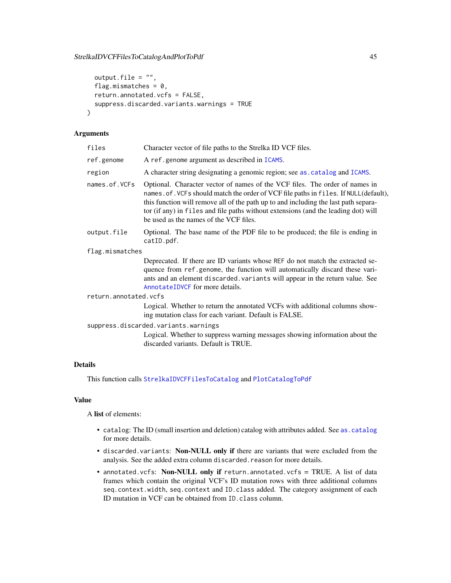# StrelkaIDVCFFilesToCatalogAndPlotToPdf 45

```
output.file = ",
flag.mismatches = 0,
return.annotated.vcfs = FALSE,
suppress.discarded.variants.warnings = TRUE
```
# Arguments

)

| files                                                                                                                                                                                                                                                                                                                                                                                                       | Character vector of file paths to the Strelka ID VCF files.                                                                                                                                                                                                                     |  |  |  |  |  |
|-------------------------------------------------------------------------------------------------------------------------------------------------------------------------------------------------------------------------------------------------------------------------------------------------------------------------------------------------------------------------------------------------------------|---------------------------------------------------------------------------------------------------------------------------------------------------------------------------------------------------------------------------------------------------------------------------------|--|--|--|--|--|
| ref.genome                                                                                                                                                                                                                                                                                                                                                                                                  | A ref.genome argument as described in ICAMS.                                                                                                                                                                                                                                    |  |  |  |  |  |
| region                                                                                                                                                                                                                                                                                                                                                                                                      | A character string designating a genomic region; see as . catalog and ICAMS.                                                                                                                                                                                                    |  |  |  |  |  |
| names.of.VCFs<br>Optional. Character vector of names of the VCF files. The order of names in<br>names. of. VCFs should match the order of VCF file paths in files. If NULL(default),<br>this function will remove all of the path up to and including the last path separa-<br>tor (if any) in files and file paths without extensions (and the leading dot) will<br>be used as the names of the VCF files. |                                                                                                                                                                                                                                                                                 |  |  |  |  |  |
| output.file                                                                                                                                                                                                                                                                                                                                                                                                 | Optional. The base name of the PDF file to be produced; the file is ending in<br>catID.pdf.                                                                                                                                                                                     |  |  |  |  |  |
| flag.mismatches                                                                                                                                                                                                                                                                                                                                                                                             |                                                                                                                                                                                                                                                                                 |  |  |  |  |  |
|                                                                                                                                                                                                                                                                                                                                                                                                             | Deprecated. If there are ID variants whose REF do not match the extracted se-<br>quence from ref.genome, the function will automatically discard these vari-<br>ants and an element discarded. variants will appear in the return value. See<br>AnnotateIDVCF for more details. |  |  |  |  |  |
| return.annotated.vcfs                                                                                                                                                                                                                                                                                                                                                                                       |                                                                                                                                                                                                                                                                                 |  |  |  |  |  |
|                                                                                                                                                                                                                                                                                                                                                                                                             | Logical. Whether to return the annotated VCFs with additional columns show-<br>ing mutation class for each variant. Default is FALSE.                                                                                                                                           |  |  |  |  |  |
|                                                                                                                                                                                                                                                                                                                                                                                                             | suppress.discarded.variants.warnings                                                                                                                                                                                                                                            |  |  |  |  |  |
|                                                                                                                                                                                                                                                                                                                                                                                                             | Logical. Whether to suppress warning messages showing information about the<br>discarded variants. Default is TRUE.                                                                                                                                                             |  |  |  |  |  |

# Details

This function calls [StrelkaIDVCFFilesToCatalog](#page-41-0) and [PlotCatalogToPdf](#page-29-0)

# Value

A list of elements:

- catalog: The ID (small insertion and deletion) catalog with attributes added. See [as.catalog](#page-6-0) for more details.
- discarded.variants: Non-NULL only if there are variants that were excluded from the analysis. See the added extra column discarded.reason for more details.
- annotated.vcfs: Non-NULL only if return.annotated.vcfs = TRUE. A list of data frames which contain the original VCF's ID mutation rows with three additional columns seq.context.width, seq.context and ID.class added. The category assignment of each ID mutation in VCF can be obtained from ID.class column.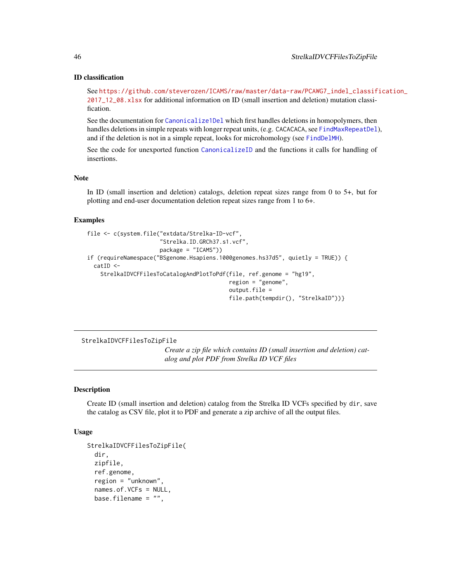#### ID classification

See [https://github.com/steverozen/ICAMS/raw/master/data-raw/PCAWG7\\_indel\\_classif](https://github.com/steverozen/ICAMS/raw/master/data-raw/PCAWG7_indel_classification_2017_12_08.xlsx)ication\_ [2017\\_12\\_08.xlsx](https://github.com/steverozen/ICAMS/raw/master/data-raw/PCAWG7_indel_classification_2017_12_08.xlsx) for additional information on ID (small insertion and deletion) mutation classification.

See the documentation for [Canonicalize1Del](#page-7-0) which first handles deletions in homopolymers, then handles deletions in simple repeats with longer repeat units, (e.g. CACACACA, see [FindMaxRepeatDel](#page-12-0)), and if the deletion is not in a simple repeat, looks for microhomology (see [FindDelMH](#page-10-0)).

See the code for unexported function [CanonicalizeID](#page-0-0) and the functions it calls for handling of insertions.

### Note

In ID (small insertion and deletion) catalogs, deletion repeat sizes range from 0 to 5+, but for plotting and end-user documentation deletion repeat sizes range from 1 to 6+.

#### Examples

```
file <- c(system.file("extdata/Strelka-ID-vcf",
                      "Strelka.ID.GRCh37.s1.vcf",
                      package = "ICAMS"))
if (requireNamespace("BSgenome.Hsapiens.1000genomes.hs37d5", quietly = TRUE)) {
 catID <-
    StrelkaIDVCFFilesToCatalogAndPlotToPdf(file, ref.genome = "hg19",
                                           region = "genome",
                                           output.file =
                                           file.path(tempdir(), "StrelkaID"))}
```
StrelkaIDVCFFilesToZipFile

*Create a zip file which contains ID (small insertion and deletion) catalog and plot PDF from Strelka ID VCF files*

### Description

Create ID (small insertion and deletion) catalog from the Strelka ID VCFs specified by dir, save the catalog as CSV file, plot it to PDF and generate a zip archive of all the output files.

```
StrelkaIDVCFFilesToZipFile(
  dir,
  zipfile,
  ref.genome,
  region = "unknown",
  names.of.VCFs = NULL,
  base.filename = ",
```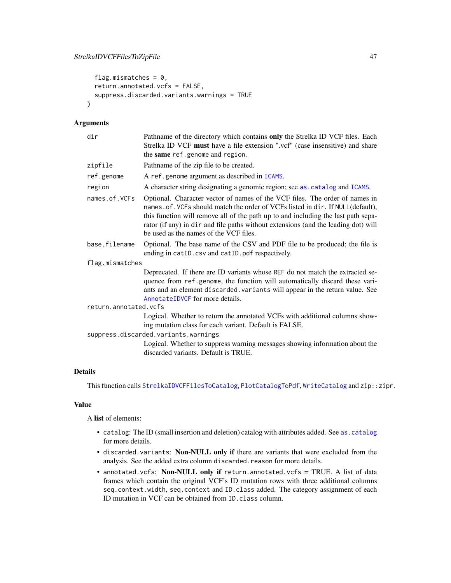```
flag.mismatches = 0,
  return.annotated.vcfs = FALSE,
  suppress.discarded.variants.warnings = TRUE
\lambda
```
# Arguments

| dir                                  | Pathname of the directory which contains only the Strelka ID VCF files. Each<br>Strelka ID VCF must have a file extension ".vcf" (case insensitive) and share<br>the same ref.genome and region.                                                                                                                                                                                    |  |  |  |  |
|--------------------------------------|-------------------------------------------------------------------------------------------------------------------------------------------------------------------------------------------------------------------------------------------------------------------------------------------------------------------------------------------------------------------------------------|--|--|--|--|
| zipfile                              | Pathname of the zip file to be created.                                                                                                                                                                                                                                                                                                                                             |  |  |  |  |
| ref.genome                           | A ref.genome argument as described in ICAMS.                                                                                                                                                                                                                                                                                                                                        |  |  |  |  |
| region                               | A character string designating a genomic region; see as . catalog and ICAMS.                                                                                                                                                                                                                                                                                                        |  |  |  |  |
| names.of.VCFs                        | Optional. Character vector of names of the VCF files. The order of names in<br>names. of. VCFs should match the order of VCFs listed in dir. If NULL(default),<br>this function will remove all of the path up to and including the last path sepa-<br>rator (if any) in dir and file paths without extensions (and the leading dot) will<br>be used as the names of the VCF files. |  |  |  |  |
| base.filename                        | Optional. The base name of the CSV and PDF file to be produced; the file is<br>ending in catID.csv and catID.pdf respectively.                                                                                                                                                                                                                                                      |  |  |  |  |
| flag.mismatches                      |                                                                                                                                                                                                                                                                                                                                                                                     |  |  |  |  |
|                                      | Deprecated. If there are ID variants whose REF do not match the extracted se-<br>quence from ref.genome, the function will automatically discard these vari-<br>ants and an element discarded. variants will appear in the return value. See<br>AnnotateIDVCF for more details.                                                                                                     |  |  |  |  |
| return.annotated.vcfs                |                                                                                                                                                                                                                                                                                                                                                                                     |  |  |  |  |
|                                      | Logical. Whether to return the annotated VCFs with additional columns show-<br>ing mutation class for each variant. Default is FALSE.                                                                                                                                                                                                                                               |  |  |  |  |
| suppress.discarded.variants.warnings |                                                                                                                                                                                                                                                                                                                                                                                     |  |  |  |  |
|                                      | Logical. Whether to suppress warning messages showing information about the<br>discarded variants. Default is TRUE.                                                                                                                                                                                                                                                                 |  |  |  |  |

# Details

This function calls [StrelkaIDVCFFilesToCatalog](#page-41-0), [PlotCatalogToPdf](#page-29-0), [WriteCatalog](#page-71-0) and zip::zipr.

# Value

A list of elements:

- catalog: The ID (small insertion and deletion) catalog with attributes added. See [as.catalog](#page-6-0) for more details.
- discarded.variants: Non-NULL only if there are variants that were excluded from the analysis. See the added extra column discarded.reason for more details.
- annotated.vcfs: Non-NULL only if return.annotated.vcfs = TRUE. A list of data frames which contain the original VCF's ID mutation rows with three additional columns seq.context.width, seq.context and ID.class added. The category assignment of each ID mutation in VCF can be obtained from ID.class column.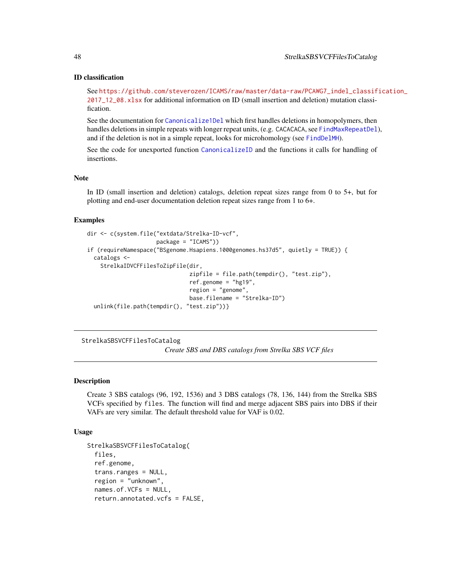# ID classification

See [https://github.com/steverozen/ICAMS/raw/master/data-raw/PCAWG7\\_indel\\_classif](https://github.com/steverozen/ICAMS/raw/master/data-raw/PCAWG7_indel_classification_2017_12_08.xlsx)ication\_ [2017\\_12\\_08.xlsx](https://github.com/steverozen/ICAMS/raw/master/data-raw/PCAWG7_indel_classification_2017_12_08.xlsx) for additional information on ID (small insertion and deletion) mutation classification.

See the documentation for [Canonicalize1Del](#page-7-0) which first handles deletions in homopolymers, then handles deletions in simple repeats with longer repeat units, (e.g. CACACACA, see [FindMaxRepeatDel](#page-12-0)), and if the deletion is not in a simple repeat, looks for microhomology (see [FindDelMH](#page-10-0)).

See the code for unexported function [CanonicalizeID](#page-0-0) and the functions it calls for handling of insertions.

### Note

In ID (small insertion and deletion) catalogs, deletion repeat sizes range from 0 to 5+, but for plotting and end-user documentation deletion repeat sizes range from 1 to 6+.

#### Examples

```
dir <- c(system.file("extdata/Strelka-ID-vcf",
                     package = "ICAMS"))
if (requireNamespace("BSgenome.Hsapiens.1000genomes.hs37d5", quietly = TRUE)) {
 catalogs <-
   StrelkaIDVCFFilesToZipFile(dir,
                               zipfile = file.path(tempdir(), "test.zip"),
                               ref.genome = "hg19",
                               region = "genome",
                               base.filename = "Strelka-ID")
 unlink(file.path(tempdir(), "test.zip"))}
```
<span id="page-47-0"></span>StrelkaSBSVCFFilesToCatalog

*Create SBS and DBS catalogs from Strelka SBS VCF files*

### **Description**

Create 3 SBS catalogs (96, 192, 1536) and 3 DBS catalogs (78, 136, 144) from the Strelka SBS VCFs specified by files. The function will find and merge adjacent SBS pairs into DBS if their VAFs are very similar. The default threshold value for VAF is 0.02.

```
StrelkaSBSVCFFilesToCatalog(
  files,
  ref.genome,
  trans.ranges = NULL,
  region = "unknown",
  names.of.VCFs = NULL,
  return.annotated.vcfs = FALSE,
```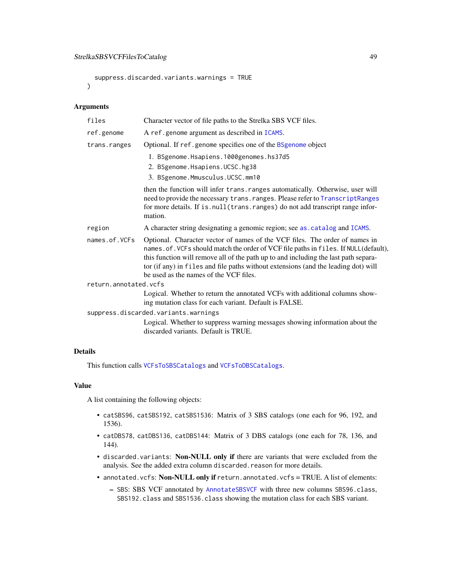```
suppress.discarded.variants.warnings = TRUE
\lambda
```
### Arguments

| files                 | Character vector of file paths to the Strelka SBS VCF files.                                                                                                                                                                                                                                                                                                                              |  |  |  |
|-----------------------|-------------------------------------------------------------------------------------------------------------------------------------------------------------------------------------------------------------------------------------------------------------------------------------------------------------------------------------------------------------------------------------------|--|--|--|
| ref.genome            | A ref.genome argument as described in ICAMS.                                                                                                                                                                                                                                                                                                                                              |  |  |  |
| trans.ranges          | Optional. If ref.genome specifies one of the BSgenome object                                                                                                                                                                                                                                                                                                                              |  |  |  |
|                       | 1. BSgenome. Hsapiens. 1000genomes. hs37d5                                                                                                                                                                                                                                                                                                                                                |  |  |  |
|                       | 2. BSgenome.Hsapiens.UCSC.hg38                                                                                                                                                                                                                                                                                                                                                            |  |  |  |
|                       | 3. BSgenome.Mmusculus.UCSC.mm10                                                                                                                                                                                                                                                                                                                                                           |  |  |  |
|                       | then the function will infer trans. ranges automatically. Otherwise, user will<br>need to provide the necessary trans. ranges. Please refer to TranscriptRanges<br>for more details. If is . null (trans. ranges) do not add transcript range infor-<br>mation.                                                                                                                           |  |  |  |
| region                | A character string designating a genomic region; see as . catalog and ICAMS.                                                                                                                                                                                                                                                                                                              |  |  |  |
| names.of.VCFs         | Optional. Character vector of names of the VCF files. The order of names in<br>names.of. VCFs should match the order of VCF file paths in files. If NULL(default),<br>this function will remove all of the path up to and including the last path separa-<br>tor (if any) in files and file paths without extensions (and the leading dot) will<br>be used as the names of the VCF files. |  |  |  |
| return.annotated.vcfs |                                                                                                                                                                                                                                                                                                                                                                                           |  |  |  |
|                       | Logical. Whether to return the annotated VCFs with additional columns show-<br>ing mutation class for each variant. Default is FALSE.                                                                                                                                                                                                                                                     |  |  |  |
|                       | suppress.discarded.variants.warnings                                                                                                                                                                                                                                                                                                                                                      |  |  |  |
|                       | Logical. Whether to suppress warning messages showing information about the<br>discarded variants. Default is TRUE.                                                                                                                                                                                                                                                                       |  |  |  |
|                       |                                                                                                                                                                                                                                                                                                                                                                                           |  |  |  |

# Details

This function calls [VCFsToSBSCatalogs](#page-66-0) and [VCFsToDBSCatalogs](#page-63-0).

### Value

A list containing the following objects:

- catSBS96, catSBS192, catSBS1536: Matrix of 3 SBS catalogs (one each for 96, 192, and 1536).
- catDBS78, catDBS136, catDBS144: Matrix of 3 DBS catalogs (one each for 78, 136, and 144).
- discarded.variants: Non-NULL only if there are variants that were excluded from the analysis. See the added extra column discarded.reason for more details.
- annotated.vcfs: Non-NULL only if return.annotated.vcfs = TRUE. A list of elements:
	- SBS: SBS VCF annotated by [AnnotateSBSVCF](#page-5-0) with three new columns SBS96.class, SBS192.class and SBS1536.class showing the mutation class for each SBS variant.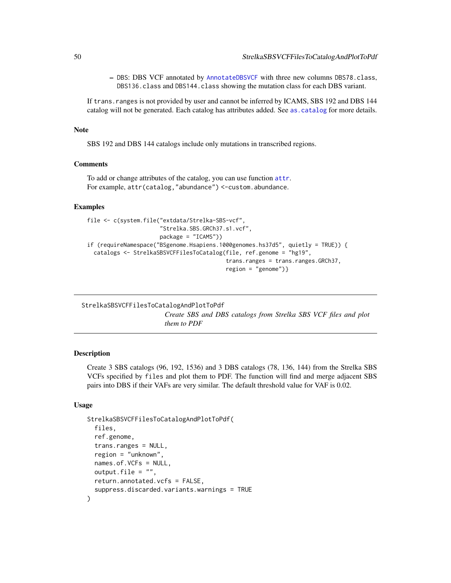– DBS: DBS VCF annotated by [AnnotateDBSVCF](#page-3-0) with three new columns DBS78.class, DBS136.class and DBS144.class showing the mutation class for each DBS variant.

If trans. ranges is not provided by user and cannot be inferred by ICAMS, SBS 192 and DBS 144 catalog will not be generated. Each catalog has attributes added. See [as.catalog](#page-6-0) for more details.

#### Note

SBS 192 and DBS 144 catalogs include only mutations in transcribed regions.

### Comments

To add or change attributes of the catalog, you can use function [attr](#page-0-0). For example, attr(catalog,"abundance") <-custom.abundance.

# Examples

```
file <- c(system.file("extdata/Strelka-SBS-vcf",
                      "Strelka.SBS.GRCh37.s1.vcf",
                      package = "ICAMS"))
if (requireNamespace("BSgenome.Hsapiens.1000genomes.hs37d5", quietly = TRUE)) {
 catalogs <- StrelkaSBSVCFFilesToCatalog(file, ref.genome = "hg19",
                                          trans.ranges = trans.ranges.GRCh37,
                                          region = "genome")}
```
<span id="page-49-0"></span>StrelkaSBSVCFFilesToCatalogAndPlotToPdf *Create SBS and DBS catalogs from Strelka SBS VCF files and plot them to PDF*

#### **Description**

Create 3 SBS catalogs (96, 192, 1536) and 3 DBS catalogs (78, 136, 144) from the Strelka SBS VCFs specified by files and plot them to PDF. The function will find and merge adjacent SBS pairs into DBS if their VAFs are very similar. The default threshold value for VAF is 0.02.

```
StrelkaSBSVCFFilesToCatalogAndPlotToPdf(
  files,
  ref.genome,
  trans.ranges = NULL,
  region = "unknown",
  names.of.VCFs = NULL,
  output.file = "",
  return.annotated.vcfs = FALSE,
  suppress.discarded.variants.warnings = TRUE
)
```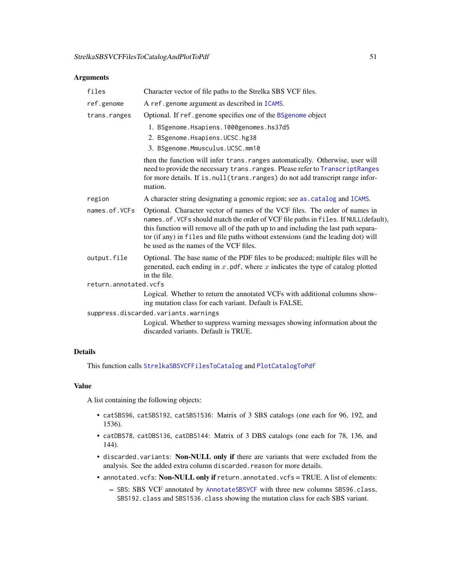# Arguments

| files                                                                                  | Character vector of file paths to the Strelka SBS VCF files.                                                                                                                                                                                                                                                                                                                               |  |  |  |
|----------------------------------------------------------------------------------------|--------------------------------------------------------------------------------------------------------------------------------------------------------------------------------------------------------------------------------------------------------------------------------------------------------------------------------------------------------------------------------------------|--|--|--|
| ref.genome                                                                             | A ref.genome argument as described in ICAMS.                                                                                                                                                                                                                                                                                                                                               |  |  |  |
| trans.ranges                                                                           | Optional. If ref.genome specifies one of the BSgenome object                                                                                                                                                                                                                                                                                                                               |  |  |  |
|                                                                                        | 1. BSgenome.Hsapiens.1000genomes.hs37d5                                                                                                                                                                                                                                                                                                                                                    |  |  |  |
|                                                                                        | 2. BSgenome.Hsapiens.UCSC.hg38                                                                                                                                                                                                                                                                                                                                                             |  |  |  |
|                                                                                        | 3. BSgenome.Mmusculus.UCSC.mm10                                                                                                                                                                                                                                                                                                                                                            |  |  |  |
|                                                                                        | then the function will infer trans. ranges automatically. Otherwise, user will<br>need to provide the necessary trans. ranges. Please refer to TranscriptRanges<br>for more details. If is.null(trans.ranges) do not add transcript range infor-<br>mation.                                                                                                                                |  |  |  |
| A character string designating a genomic region; see as . catalog and ICAMS.<br>region |                                                                                                                                                                                                                                                                                                                                                                                            |  |  |  |
| names.of.VCFs                                                                          | Optional. Character vector of names of the VCF files. The order of names in<br>names. of. VCFs should match the order of VCF file paths in files. If NULL(default),<br>this function will remove all of the path up to and including the last path separa-<br>tor (if any) in files and file paths without extensions (and the leading dot) will<br>be used as the names of the VCF files. |  |  |  |
| output.file                                                                            | Optional. The base name of the PDF files to be produced; multiple files will be<br>generated, each ending in $x$ . pdf, where $x$ indicates the type of catalog plotted<br>in the file.                                                                                                                                                                                                    |  |  |  |
| return.annotated.vcfs                                                                  |                                                                                                                                                                                                                                                                                                                                                                                            |  |  |  |
|                                                                                        | Logical. Whether to return the annotated VCFs with additional columns show-<br>ing mutation class for each variant. Default is FALSE.                                                                                                                                                                                                                                                      |  |  |  |
|                                                                                        | suppress.discarded.variants.warnings                                                                                                                                                                                                                                                                                                                                                       |  |  |  |
|                                                                                        | Logical. Whether to suppress warning messages showing information about the<br>discarded variants. Default is TRUE.                                                                                                                                                                                                                                                                        |  |  |  |
|                                                                                        |                                                                                                                                                                                                                                                                                                                                                                                            |  |  |  |

# Details

This function calls [StrelkaSBSVCFFilesToCatalog](#page-47-0) and [PlotCatalogToPdf](#page-29-0)

### Value

A list containing the following objects:

- catSBS96, catSBS192, catSBS1536: Matrix of 3 SBS catalogs (one each for 96, 192, and 1536).
- catDBS78, catDBS136, catDBS144: Matrix of 3 DBS catalogs (one each for 78, 136, and 144).
- discarded.variants: Non-NULL only if there are variants that were excluded from the analysis. See the added extra column discarded.reason for more details.
- annotated.vcfs: Non-NULL only if return.annotated.vcfs = TRUE. A list of elements:
	- SBS: SBS VCF annotated by [AnnotateSBSVCF](#page-5-0) with three new columns SBS96.class, SBS192.class and SBS1536.class showing the mutation class for each SBS variant.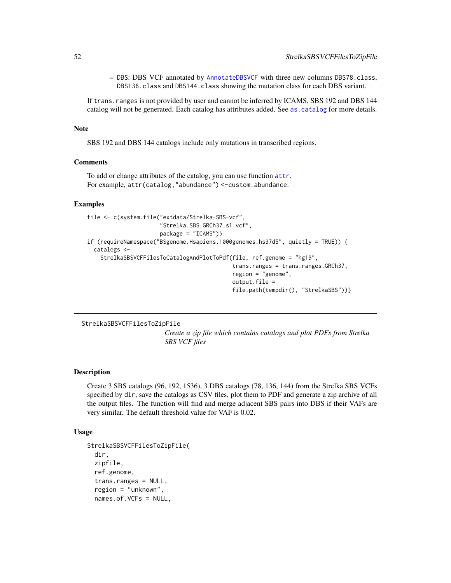– DBS: DBS VCF annotated by [AnnotateDBSVCF](#page-3-0) with three new columns DBS78.class, DBS136.class and DBS144.class showing the mutation class for each DBS variant.

If trans.ranges is not provided by user and cannot be inferred by ICAMS, SBS 192 and DBS 144 catalog will not be generated. Each catalog has attributes added. See [as.catalog](#page-6-0) for more details.

### Note

SBS 192 and DBS 144 catalogs include only mutations in transcribed regions.

# Comments

To add or change attributes of the catalog, you can use function [attr](#page-0-0). For example, attr(catalog,"abundance") <-custom.abundance.

### Examples

```
file <- c(system.file("extdata/Strelka-SBS-vcf",
                      "Strelka.SBS.GRCh37.s1.vcf",
                      package = "ICAMS"))
if (requireNamespace("BSgenome.Hsapiens.1000genomes.hs37d5", quietly = TRUE)) {
 catalogs <-
    StrelkaSBSVCFFilesToCatalogAndPlotToPdf(file, ref.genome = "hg19",
                                            trans.ranges = trans.ranges.GRCh37,
                                            region = "genome",
                                            output.file =
                                            file.path(tempdir(), "StrelkaSBS"))}
```
StrelkaSBSVCFFilesToZipFile

*Create a zip file which contains catalogs and plot PDFs from Strelka SBS VCF files*

#### Description

Create 3 SBS catalogs (96, 192, 1536), 3 DBS catalogs (78, 136, 144) from the Strelka SBS VCFs specified by dir, save the catalogs as CSV files, plot them to PDF and generate a zip archive of all the output files. The function will find and merge adjacent SBS pairs into DBS if their VAFs are very similar. The default threshold value for VAF is 0.02.

```
StrelkaSBSVCFFilesToZipFile(
  dir,
  zipfile,
  ref.genome,
  trans.ranges = NULL,
  region = "unknown",
  names.of.VCFs = NULL,
```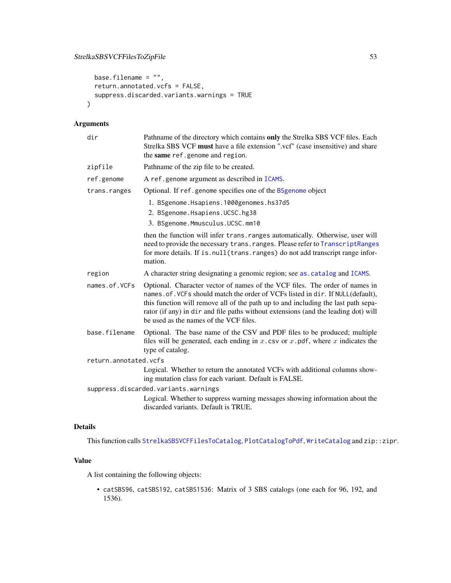# StrelkaSBSVCFFilesToZipFile 53

```
base.filename = ",
 return.annotated.vcfs = FALSE,
  suppress.discarded.variants.warnings = TRUE
\mathcal{L}
```
# Arguments

| dir                   | Pathname of the directory which contains only the Strelka SBS VCF files. Each<br>Strelka SBS VCF must have a file extension ".vcf" (case insensitive) and share<br>the same ref.genome and region.                                                                                                                                                                                  |  |  |  |  |
|-----------------------|-------------------------------------------------------------------------------------------------------------------------------------------------------------------------------------------------------------------------------------------------------------------------------------------------------------------------------------------------------------------------------------|--|--|--|--|
| zipfile               | Pathname of the zip file to be created.                                                                                                                                                                                                                                                                                                                                             |  |  |  |  |
| ref.genome            | A ref.genome argument as described in ICAMS.                                                                                                                                                                                                                                                                                                                                        |  |  |  |  |
| trans.ranges          | Optional. If ref.genome specifies one of the BSgenome object                                                                                                                                                                                                                                                                                                                        |  |  |  |  |
|                       | 1. BSgenome.Hsapiens.1000genomes.hs37d5                                                                                                                                                                                                                                                                                                                                             |  |  |  |  |
|                       | 2. BSgenome.Hsapiens.UCSC.hg38                                                                                                                                                                                                                                                                                                                                                      |  |  |  |  |
|                       | 3. BSgenome.Mmusculus.UCSC.mm10                                                                                                                                                                                                                                                                                                                                                     |  |  |  |  |
|                       | then the function will infer trans. ranges automatically. Otherwise, user will<br>need to provide the necessary trans. ranges. Please refer to TranscriptRanges<br>for more details. If is . null (trans. ranges) do not add transcript range infor-<br>mation.                                                                                                                     |  |  |  |  |
| region                | A character string designating a genomic region; see as . catalog and ICAMS.                                                                                                                                                                                                                                                                                                        |  |  |  |  |
| names.of.VCFs         | Optional. Character vector of names of the VCF files. The order of names in<br>names. of. VCFs should match the order of VCFs listed in dir. If NULL(default),<br>this function will remove all of the path up to and including the last path sepa-<br>rator (if any) in dir and file paths without extensions (and the leading dot) will<br>be used as the names of the VCF files. |  |  |  |  |
| base.filename         | Optional. The base name of the CSV and PDF files to be produced; multiple<br>files will be generated, each ending in $x$ . csv or $x$ . pdf, where $x$ indicates the<br>type of catalog.                                                                                                                                                                                            |  |  |  |  |
| return.annotated.vcfs |                                                                                                                                                                                                                                                                                                                                                                                     |  |  |  |  |
|                       | Logical. Whether to return the annotated VCFs with additional columns show-<br>ing mutation class for each variant. Default is FALSE.                                                                                                                                                                                                                                               |  |  |  |  |
|                       | suppress.discarded.variants.warnings                                                                                                                                                                                                                                                                                                                                                |  |  |  |  |
|                       | Logical. Whether to suppress warning messages showing information about the<br>discarded variants. Default is TRUE.                                                                                                                                                                                                                                                                 |  |  |  |  |

# Details

This function calls [StrelkaSBSVCFFilesToCatalog](#page-47-0), [PlotCatalogToPdf](#page-29-0), [WriteCatalog](#page-71-0) and zip::zipr.

### Value

A list containing the following objects:

• catSBS96, catSBS192, catSBS1536: Matrix of 3 SBS catalogs (one each for 96, 192, and 1536).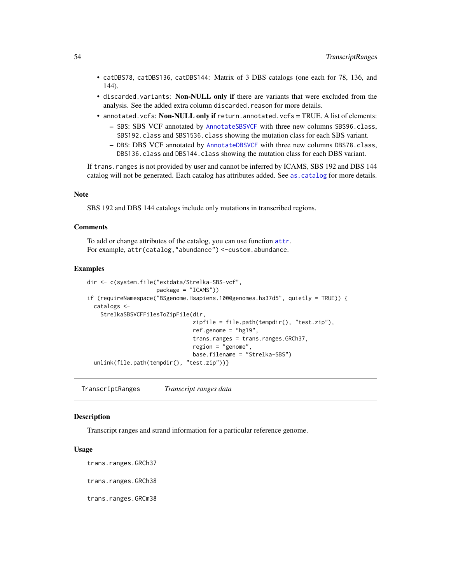- catDBS78, catDBS136, catDBS144: Matrix of 3 DBS catalogs (one each for 78, 136, and 144).
- discarded.variants: Non-NULL only if there are variants that were excluded from the analysis. See the added extra column discarded.reason for more details.
- annotated. vcfs: Non-NULL only if return.annotated. vcfs = TRUE. A list of elements:
	- SBS: SBS VCF annotated by [AnnotateSBSVCF](#page-5-0) with three new columns SBS96.class, SBS192.class and SBS1536.class showing the mutation class for each SBS variant.
	- DBS: DBS VCF annotated by [AnnotateDBSVCF](#page-3-0) with three new columns DBS78.class, DBS136.class and DBS144.class showing the mutation class for each DBS variant.

If trans.ranges is not provided by user and cannot be inferred by ICAMS, SBS 192 and DBS 144 catalog will not be generated. Each catalog has attributes added. See [as.catalog](#page-6-0) for more details.

### **Note**

SBS 192 and DBS 144 catalogs include only mutations in transcribed regions.

#### Comments

To add or change [attr](#page-0-0)ibutes of the catalog, you can use function attr. For example, attr(catalog,"abundance") <-custom.abundance.

#### Examples

```
dir <- c(system.file("extdata/Strelka-SBS-vcf",
                     package = "ICAMS"))
if (requireNamespace("BSgenome.Hsapiens.1000genomes.hs37d5", quietly = TRUE)) {
 catalogs <-
    StrelkaSBSVCFFilesToZipFile(dir,
                                zipfile = file.path(tempdir(), "test.zip"),
                                ref.genome = "hg19",trans.ranges = trans.ranges.GRCh37,
                                region = "genome",
                                base.filename = "Strelka-SBS")
 unlink(file.path(tempdir(), "test.zip"))}
```
<span id="page-53-0"></span>TranscriptRanges *Transcript ranges data*

# **Description**

Transcript ranges and strand information for a particular reference genome.

### Usage

trans.ranges.GRCh37

trans.ranges.GRCh38

trans.ranges.GRCm38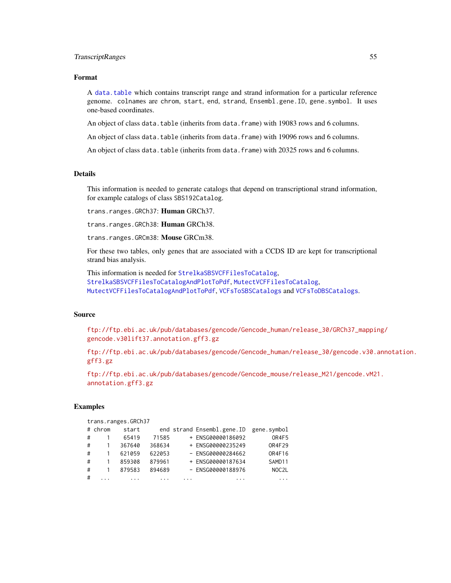#### TranscriptRanges 55

# Format

A [data.table](#page-0-0) which contains transcript range and strand information for a particular reference genome. colnames are chrom, start, end, strand, Ensembl.gene.ID, gene.symbol. It uses one-based coordinates.

An object of class data.table (inherits from data.frame) with 19083 rows and 6 columns.

An object of class data.table (inherits from data.frame) with 19096 rows and 6 columns.

An object of class data.table (inherits from data.frame) with 20325 rows and 6 columns.

# **Details**

This information is needed to generate catalogs that depend on transcriptional strand information, for example catalogs of class SBS192Catalog.

trans.ranges.GRCh37: Human GRCh37.

trans.ranges.GRCh38: Human GRCh38.

trans.ranges.GRCm38: Mouse GRCm38.

For these two tables, only genes that are associated with a CCDS ID are kept for transcriptional strand bias analysis.

This information is needed for [StrelkaSBSVCFFilesToCatalog](#page-47-0), [StrelkaSBSVCFFilesToCatalogAndPlotToPdf](#page-49-0), [MutectVCFFilesToCatalog](#page-20-0), [MutectVCFFilesToCatalogAndPlotToPdf](#page-22-0), [VCFsToSBSCatalogs](#page-66-0) and [VCFsToDBSCatalogs](#page-63-0).

### Source

[ftp://ftp.ebi.ac.uk/pub/databases/gencode/Gencode\\_human/release\\_30/GRCh37\\_mappin](ftp://ftp.ebi.ac.uk/pub/databases/gencode/Gencode_human/release_30/GRCh37_mapping/gencode.v30lift37.annotation.gff3.gz)g/ [gencode.v30lift37.annotation.gff3.gz](ftp://ftp.ebi.ac.uk/pub/databases/gencode/Gencode_human/release_30/GRCh37_mapping/gencode.v30lift37.annotation.gff3.gz)

[ftp://ftp.ebi.ac.uk/pub/databases/gencode/Gencode\\_human/release\\_30/gencode.v30.a](ftp://ftp.ebi.ac.uk/pub/databases/gencode/Gencode_human/release_30/gencode.v30.annotation.gff3.gz)nnotation. [gff3.gz](ftp://ftp.ebi.ac.uk/pub/databases/gencode/Gencode_human/release_30/gencode.v30.annotation.gff3.gz)

[ftp://ftp.ebi.ac.uk/pub/databases/gencode/Gencode\\_mouse/release\\_M21/gencode.vM21](ftp://ftp.ebi.ac.uk/pub/databases/gencode/Gencode_mouse/release_M21/gencode.vM21.annotation.gff3.gz). [annotation.gff3.gz](ftp://ftp.ebi.ac.uk/pub/databases/gencode/Gencode_mouse/release_M21/gencode.vM21.annotation.gff3.gz)

#### Examples

trans.ranges.GRCh37

|   | # chrom | start  |        |                         | end strand Ensembl.gene.ID | gene.symbol        |
|---|---------|--------|--------|-------------------------|----------------------------|--------------------|
| # |         | 65419  | 71585  |                         | + ENSG00000186092          | OR4F5              |
| # |         | 367640 | 368634 |                         | + ENSG00000235249          | 0R4F29             |
| # |         | 621059 | 622053 |                         | - ENSG00000284662          | OR4F16             |
| # |         | 859308 | 879961 |                         | + ENSG00000187634          | SAMD <sub>11</sub> |
| # |         | 879583 | 894689 |                         | - ENSG00000188976          | NOC <sub>2</sub> L |
| # |         |        |        | $\cdot$ $\cdot$ $\cdot$ | .                          | $\cdots$           |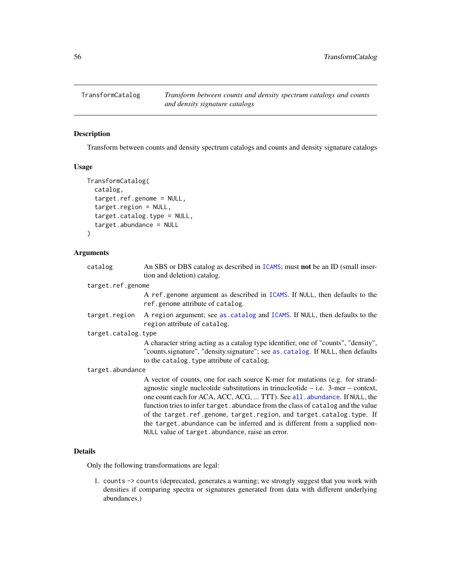<span id="page-55-0"></span>TransformCatalog *Transform between counts and density spectrum catalogs and counts and density signature catalogs*

# Description

Transform between counts and density spectrum catalogs and counts and density signature catalogs

### Usage

```
TransformCatalog(
  catalog,
  target.ref.genome = NULL,
  target.region = NULL,
  target.catalog.type = NULL,
  target.abundance = NULL
)
```
### Arguments

| catalog             | An SBS or DBS catalog as described in ICAMS; must not be an ID (small inser-                                                                                                                                                                                                                                                                                                                                                                                                                  |
|---------------------|-----------------------------------------------------------------------------------------------------------------------------------------------------------------------------------------------------------------------------------------------------------------------------------------------------------------------------------------------------------------------------------------------------------------------------------------------------------------------------------------------|
|                     | tion and deletion) catalog.                                                                                                                                                                                                                                                                                                                                                                                                                                                                   |
| target.ref.genome   |                                                                                                                                                                                                                                                                                                                                                                                                                                                                                               |
|                     | A ref genome argument as described in ICAMS. If NULL, then defaults to the<br>ref.genome attribute of catalog.                                                                                                                                                                                                                                                                                                                                                                                |
| target.region       | A region argument; see as catalog and ICAMS. If NULL, then defaults to the<br>region attribute of catalog.                                                                                                                                                                                                                                                                                                                                                                                    |
| target.catalog.type |                                                                                                                                                                                                                                                                                                                                                                                                                                                                                               |
|                     | A character string acting as a catalog type identifier, one of "counts", "density",                                                                                                                                                                                                                                                                                                                                                                                                           |
|                     | "counts.signature", "density.signature"; see as.catalog. If NULL, then defaults                                                                                                                                                                                                                                                                                                                                                                                                               |
|                     | to the catalog. type attribute of catalog.                                                                                                                                                                                                                                                                                                                                                                                                                                                    |
| target.abundance    |                                                                                                                                                                                                                                                                                                                                                                                                                                                                                               |
|                     | A vector of counts, one for each source K-mer for mutations (e.g. for strand-<br>agnostic single nucleotide substitutions in trinucleotide $-$ i.e. 3-mer $-$ context,<br>one count each for ACA, ACC, ACG,  TTT). See all. abundance. If NULL, the<br>function tries to infer target. abundace from the class of catalog and the value<br>of the target.ref.genome, target.region, and target.catalog.type. If<br>the target abundance can be inferred and is different from a supplied non- |
|                     | NULL value of target. abundance, raise an error.                                                                                                                                                                                                                                                                                                                                                                                                                                              |

### Details

Only the following transformations are legal:

1. counts -> counts (deprecated, generates a warning; we strongly suggest that you work with densities if comparing spectra or signatures generated from data with different underlying abundances.)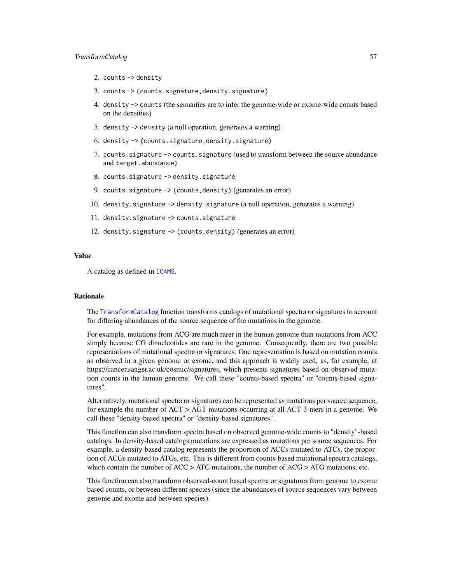#### TransformCatalog 57

- 2. counts -> density
- 3. counts -> (counts.signature,density.signature)
- 4. density -> counts (the semantics are to infer the genome-wide or exome-wide counts based on the densities)
- 5. density -> density (a null operation, generates a warning)
- 6. density -> (counts.signature,density.signature)
- 7. counts.signature -> counts.signature (used to transform between the source abundance and target.abundance)
- 8. counts.signature -> density.signature
- 9. counts.signature -> (counts, density) (generates an error)
- 10. density.signature -> density.signature (a null operation, generates a warning)
- 11. density.signature -> counts.signature
- 12. density.signature -> (counts, density) (generates an error)

#### Value

A catalog as defined in [ICAMS](#page-16-0).

# Rationale

The [TransformCatalog](#page-55-0) function transforms catalogs of mutational spectra or signatures to account for differing abundances of the source sequence of the mutations in the genome.

For example, mutations from ACG are much rarer in the human genome than mutations from ACC simply because CG dinucleotides are rare in the genome. Consequently, there are two possible representations of mutational spectra or signatures. One representation is based on mutation counts as observed in a given genome or exome, and this approach is widely used, as, for example, at https://cancer.sanger.ac.uk/cosmic/signatures, which presents signatures based on observed mutation counts in the human genome. We call these "counts-based spectra" or "counts-based signatures".

Alternatively, mutational spectra or signatures can be represented as mutations per source sequence, for example the number of ACT > AGT mutations occurring at all ACT 3-mers in a genome. We call these "density-based spectra" or "density-based signatures".

This function can also transform spectra based on observed genome-wide counts to "density"-based catalogs. In density-based catalogs mutations are expressed as mutations per source sequences. For example, a density-based catalog represents the proportion of ACCs mutated to ATCs, the proportion of ACGs mutated to ATGs, etc. This is different from counts-based mutational spectra catalogs, which contain the number of  $ACC > ATC$  mutations, the number of  $ACG > ATG$  mutations, etc.

This function can also transform observed-count based spectra or signatures from genome to exome based counts, or between different species (since the abundances of source sequences vary between genome and exome and between species).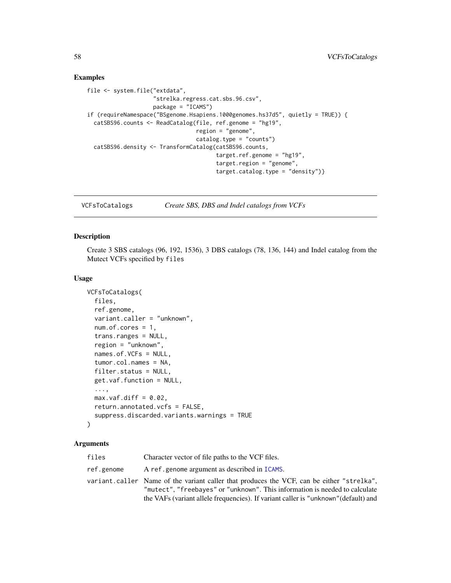### Examples

```
file <- system.file("extdata",
                    "strelka.regress.cat.sbs.96.csv",
                    package = "ICAMS")
if (requireNamespace("BSgenome.Hsapiens.1000genomes.hs37d5", quietly = TRUE)) {
 catSBS96.counts <- ReadCatalog(file, ref.genome = "hg19",
                                 region = "genome",
                                 catalog.type = "counts")
 catSBS96.density <- TransformCatalog(catSBS96.counts,
                                       target.ref.genome = "hg19",
                                       target.region = "genome",
                                       target.catalog.type = "density")}
```
<span id="page-57-0"></span>

VCFsToCatalogs *Create SBS, DBS and Indel catalogs from VCFs*

#### Description

Create 3 SBS catalogs (96, 192, 1536), 3 DBS catalogs (78, 136, 144) and Indel catalog from the Mutect VCFs specified by files

### Usage

```
VCFsToCatalogs(
  files,
  ref.genome,
  variant.caller = "unknown",
  num.of.cores = 1,
  trans.ranges = NULL,
  region = "unknown",
  names.of.VCFs = NULL,
  tumor.col.names = NA,
  filter.status = NULL,
  get.vaf.function = NULL,
  ...,
 max.vaf.diff = 0.02,
  return.annotated.vcfs = FALSE,
  suppress.discarded.variants.warnings = TRUE
)
```
#### Arguments

| files      | Character vector of file paths to the VCF files.                                                                                                                         |
|------------|--------------------------------------------------------------------------------------------------------------------------------------------------------------------------|
| ref.genome | A ref.genome argument as described in ICAMS.                                                                                                                             |
|            | variant.caller Name of the variant caller that produces the VCF, can be either "strelka".<br>"mutect", "freebayes" or "unknown". This information is needed to calculate |
|            | the VAFs (variant allele frequencies). If variant caller is "unknown" (default) and                                                                                      |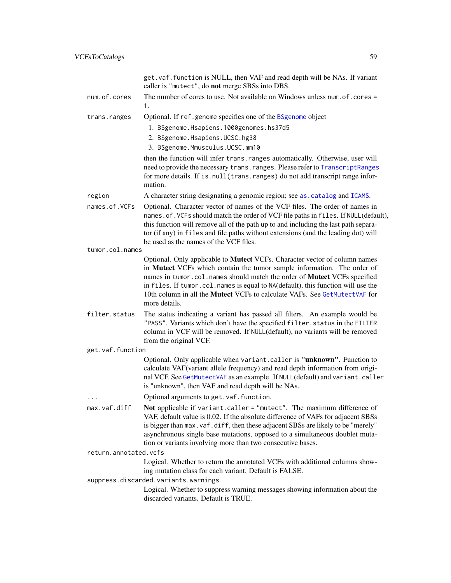|                       | get. vaf. function is NULL, then VAF and read depth will be NAs. If variant<br>caller is "mutect", do not merge SBSs into DBS.                                                                                                                                                                                                                                                                                       |
|-----------------------|----------------------------------------------------------------------------------------------------------------------------------------------------------------------------------------------------------------------------------------------------------------------------------------------------------------------------------------------------------------------------------------------------------------------|
| num.of.cores          | The number of cores to use. Not available on Windows unless num. of . cores =<br>1.                                                                                                                                                                                                                                                                                                                                  |
| trans.ranges          | Optional. If ref.genome specifies one of the BSgenome object                                                                                                                                                                                                                                                                                                                                                         |
|                       | 1. BSgenome.Hsapiens.1000genomes.hs37d5                                                                                                                                                                                                                                                                                                                                                                              |
|                       | 2. BSgenome. Hsapiens. UCSC. hg38                                                                                                                                                                                                                                                                                                                                                                                    |
|                       | 3. BSgenome.Mmusculus.UCSC.mm10                                                                                                                                                                                                                                                                                                                                                                                      |
|                       | then the function will infer trans. ranges automatically. Otherwise, user will<br>need to provide the necessary trans. ranges. Please refer to TranscriptRanges<br>for more details. If is.null(trans.ranges) do not add transcript range infor-<br>mation.                                                                                                                                                          |
| region                | A character string designating a genomic region; see as . catalog and ICAMS.                                                                                                                                                                                                                                                                                                                                         |
| names.of.VCFs         | Optional. Character vector of names of the VCF files. The order of names in<br>names. of. VCFs should match the order of VCF file paths in files. If NULL(default),<br>this function will remove all of the path up to and including the last path separa-<br>tor (if any) in files and file paths without extensions (and the leading dot) will<br>be used as the names of the VCF files.                           |
| tumor.col.names       |                                                                                                                                                                                                                                                                                                                                                                                                                      |
|                       | Optional. Only applicable to Mutect VCFs. Character vector of column names<br>in Mutect VCFs which contain the tumor sample information. The order of<br>names in tumor.col.names should match the order of Mutect VCFs specified<br>in files. If tumor.col.names is equal to NA(default), this function will use the<br>10th column in all the Mutect VCFs to calculate VAFs. See GetMutectVAF for<br>more details. |
| filter.status         | The status indicating a variant has passed all filters. An example would be<br>"PASS". Variants which don't have the specified filter. status in the FILTER<br>column in VCF will be removed. If NULL(default), no variants will be removed<br>from the original VCF.                                                                                                                                                |
| get.vaf.function      |                                                                                                                                                                                                                                                                                                                                                                                                                      |
|                       | Optional. Only applicable when variant.caller is "unknown". Function to<br>calculate VAF(variant allele frequency) and read depth information from origi-<br>nal VCF. See GetMutectVAF as an example. If NULL(default) and variant.caller<br>is "unknown", then VAF and read depth will be NAs.                                                                                                                      |
| $\cdots$              | Optional arguments to get. vaf. function.                                                                                                                                                                                                                                                                                                                                                                            |
| max.vaf.diff          | Not applicable if variant.caller = "mutect". The maximum difference of<br>VAF, default value is 0.02. If the absolute difference of VAFs for adjacent SBSs<br>is bigger than max. vaf. diff, then these adjacent SBSs are likely to be "merely"<br>asynchronous single base mutations, opposed to a simultaneous doublet muta-<br>tion or variants involving more than two consecutive bases.                        |
| return.annotated.vcfs |                                                                                                                                                                                                                                                                                                                                                                                                                      |
|                       | Logical. Whether to return the annotated VCFs with additional columns show-<br>ing mutation class for each variant. Default is FALSE.                                                                                                                                                                                                                                                                                |
|                       | suppress.discarded.variants.warnings                                                                                                                                                                                                                                                                                                                                                                                 |
|                       | Logical. Whether to suppress warning messages showing information about the<br>discarded variants. Default is TRUE.                                                                                                                                                                                                                                                                                                  |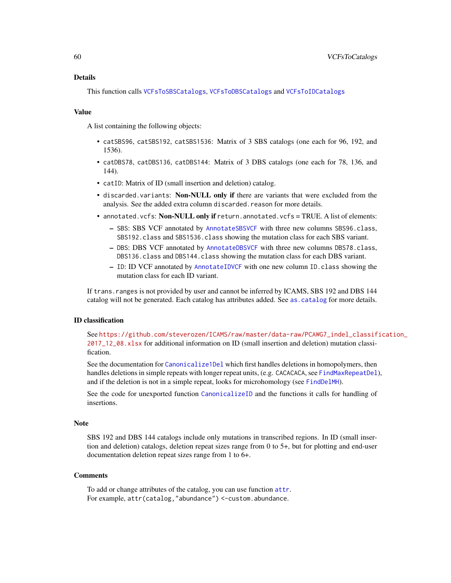# Details

This function calls [VCFsToSBSCatalogs](#page-66-0), [VCFsToDBSCatalogs](#page-63-0) and [VCFsToIDCatalogs](#page-65-0)

#### Value

A list containing the following objects:

- catSBS96, catSBS192, catSBS1536: Matrix of 3 SBS catalogs (one each for 96, 192, and 1536).
- catDBS78, catDBS136, catDBS144: Matrix of 3 DBS catalogs (one each for 78, 136, and 144).
- catID: Matrix of ID (small insertion and deletion) catalog.
- discarded.variants: Non-NULL only if there are variants that were excluded from the analysis. See the added extra column discarded.reason for more details.
- annotated.vcfs: Non-NULL only if return.annotated.vcfs = TRUE. A list of elements:
	- SBS: SBS VCF annotated by [AnnotateSBSVCF](#page-5-0) with three new columns SBS96.class, SBS192.class and SBS1536.class showing the mutation class for each SBS variant.
	- DBS: DBS VCF annotated by [AnnotateDBSVCF](#page-3-0) with three new columns DBS78.class, DBS136.class and DBS144.class showing the mutation class for each DBS variant.
	- ID: ID VCF annotated by [AnnotateIDVCF](#page-4-0) with one new column ID.class showing the mutation class for each ID variant.

If trans.ranges is not provided by user and cannot be inferred by ICAMS, SBS 192 and DBS 144 catalog will not be generated. Each catalog has attributes added. See [as.catalog](#page-6-0) for more details.

#### ID classification

See [https://github.com/steverozen/ICAMS/raw/master/data-raw/PCAWG7\\_indel\\_classif](https://github.com/steverozen/ICAMS/raw/master/data-raw/PCAWG7_indel_classification_2017_12_08.xlsx)ication\_ [2017\\_12\\_08.xlsx](https://github.com/steverozen/ICAMS/raw/master/data-raw/PCAWG7_indel_classification_2017_12_08.xlsx) for additional information on ID (small insertion and deletion) mutation classification.

See the documentation for [Canonicalize1Del](#page-7-0) which first handles deletions in homopolymers, then handles deletions in simple repeats with longer repeat units, (e.g. CACACACA, see [FindMaxRepeatDel](#page-12-0)), and if the deletion is not in a simple repeat, looks for microhomology (see [FindDelMH](#page-10-0)).

See the code for unexported function [CanonicalizeID](#page-0-0) and the functions it calls for handling of insertions.

#### Note

SBS 192 and DBS 144 catalogs include only mutations in transcribed regions. In ID (small insertion and deletion) catalogs, deletion repeat sizes range from 0 to 5+, but for plotting and end-user documentation deletion repeat sizes range from 1 to 6+.

#### Comments

To add or change attributes of the catalog, you can use function [attr](#page-0-0). For example, attr(catalog,"abundance") <-custom.abundance.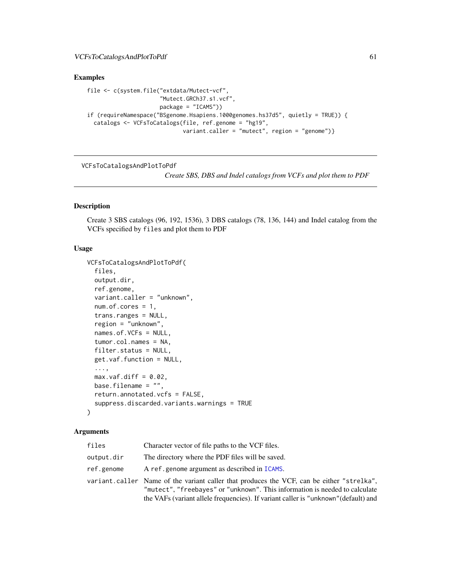# Examples

```
file <- c(system.file("extdata/Mutect-vcf",
                      "Mutect.GRCh37.s1.vcf",
                      package = "ICAMS"))
if (requireNamespace("BSgenome.Hsapiens.1000genomes.hs37d5", quietly = TRUE)) {
 catalogs <- VCFsToCatalogs(file, ref.genome = "hg19",
                            variant.caller = "mutect", region = "genome")}
```
VCFsToCatalogsAndPlotToPdf

*Create SBS, DBS and Indel catalogs from VCFs and plot them to PDF*

# Description

Create 3 SBS catalogs (96, 192, 1536), 3 DBS catalogs (78, 136, 144) and Indel catalog from the VCFs specified by files and plot them to PDF

### Usage

```
VCFsToCatalogsAndPlotToPdf(
  files,
  output.dir,
  ref.genome,
  variant.caller = "unknown",
  num.of.cores = 1,
  trans.ranges = NULL,
  region = "unknown",
  names.of.VCFs = NULL,
  tumor.col.names = NA,
  filter.status = NULL,
  get.vaf.function = NULL,
  ...,
  max.vaf.diff = 0.02,
 base.filename = ",
  return.annotated.vcfs = FALSE,
  suppress.discarded.variants.warnings = TRUE
)
```
#### Arguments

| files      | Character vector of file paths to the VCF files.                                                                                                                                                                                                                |
|------------|-----------------------------------------------------------------------------------------------------------------------------------------------------------------------------------------------------------------------------------------------------------------|
| output.dir | The directory where the PDF files will be saved.                                                                                                                                                                                                                |
| ref.genome | A ref.genome argument as described in ICAMS.                                                                                                                                                                                                                    |
|            | variant.caller Name of the variant caller that produces the VCF, can be either "strelka",<br>"mutect", "freebayes" or "unknown". This information is needed to calculate<br>the VAFs (variant allele frequencies). If variant caller is "unknown" (default) and |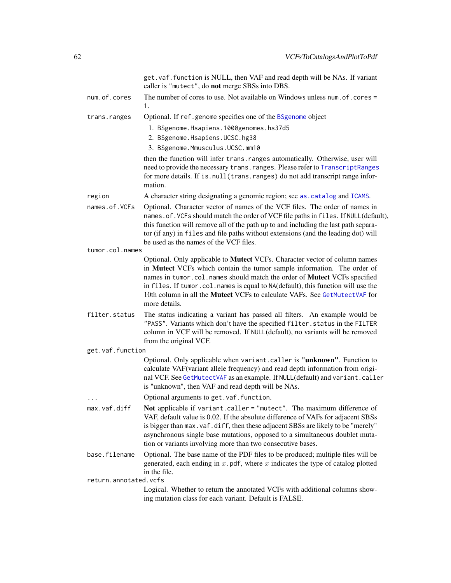|                       | get. vaf. function is NULL, then VAF and read depth will be NAs. If variant<br>caller is "mutect", do not merge SBSs into DBS.                                                                                                                                                                                                                                                                                       |
|-----------------------|----------------------------------------------------------------------------------------------------------------------------------------------------------------------------------------------------------------------------------------------------------------------------------------------------------------------------------------------------------------------------------------------------------------------|
| num.of.cores          | The number of cores to use. Not available on Windows unless num. of . cores =<br>1.                                                                                                                                                                                                                                                                                                                                  |
| trans.ranges          | Optional. If ref.genome specifies one of the BSgenome object                                                                                                                                                                                                                                                                                                                                                         |
|                       | 1. BSgenome.Hsapiens.1000genomes.hs37d5                                                                                                                                                                                                                                                                                                                                                                              |
|                       | 2. BSgenome.Hsapiens.UCSC.hg38                                                                                                                                                                                                                                                                                                                                                                                       |
|                       | 3. BSgenome.Mmusculus.UCSC.mm10                                                                                                                                                                                                                                                                                                                                                                                      |
|                       | then the function will infer trans. ranges automatically. Otherwise, user will<br>need to provide the necessary trans. ranges. Please refer to TranscriptRanges<br>for more details. If is.null(trans.ranges) do not add transcript range infor-<br>mation.                                                                                                                                                          |
| region                | A character string designating a genomic region; see as . catalog and ICAMS.                                                                                                                                                                                                                                                                                                                                         |
| names.of.VCFs         | Optional. Character vector of names of the VCF files. The order of names in<br>names.of. VCFs should match the order of VCF file paths in files. If NULL(default),<br>this function will remove all of the path up to and including the last path separa-<br>tor (if any) in files and file paths without extensions (and the leading dot) will<br>be used as the names of the VCF files.                            |
| tumor.col.names       |                                                                                                                                                                                                                                                                                                                                                                                                                      |
|                       | Optional. Only applicable to Mutect VCFs. Character vector of column names<br>in Mutect VCFs which contain the tumor sample information. The order of<br>names in tumor.col.names should match the order of Mutect VCFs specified<br>in files. If tumor.col.names is equal to NA(default), this function will use the<br>10th column in all the Mutect VCFs to calculate VAFs. See GetMutectVAF for<br>more details. |
| filter.status         | The status indicating a variant has passed all filters. An example would be<br>"PASS". Variants which don't have the specified filter. status in the FILTER<br>column in VCF will be removed. If NULL(default), no variants will be removed<br>from the original VCF.                                                                                                                                                |
| get.vaf.function      |                                                                                                                                                                                                                                                                                                                                                                                                                      |
|                       | Optional. Only applicable when variant.caller is "unknown". Function to<br>calculate VAF(variant allele frequency) and read depth information from origi-<br>nal VCF. See GetMutectVAF as an example. If NULL(default) and variant.caller<br>is "unknown", then VAF and read depth will be NAs.                                                                                                                      |
| $\cdots$              | Optional arguments to get. vaf. function.                                                                                                                                                                                                                                                                                                                                                                            |
| max.vaf.diff          | Not applicable if variant.caller = "mutect". The maximum difference of<br>VAF, default value is 0.02. If the absolute difference of VAFs for adjacent SBSs<br>is bigger than max. vaf. diff, then these adjacent SBSs are likely to be "merely"<br>asynchronous single base mutations, opposed to a simultaneous doublet muta-<br>tion or variants involving more than two consecutive bases.                        |
| base.filename         | Optional. The base name of the PDF files to be produced; multiple files will be<br>generated, each ending in $x$ . pdf, where $x$ indicates the type of catalog plotted<br>in the file.                                                                                                                                                                                                                              |
| return.annotated.vcfs | Logical. Whether to return the annotated VCFs with additional columns show-                                                                                                                                                                                                                                                                                                                                          |
|                       | ing mutation class for each variant. Default is FALSE.                                                                                                                                                                                                                                                                                                                                                               |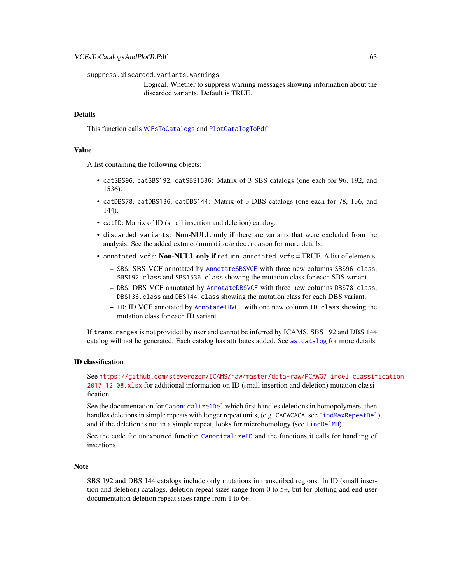suppress.discarded.variants.warnings

Logical. Whether to suppress warning messages showing information about the discarded variants. Default is TRUE.

### Details

This function calls [VCFsToCatalogs](#page-57-0) and [PlotCatalogToPdf](#page-29-0)

# Value

A list containing the following objects:

- catSBS96, catSBS192, catSBS1536: Matrix of 3 SBS catalogs (one each for 96, 192, and 1536).
- catDBS78, catDBS136, catDBS144: Matrix of 3 DBS catalogs (one each for 78, 136, and 144).
- catID: Matrix of ID (small insertion and deletion) catalog.
- discarded.variants: Non-NULL only if there are variants that were excluded from the analysis. See the added extra column discarded.reason for more details.
- annotated. vcfs: Non-NULL only if return.annotated. vcfs = TRUE. A list of elements:
	- SBS: SBS VCF annotated by [AnnotateSBSVCF](#page-5-0) with three new columns SBS96.class, SBS192.class and SBS1536.class showing the mutation class for each SBS variant.
	- DBS: DBS VCF annotated by [AnnotateDBSVCF](#page-3-0) with three new columns DBS78.class, DBS136.class and DBS144.class showing the mutation class for each DBS variant.
	- ID: ID VCF annotated by [AnnotateIDVCF](#page-4-0) with one new column ID.class showing the mutation class for each ID variant.

If trans.ranges is not provided by user and cannot be inferred by ICAMS, SBS 192 and DBS 144 catalog will not be generated. Each catalog has attributes added. See [as.catalog](#page-6-0) for more details.

### ID classification

See [https://github.com/steverozen/ICAMS/raw/master/data-raw/PCAWG7\\_indel\\_classif](https://github.com/steverozen/ICAMS/raw/master/data-raw/PCAWG7_indel_classification_2017_12_08.xlsx)ication\_ [2017\\_12\\_08.xlsx](https://github.com/steverozen/ICAMS/raw/master/data-raw/PCAWG7_indel_classification_2017_12_08.xlsx) for additional information on ID (small insertion and deletion) mutation classification.

See the documentation for [Canonicalize1Del](#page-7-0) which first handles deletions in homopolymers, then handles deletions in simple repeats with longer repeat units, (e.g. CACACACA, see [FindMaxRepeatDel](#page-12-0)), and if the deletion is not in a simple repeat, looks for microhomology (see [FindDelMH](#page-10-0)).

See the code for unexported function [CanonicalizeID](#page-0-0) and the functions it calls for handling of insertions.

#### Note

SBS 192 and DBS 144 catalogs include only mutations in transcribed regions. In ID (small insertion and deletion) catalogs, deletion repeat sizes range from 0 to 5+, but for plotting and end-user documentation deletion repeat sizes range from 1 to 6+.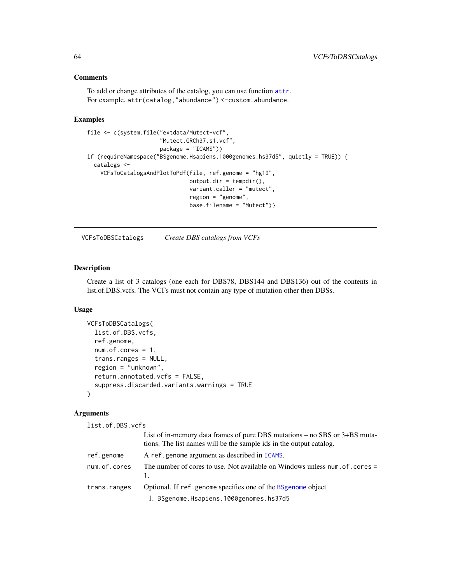# Comments

To add or change attributes of the catalog, you can use function [attr](#page-0-0). For example, attr(catalog,"abundance") <-custom.abundance.

### Examples

```
file <- c(system.file("extdata/Mutect-vcf",
                      "Mutect.GRCh37.s1.vcf",
                      package = "ICAMS"))
if (requireNamespace("BSgenome.Hsapiens.1000genomes.hs37d5", quietly = TRUE)) {
 catalogs <-
   VCFsToCatalogsAndPlotToPdf(file, ref.genome = "hg19",
                               output.dim = tempdir(),variant.caller = "mutect",
                               region = "genome",
                               base.filename = "Mutect")}
```
<span id="page-63-0"></span>VCFsToDBSCatalogs *Create DBS catalogs from VCFs*

### Description

Create a list of 3 catalogs (one each for DBS78, DBS144 and DBS136) out of the contents in list.of.DBS.vcfs. The VCFs must not contain any type of mutation other then DBSs.

### Usage

```
VCFsToDBSCatalogs(
  list.of.DBS.vcfs,
  ref.genome,
  num.of.cores = 1,
  trans.ranges = NULL,
  region = "unknown",
  return.annotated.vcfs = FALSE,
  suppress.discarded.variants.warnings = TRUE
)
```
### Arguments

list.of.DBS.vcfs

|              | List of in-memory data frames of pure DBS mutations – no SBS or 3+BS muta-<br>tions. The list names will be the sample ids in the output catalog. |
|--------------|---------------------------------------------------------------------------------------------------------------------------------------------------|
| ref.genome   | A ref.genome argument as described in ICAMS.                                                                                                      |
| num.of.cores | The number of cores to use. Not available on Windows unless num of . cores =                                                                      |
| trans.ranges | Optional. If ref.genome specifies one of the BSgenome object                                                                                      |
|              | 1. BSgenome.Hsapiens.1000genomes.hs37d5                                                                                                           |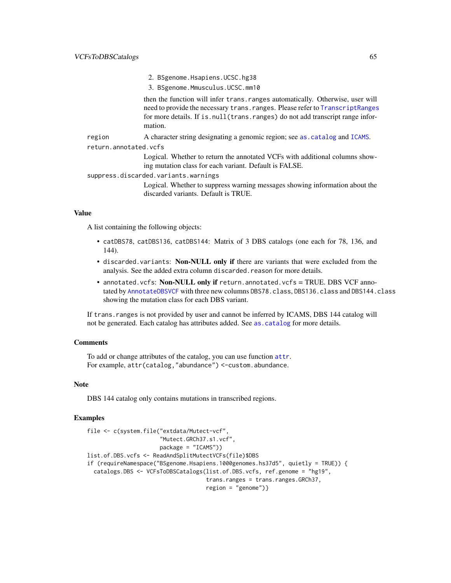- 2. BSgenome.Hsapiens.UCSC.hg38
- 3. BSgenome.Mmusculus.UCSC.mm10

then the function will infer trans.ranges automatically. Otherwise, user will need to provide the necessary trans.ranges. Please refer to [TranscriptRanges](#page-53-0) for more details. If is.null(trans.ranges) do not add transcript range information.

region A character string designating a genomic region; see [as.catalog](#page-6-0) and [ICAMS](#page-16-0).

return.annotated.vcfs

Logical. Whether to return the annotated VCFs with additional columns showing mutation class for each variant. Default is FALSE.

suppress.discarded.variants.warnings

Logical. Whether to suppress warning messages showing information about the discarded variants. Default is TRUE.

#### Value

A list containing the following objects:

- catDBS78, catDBS136, catDBS144: Matrix of 3 DBS catalogs (one each for 78, 136, and 144).
- discarded.variants: Non-NULL only if there are variants that were excluded from the analysis. See the added extra column discarded.reason for more details.
- annotated.vcfs: Non-NULL only if return.annotated.vcfs = TRUE. DBS VCF annotated by [AnnotateDBSVCF](#page-3-0) with three new columns DBS78.class, DBS136.class and DBS144.class showing the mutation class for each DBS variant.

If trans.ranges is not provided by user and cannot be inferred by ICAMS, DBS 144 catalog will not be generated. Each catalog has attributes added. See [as.catalog](#page-6-0) for more details.

### **Comments**

To add or change attributes of the catalog, you can use function [attr](#page-0-0). For example,  $attr(catalog, "abundance") < -custom$ . abundance.

#### Note

DBS 144 catalog only contains mutations in transcribed regions.

### Examples

```
file <- c(system.file("extdata/Mutect-vcf",
                      "Mutect.GRCh37.s1.vcf",
                     package = "ICAMS"))
list.of.DBS.vcfs <- ReadAndSplitMutectVCFs(file)$DBS
if (requireNamespace("BSgenome.Hsapiens.1000genomes.hs37d5", quietly = TRUE)) {
 catalogs.DBS <- VCFsToDBSCatalogs(list.of.DBS.vcfs, ref.genome = "hg19",
                                    trans.ranges = trans.ranges.GRCh37,
                                    region = "genome")
```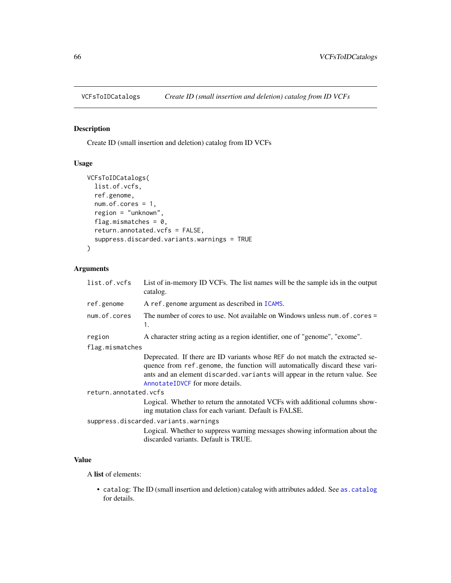<span id="page-65-0"></span>

# Description

Create ID (small insertion and deletion) catalog from ID VCFs

# Usage

```
VCFsToIDCatalogs(
  list.of.vcfs,
  ref.genome,
  num.of.cores = 1,
  region = "unknown",
  flag.mismatches = 0,
  return.annotated.vcfs = FALSE,
  suppress.discarded.variants.warnings = TRUE
)
```
# Arguments

| list.of.vcfs          | List of in-memory ID VCFs. The list names will be the sample ids in the output<br>catalog.                                                                                                                                                                                      |
|-----------------------|---------------------------------------------------------------------------------------------------------------------------------------------------------------------------------------------------------------------------------------------------------------------------------|
| ref.genome            | A ref.genome argument as described in ICAMS.                                                                                                                                                                                                                                    |
| num.of.cores          | The number of cores to use. Not available on Windows unless num. of . cores =<br>1.                                                                                                                                                                                             |
| region                | A character string acting as a region identifier, one of "genome", "exome".                                                                                                                                                                                                     |
| flag.mismatches       |                                                                                                                                                                                                                                                                                 |
|                       | Deprecated. If there are ID variants whose REF do not match the extracted se-<br>quence from ref.genome, the function will automatically discard these vari-<br>ants and an element discarded, variants will appear in the return value. See<br>AnnotateIDVCF for more details. |
| return.annotated.vcfs |                                                                                                                                                                                                                                                                                 |
|                       | Logical. Whether to return the annotated VCFs with additional columns show-<br>ing mutation class for each variant. Default is FALSE.                                                                                                                                           |
|                       | suppress.discarded.variants.warnings                                                                                                                                                                                                                                            |
|                       | Logical. Whether to suppress warning messages showing information about the<br>discarded variants. Default is TRUE.                                                                                                                                                             |

### Value

A list of elements:

• catalog: The ID (small insertion and deletion) catalog with attributes added. See [as.catalog](#page-6-0) for details.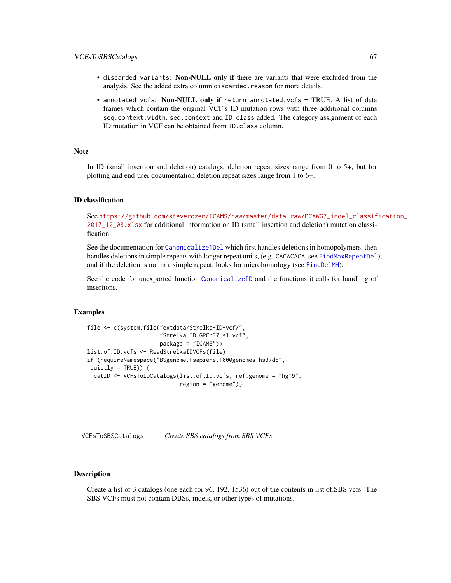### VCFsToSBSCatalogs 67

- discarded.variants: Non-NULL only if there are variants that were excluded from the analysis. See the added extra column discarded.reason for more details.
- annotated.vcfs: Non-NULL only if return.annotated.vcfs = TRUE. A list of data frames which contain the original VCF's ID mutation rows with three additional columns seq.context.width, seq.context and ID.class added. The category assignment of each ID mutation in VCF can be obtained from ID.class column.

### Note

In ID (small insertion and deletion) catalogs, deletion repeat sizes range from 0 to 5+, but for plotting and end-user documentation deletion repeat sizes range from 1 to 6+.

#### ID classification

See [https://github.com/steverozen/ICAMS/raw/master/data-raw/PCAWG7\\_indel\\_classif](https://github.com/steverozen/ICAMS/raw/master/data-raw/PCAWG7_indel_classification_2017_12_08.xlsx)ication\_ [2017\\_12\\_08.xlsx](https://github.com/steverozen/ICAMS/raw/master/data-raw/PCAWG7_indel_classification_2017_12_08.xlsx) for additional information on ID (small insertion and deletion) mutation classification.

See the documentation for [Canonicalize1Del](#page-7-0) which first handles deletions in homopolymers, then handles deletions in simple repeats with longer repeat units, (e.g. CACACACA, see [FindMaxRepeatDel](#page-12-0)), and if the deletion is not in a simple repeat, looks for microhomology (see [FindDelMH](#page-10-0)).

See the code for unexported function [CanonicalizeID](#page-0-0) and the functions it calls for handling of insertions.

#### Examples

```
file <- c(system.file("extdata/Strelka-ID-vcf/",
                      "Strelka.ID.GRCh37.s1.vcf",
                      package = "ICAMS"))
list.of.ID.vcfs <- ReadStrelkaIDVCFs(file)
if (requireNamespace("BSgenome.Hsapiens.1000genomes.hs37d5",
quietly = TRUE)) {
 catID <- VCFsToIDCatalogs(list.of.ID.vcfs, ref.genome = "hg19",
                            region = "genome")}
```
<span id="page-66-0"></span>VCFsToSBSCatalogs *Create SBS catalogs from SBS VCFs*

### Description

Create a list of 3 catalogs (one each for 96, 192, 1536) out of the contents in list.of.SBS.vcfs. The SBS VCFs must not contain DBSs, indels, or other types of mutations.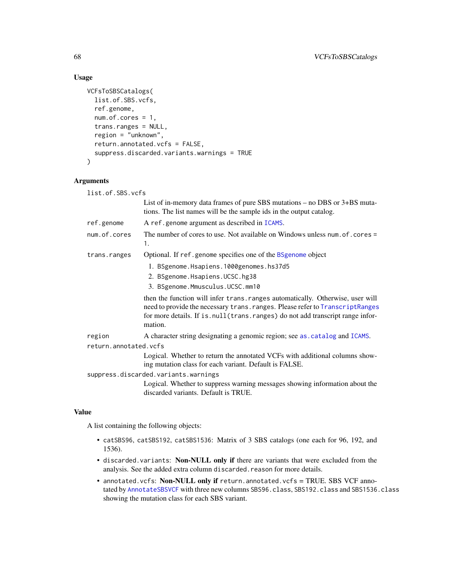# Usage

```
VCFsToSBSCatalogs(
  list.of.SBS.vcfs,
  ref.genome,
  num.of.cores = 1,
  trans.ranges = NULL,
  region = "unknown",
  return.annotated.vcfs = FALSE,
  suppress.discarded.variants.warnings = TRUE
\mathcal{L}
```
### Arguments

list.of.SBS.vcfs

|                       | List of in-memory data frames of pure SBS mutations $-$ no DBS or $3+$ BS muta-<br>tions. The list names will be the sample ids in the output catalog.                                                                                                          |
|-----------------------|-----------------------------------------------------------------------------------------------------------------------------------------------------------------------------------------------------------------------------------------------------------------|
| ref.genome            | A ref.genome argument as described in ICAMS.                                                                                                                                                                                                                    |
| num.of.cores          | The number of cores to use. Not available on Windows unless num. of . cores =<br>1.                                                                                                                                                                             |
| trans.ranges          | Optional. If ref.genome specifies one of the BSgenome object                                                                                                                                                                                                    |
|                       | 1. BSgenome.Hsapiens.1000genomes.hs37d5                                                                                                                                                                                                                         |
|                       | 2. BSgenome.Hsapiens.UCSC.hg38                                                                                                                                                                                                                                  |
|                       | 3. BSgenome.Mmusculus.UCSC.mm10                                                                                                                                                                                                                                 |
|                       | then the function will infer trans. ranges automatically. Otherwise, user will<br>need to provide the necessary trans. ranges. Please refer to TranscriptRanges<br>for more details. If is . null (trans. ranges) do not add transcript range infor-<br>mation. |
| region                | A character string designating a genomic region; see as . catalog and ICAMS.                                                                                                                                                                                    |
| return.annotated.vcfs |                                                                                                                                                                                                                                                                 |
|                       | Logical. Whether to return the annotated VCFs with additional columns show-<br>ing mutation class for each variant. Default is FALSE.                                                                                                                           |
|                       | suppress.discarded.variants.warnings                                                                                                                                                                                                                            |
|                       | Logical. Whether to suppress warning messages showing information about the<br>discarded variants. Default is TRUE.                                                                                                                                             |

### Value

A list containing the following objects:

- catSBS96, catSBS192, catSBS1536: Matrix of 3 SBS catalogs (one each for 96, 192, and 1536).
- discarded.variants: Non-NULL only if there are variants that were excluded from the analysis. See the added extra column discarded.reason for more details.
- annotated.vcfs: Non-NULL only if return.annotated.vcfs = TRUE. SBS VCF annotated by [AnnotateSBSVCF](#page-5-0) with three new columns SBS96.class, SBS192.class and SBS1536.class showing the mutation class for each SBS variant.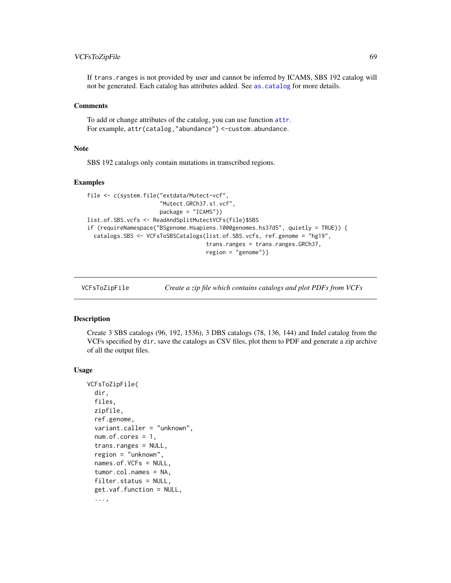# VCFsToZipFile 69

If trans.ranges is not provided by user and cannot be inferred by ICAMS, SBS 192 catalog will not be generated. Each catalog has attributes added. See [as.catalog](#page-6-0) for more details.

### **Comments**

To add or change attributes of the catalog, you can use function [attr](#page-0-0). For example, attr(catalog,"abundance") <-custom.abundance.

### **Note**

SBS 192 catalogs only contain mutations in transcribed regions.

#### Examples

```
file <- c(system.file("extdata/Mutect-vcf",
                      "Mutect.GRCh37.s1.vcf",
                      package = "ICAMS"))
list.of.SBS.vcfs <- ReadAndSplitMutectVCFs(file)$SBS
if (requireNamespace("BSgenome.Hsapiens.1000genomes.hs37d5", quietly = TRUE)) {
  catalogs.SBS <- VCFsToSBSCatalogs(list.of.SBS.vcfs, ref.genome = "hg19",
                                    trans.ranges = trans.ranges.GRCh37,
                                    region = "genome")}
```
VCFsToZipFile *Create a zip file which contains catalogs and plot PDFs from VCFs*

#### Description

Create 3 SBS catalogs (96, 192, 1536), 3 DBS catalogs (78, 136, 144) and Indel catalog from the VCFs specified by dir, save the catalogs as CSV files, plot them to PDF and generate a zip archive of all the output files.

```
VCFsToZipFile(
  dir,
  files,
 zipfile,
  ref.genome,
  variant.caller = "unknown",
  num.of.cores = 1,
  trans.ranges = NULL,
  region = "unknown",
  names.of.VCFs = NULL,
  tumor.col.names = NA,
  filter.status = NULL,
  get.vaf.function = NULL,
  ...,
```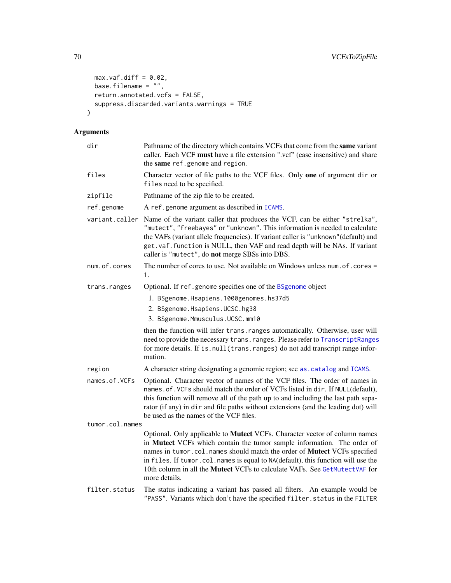```
max.vaf.diff = 0.02,base.filename = ",
 return.annotated.vcfs = FALSE,
 suppress.discarded.variants.warnings = TRUE
\mathcal{L}
```
# Arguments

| dir             | Pathname of the directory which contains VCFs that come from the same variant<br>caller. Each VCF must have a file extension ".vcf" (case insensitive) and share<br>the same ref.genome and region.                                                                                                                                                                                                                  |
|-----------------|----------------------------------------------------------------------------------------------------------------------------------------------------------------------------------------------------------------------------------------------------------------------------------------------------------------------------------------------------------------------------------------------------------------------|
| files           | Character vector of file paths to the VCF files. Only one of argument dir or<br>files need to be specified.                                                                                                                                                                                                                                                                                                          |
| zipfile         | Pathname of the zip file to be created.                                                                                                                                                                                                                                                                                                                                                                              |
| ref.genome      | A ref.genome argument as described in ICAMS.                                                                                                                                                                                                                                                                                                                                                                         |
| variant.caller  | Name of the variant caller that produces the VCF, can be either "strelka",<br>"mutect", "freebayes" or "unknown". This information is needed to calculate<br>the VAFs (variant allele frequencies). If variant caller is "unknown" (default) and<br>get. vaf. function is NULL, then VAF and read depth will be NAs. If variant<br>caller is "mutect", do not merge SBSs into DBS.                                   |
| num.of.cores    | The number of cores to use. Not available on Windows unless num. of . cores =<br>1.                                                                                                                                                                                                                                                                                                                                  |
| trans.ranges    | Optional. If ref.genome specifies one of the BSgenome object                                                                                                                                                                                                                                                                                                                                                         |
|                 | 1. BSgenome.Hsapiens.1000genomes.hs37d5                                                                                                                                                                                                                                                                                                                                                                              |
|                 | 2. BSgenome.Hsapiens.UCSC.hg38                                                                                                                                                                                                                                                                                                                                                                                       |
|                 | 3. BSgenome.Mmusculus.UCSC.mm10                                                                                                                                                                                                                                                                                                                                                                                      |
|                 | then the function will infer trans. ranges automatically. Otherwise, user will<br>need to provide the necessary trans. ranges. Please refer to TranscriptRanges<br>for more details. If is.null(trans.ranges) do not add transcript range infor-<br>mation.                                                                                                                                                          |
| region          | A character string designating a genomic region; see as . catalog and ICAMS.                                                                                                                                                                                                                                                                                                                                         |
| names.of.VCFs   | Optional. Character vector of names of the VCF files. The order of names in<br>names.of. VCFs should match the order of VCFs listed in dir. If NULL(default),<br>this function will remove all of the path up to and including the last path sepa-<br>rator (if any) in dir and file paths without extensions (and the leading dot) will<br>be used as the names of the VCF files.                                   |
| tumor.col.names |                                                                                                                                                                                                                                                                                                                                                                                                                      |
|                 | Optional. Only applicable to Mutect VCFs. Character vector of column names<br>in Mutect VCFs which contain the tumor sample information. The order of<br>names in tumor.col.names should match the order of Mutect VCFs specified<br>in files. If tumor.col.names is equal to NA(default), this function will use the<br>10th column in all the Mutect VCFs to calculate VAFs. See GetMutectVAF for<br>more details. |
| filter.status   | The status indicating a variant has passed all filters. An example would be<br>"PASS". Variants which don't have the specified filter. status in the FILTER                                                                                                                                                                                                                                                          |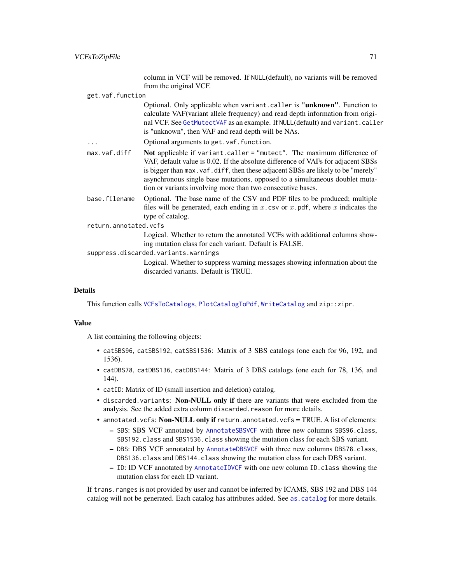column in VCF will be removed. If NULL(default), no variants will be removed from the original VCF.

get.vaf.function

Optional. Only applicable when variant.caller is "unknown". Function to calculate VAF(variant allele frequency) and read depth information from original VCF. See [GetMutectVAF](#page-15-0) as an example. If NULL(default) and variant.caller is "unknown", then VAF and read depth will be NAs.

- ... Optional arguments to get.vaf.function.
- max.vaf.diff Not applicable if variant.caller = "mutect". The maximum difference of VAF, default value is 0.02. If the absolute difference of VAFs for adjacent SBSs is bigger than max.vaf.diff, then these adjacent SBSs are likely to be "merely" asynchronous single base mutations, opposed to a simultaneous doublet mutation or variants involving more than two consecutive bases.
- base.filename Optional. The base name of the CSV and PDF files to be produced; multiple files will be generated, each ending in x.csv or  $x$ .pdf, where  $x$  indicates the type of catalog.
- return.annotated.vcfs

Logical. Whether to return the annotated VCFs with additional columns showing mutation class for each variant. Default is FALSE.

suppress.discarded.variants.warnings

Logical. Whether to suppress warning messages showing information about the discarded variants. Default is TRUE.

### Details

This function calls [VCFsToCatalogs](#page-57-0), [PlotCatalogToPdf](#page-29-0), [WriteCatalog](#page-71-0) and zip::zipr.

### Value

A list containing the following objects:

- catSBS96, catSBS192, catSBS1536: Matrix of 3 SBS catalogs (one each for 96, 192, and 1536).
- catDBS78, catDBS136, catDBS144: Matrix of 3 DBS catalogs (one each for 78, 136, and 144).
- catID: Matrix of ID (small insertion and deletion) catalog.
- discarded.variants: Non-NULL only if there are variants that were excluded from the analysis. See the added extra column discarded.reason for more details.
- annotated.vcfs: Non-NULL only if return.annotated.vcfs = TRUE. A list of elements:
	- SBS: SBS VCF annotated by [AnnotateSBSVCF](#page-5-0) with three new columns SBS96.class, SBS192.class and SBS1536.class showing the mutation class for each SBS variant.
	- DBS: DBS VCF annotated by [AnnotateDBSVCF](#page-3-0) with three new columns DBS78.class, DBS136.class and DBS144.class showing the mutation class for each DBS variant.
	- ID: ID VCF annotated by [AnnotateIDVCF](#page-4-0) with one new column ID.class showing the mutation class for each ID variant.

If trans.ranges is not provided by user and cannot be inferred by ICAMS, SBS 192 and DBS 144 catalog will not be generated. Each catalog has attributes added. See [as.catalog](#page-6-0) for more details.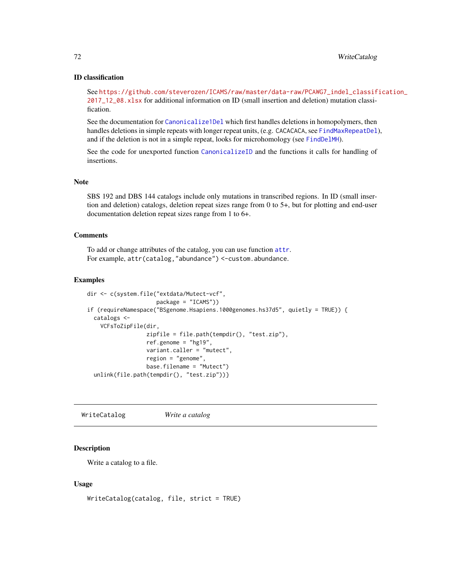### ID classification

See [https://github.com/steverozen/ICAMS/raw/master/data-raw/PCAWG7\\_indel\\_classif](https://github.com/steverozen/ICAMS/raw/master/data-raw/PCAWG7_indel_classification_2017_12_08.xlsx)ication\_ [2017\\_12\\_08.xlsx](https://github.com/steverozen/ICAMS/raw/master/data-raw/PCAWG7_indel_classification_2017_12_08.xlsx) for additional information on ID (small insertion and deletion) mutation classification.

See the documentation for [Canonicalize1Del](#page-7-0) which first handles deletions in homopolymers, then handles deletions in simple repeats with longer repeat units, (e.g. CACACACA, see [FindMaxRepeatDel](#page-12-0)), and if the deletion is not in a simple repeat, looks for microhomology (see [FindDelMH](#page-10-0)).

See the code for unexported function [CanonicalizeID](#page-0-0) and the functions it calls for handling of insertions.

#### Note

SBS 192 and DBS 144 catalogs include only mutations in transcribed regions. In ID (small insertion and deletion) catalogs, deletion repeat sizes range from 0 to 5+, but for plotting and end-user documentation deletion repeat sizes range from 1 to 6+.

### **Comments**

To add or change attributes of the catalog, you can use function [attr](#page-0-0). For example, attr(catalog,"abundance") <-custom.abundance.

#### Examples

```
dir <- c(system.file("extdata/Mutect-vcf",
                     package = "ICAMS"))
if (requireNamespace("BSgenome.Hsapiens.1000genomes.hs37d5", quietly = TRUE)) {
  catalogs <-
    VCFsToZipFile(dir,
                  zipfile = file.path(tempdir(), "test.zip"),
                  ref.genome = "hg19",
                  variant.caller = "mutect",
                  region = "genome",
                  base.filename = "Mutect")
  unlink(file.path(tempdir(), "test.zip"))}
```
<span id="page-71-0"></span>WriteCatalog *Write a catalog*

### Description

Write a catalog to a file.

### Usage

WriteCatalog(catalog, file, strict = TRUE)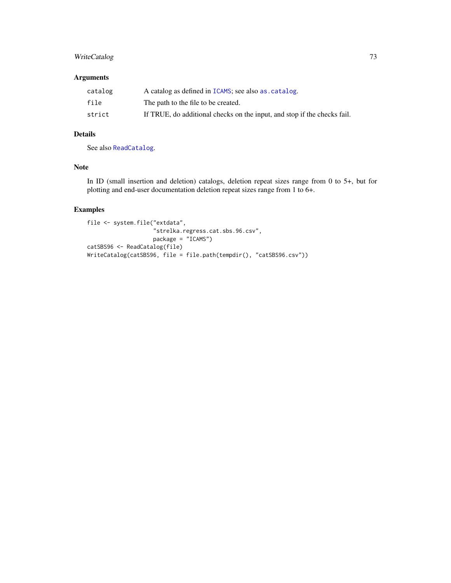### <span id="page-72-0"></span>WriteCatalog 73

## Arguments

| catalog | A catalog as defined in ICAMS; see also as catalog.                      |
|---------|--------------------------------------------------------------------------|
| file    | The path to the file to be created.                                      |
| strict  | If TRUE, do additional checks on the input, and stop if the checks fail. |

# Details

See also [ReadCatalog](#page-38-0).

#### Note

In ID (small insertion and deletion) catalogs, deletion repeat sizes range from 0 to 5+, but for plotting and end-user documentation deletion repeat sizes range from 1 to 6+.

# Examples

```
file <- system.file("extdata",
                    "strelka.regress.cat.sbs.96.csv",
                   package = "ICAMS")
catSBS96 <- ReadCatalog(file)
WriteCatalog(catSBS96, file = file.path(tempdir(), "catSBS96.csv"))
```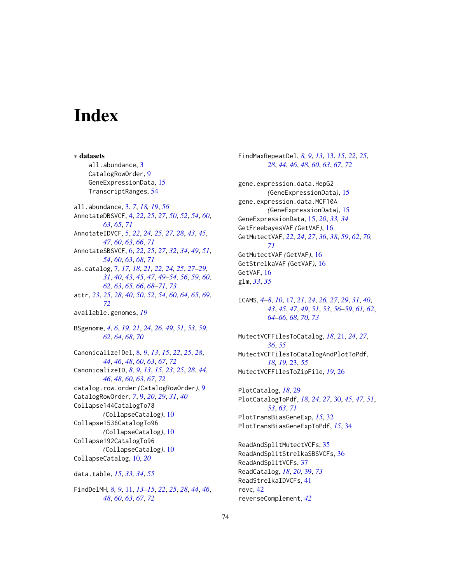# **Index**

∗ datasets all.abundance, [3](#page-2-0) CatalogRowOrder, [9](#page-8-0) GeneExpressionData, [15](#page-14-0) TranscriptRanges, [54](#page-53-0) all.abundance, [3,](#page-2-0) *[7](#page-6-1)*, *[18,](#page-17-0) [19](#page-18-0)*, *[56](#page-55-0)* AnnotateDBSVCF, [4,](#page-3-0) *[22](#page-21-0)*, *[25](#page-24-0)*, *[27](#page-26-0)*, *[50](#page-49-0)*, *[52](#page-51-0)*, *[54](#page-53-0)*, *[60](#page-59-0)*, *[63](#page-62-0)*, *[65](#page-64-0)*, *[71](#page-70-0)* AnnotateIDVCF, [5,](#page-4-0) *[22](#page-21-0)*, *[24,](#page-23-0) [25](#page-24-0)*, *[27,](#page-26-0) [28](#page-27-0)*, *[43](#page-42-0)*, *[45](#page-44-0)*, *[47](#page-46-0)*, *[60](#page-59-0)*, *[63](#page-62-0)*, *[66](#page-65-0)*, *[71](#page-70-0)* AnnotateSBSVCF, [6,](#page-5-0) *[22](#page-21-0)*, *[25](#page-24-0)*, *[27](#page-26-0)*, *[32](#page-31-0)*, *[34](#page-33-0)*, *[49](#page-48-0)*, *[51](#page-50-0)*, *[54](#page-53-0)*, *[60](#page-59-0)*, *[63](#page-62-0)*, *[68](#page-67-0)*, *[71](#page-70-0)* as.catalog, [7,](#page-6-1) *[17,](#page-16-1) [18](#page-17-0)*, *[21,](#page-20-0) [22](#page-21-0)*, *[24,](#page-23-0) [25](#page-24-0)*, *[27–](#page-26-0)[29](#page-28-0)*, *[31](#page-30-0)*, *[40](#page-39-0)*, *[43](#page-42-0)*, *[45](#page-44-0)*, *[47](#page-46-0)*, *[49–](#page-48-0)[54](#page-53-0)*, *[56](#page-55-0)*, *[59,](#page-58-0) [60](#page-59-0)*, *[62,](#page-61-0) [63](#page-62-0)*, *[65,](#page-64-0) [66](#page-65-0)*, *[68–](#page-67-0)[71](#page-70-0)*, *[73](#page-72-0)* attr, *[23](#page-22-0)*, *[25](#page-24-0)*, *[28](#page-27-0)*, *[40](#page-39-0)*, *[50](#page-49-0)*, *[52](#page-51-0)*, *[54](#page-53-0)*, *[60](#page-59-0)*, *[64,](#page-63-0) [65](#page-64-0)*, *[69](#page-68-0)*, *[72](#page-71-0)* available.genomes, *[19](#page-18-0)* BSgenome, *[4](#page-3-0)*, *[6](#page-5-0)*, *[19](#page-18-0)*, *[21](#page-20-0)*, *[24](#page-23-0)*, *[26](#page-25-0)*, *[49](#page-48-0)*, *[51](#page-50-0)*, *[53](#page-52-0)*, *[59](#page-58-0)*, *[62](#page-61-0)*, *[64](#page-63-0)*, *[68](#page-67-0)*, *[70](#page-69-0)* Canonicalize1Del, [8,](#page-7-0) *[9](#page-8-0)*, *[13](#page-12-0)*, *[15](#page-14-0)*, *[22](#page-21-0)*, *[25](#page-24-0)*, *[28](#page-27-0)*, *[44](#page-43-0)*, *[46](#page-45-0)*, *[48](#page-47-0)*, *[60](#page-59-0)*, *[63](#page-62-0)*, *[67](#page-66-0)*, *[72](#page-71-0)* CanonicalizeID, *[8,](#page-7-0) [9](#page-8-0)*, *[13](#page-12-0)*, *[15](#page-14-0)*, *[23](#page-22-0)*, *[25](#page-24-0)*, *[28](#page-27-0)*, *[44](#page-43-0)*, *[46](#page-45-0)*, *[48](#page-47-0)*, *[60](#page-59-0)*, *[63](#page-62-0)*, *[67](#page-66-0)*, *[72](#page-71-0)* catalog.row.order *(*CatalogRowOrder*)*, [9](#page-8-0) CatalogRowOrder, *[7](#page-6-1)*, [9,](#page-8-0) *[20](#page-19-0)*, *[29](#page-28-0)*, *[31](#page-30-0)*, *[40](#page-39-0)* Collapse144CatalogTo78 *(*CollapseCatalog*)*, [10](#page-9-0) Collapse1536CatalogTo96 *(*CollapseCatalog*)*, [10](#page-9-0) Collapse192CatalogTo96 *(*CollapseCatalog*)*, [10](#page-9-0) CollapseCatalog, [10,](#page-9-0) *[20](#page-19-0)* data.table, *[15](#page-14-0)*, *[33,](#page-32-0) [34](#page-33-0)*, *[55](#page-54-0)*

FindDelMH, *[8,](#page-7-0) [9](#page-8-0)*, [11,](#page-10-0) *[13–](#page-12-0)[15](#page-14-0)*, *[22](#page-21-0)*, *[25](#page-24-0)*, *[28](#page-27-0)*, *[44](#page-43-0)*, *[46](#page-45-0)*, *[48](#page-47-0)*, *[60](#page-59-0)*, *[63](#page-62-0)*, *[67](#page-66-0)*, *[72](#page-71-0)*

FindMaxRepeatDel, *[8,](#page-7-0) [9](#page-8-0)*, *[13](#page-12-0)*, [13,](#page-12-0) *[15](#page-14-0)*, *[22](#page-21-0)*, *[25](#page-24-0)*, *[28](#page-27-0)*, *[44](#page-43-0)*, *[46](#page-45-0)*, *[48](#page-47-0)*, *[60](#page-59-0)*, *[63](#page-62-0)*, *[67](#page-66-0)*, *[72](#page-71-0)*

gene.expression.data.HepG2 *(*GeneExpressionData*)*, [15](#page-14-0) gene.expression.data.MCF10A *(*GeneExpressionData*)*, [15](#page-14-0) GeneExpressionData, [15,](#page-14-0) *[20](#page-19-0)*, *[33,](#page-32-0) [34](#page-33-0)* GetFreebayesVAF *(*GetVAF*)*, [16](#page-15-0) GetMutectVAF, *[22](#page-21-0)*, *[24](#page-23-0)*, *[27](#page-26-0)*, *[36](#page-35-0)*, *[38](#page-37-0)*, *[59](#page-58-0)*, *[62](#page-61-0)*, *[70,](#page-69-0) [71](#page-70-0)* GetMutectVAF *(*GetVAF*)*, [16](#page-15-0) GetStrelkaVAF *(*GetVAF*)*, [16](#page-15-0) GetVAF, [16](#page-15-0) glm, *[33](#page-32-0)*, *[35](#page-34-0)*

ICAMS, *[4–](#page-3-0)[8](#page-7-0)*, *[10](#page-9-0)*, [17,](#page-16-1) *[21](#page-20-0)*, *[24](#page-23-0)*, *[26,](#page-25-0) [27](#page-26-0)*, *[29](#page-28-0)*, *[31](#page-30-0)*, *[40](#page-39-0)*, *[43](#page-42-0)*, *[45](#page-44-0)*, *[47](#page-46-0)*, *[49](#page-48-0)*, *[51](#page-50-0)*, *[53](#page-52-0)*, *[56](#page-55-0)[–59](#page-58-0)*, *[61,](#page-60-0) [62](#page-61-0)*, *[64](#page-63-0)[–66](#page-65-0)*, *[68](#page-67-0)*, *[70](#page-69-0)*, *[73](#page-72-0)*

MutectVCFFilesToCatalog, *[18](#page-17-0)*, [21,](#page-20-0) *[24](#page-23-0)*, *[27](#page-26-0)*, *[36](#page-35-0)*, *[55](#page-54-0)* MutectVCFFilesToCatalogAndPlotToPdf, *[18,](#page-17-0) [19](#page-18-0)*, [23,](#page-22-0) *[55](#page-54-0)* MutectVCFFilesToZipFile, *[19](#page-18-0)*, [26](#page-25-0)

PlotCatalog, *[18](#page-17-0)*, [29](#page-28-0) PlotCatalogToPdf, *[18](#page-17-0)*, *[24](#page-23-0)*, *[27](#page-26-0)*, [30,](#page-29-0) *[45](#page-44-0)*, *[47](#page-46-0)*, *[51](#page-50-0)*, *[53](#page-52-0)*, *[63](#page-62-0)*, *[71](#page-70-0)* PlotTransBiasGeneExp, *[15](#page-14-0)*, [32](#page-31-0) PlotTransBiasGeneExpToPdf, *[15](#page-14-0)*, [34](#page-33-0)

ReadAndSplitMutectVCFs, [35](#page-34-0) ReadAndSplitStrelkaSBSVCFs, [36](#page-35-0) ReadAndSplitVCFs, [37](#page-36-0) ReadCatalog, *[18](#page-17-0)*, *[20](#page-19-0)*, [39,](#page-38-1) *[73](#page-72-0)* ReadStrelkaIDVCFs, [41](#page-40-0) revc, [42](#page-41-0) reverseComplement, *[42](#page-41-0)*